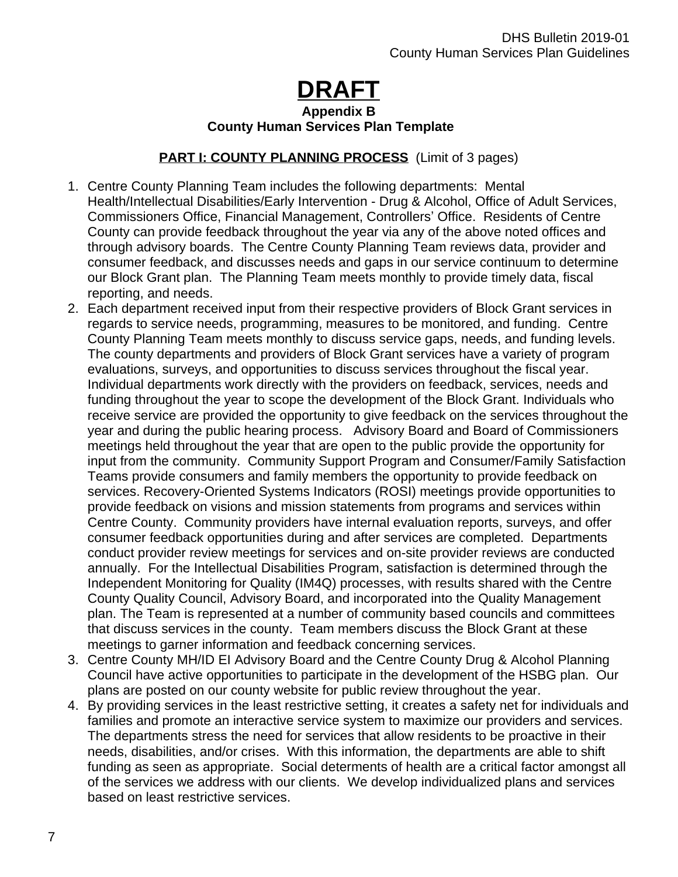# **DRAFT**

#### **Appendix B County Human Services Plan Template**

# **PART I: COUNTY PLANNING PROCESS** (Limit of 3 pages)

- 1. Centre County Planning Team includes the following departments: Mental Health/Intellectual Disabilities/Early Intervention - Drug & Alcohol, Office of Adult Services, Commissioners Office, Financial Management, Controllers' Office. Residents of Centre County can provide feedback throughout the year via any of the above noted offices and through advisory boards. The Centre County Planning Team reviews data, provider and consumer feedback, and discusses needs and gaps in our service continuum to determine our Block Grant plan. The Planning Team meets monthly to provide timely data, fiscal reporting, and needs.
- 2. Each department received input from their respective providers of Block Grant services in regards to service needs, programming, measures to be monitored, and funding. Centre County Planning Team meets monthly to discuss service gaps, needs, and funding levels. The county departments and providers of Block Grant services have a variety of program evaluations, surveys, and opportunities to discuss services throughout the fiscal year. Individual departments work directly with the providers on feedback, services, needs and funding throughout the year to scope the development of the Block Grant. Individuals who receive service are provided the opportunity to give feedback on the services throughout the year and during the public hearing process. Advisory Board and Board of Commissioners meetings held throughout the year that are open to the public provide the opportunity for input from the community. Community Support Program and Consumer/Family Satisfaction Teams provide consumers and family members the opportunity to provide feedback on services. Recovery-Oriented Systems Indicators (ROSI) meetings provide opportunities to provide feedback on visions and mission statements from programs and services within Centre County. Community providers have internal evaluation reports, surveys, and offer consumer feedback opportunities during and after services are completed. Departments conduct provider review meetings for services and on-site provider reviews are conducted annually. For the Intellectual Disabilities Program, satisfaction is determined through the Independent Monitoring for Quality (IM4Q) processes, with results shared with the Centre County Quality Council, Advisory Board, and incorporated into the Quality Management plan. The Team is represented at a number of community based councils and committees that discuss services in the county. Team members discuss the Block Grant at these meetings to garner information and feedback concerning services.
- 3. Centre County MH/ID EI Advisory Board and the Centre County Drug & Alcohol Planning Council have active opportunities to participate in the development of the HSBG plan. Our plans are posted on our county website for public review throughout the year.
- 4. By providing services in the least restrictive setting, it creates a safety net for individuals and families and promote an interactive service system to maximize our providers and services. The departments stress the need for services that allow residents to be proactive in their needs, disabilities, and/or crises. With this information, the departments are able to shift funding as seen as appropriate. Social determents of health are a critical factor amongst all of the services we address with our clients. We develop individualized plans and services based on least restrictive services.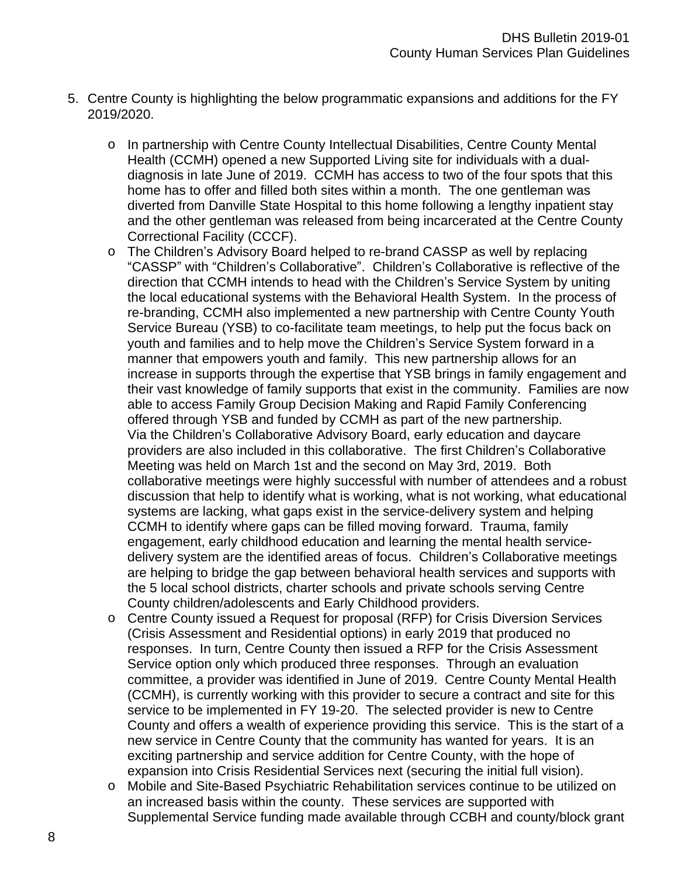- 5. Centre County is highlighting the below programmatic expansions and additions for the FY 2019/2020.
	- o In partnership with Centre County Intellectual Disabilities, Centre County Mental Health (CCMH) opened a new Supported Living site for individuals with a dualdiagnosis in late June of 2019. CCMH has access to two of the four spots that this home has to offer and filled both sites within a month. The one gentleman was diverted from Danville State Hospital to this home following a lengthy inpatient stay and the other gentleman was released from being incarcerated at the Centre County Correctional Facility (CCCF).
	- o The Children's Advisory Board helped to re-brand CASSP as well by replacing "CASSP" with "Children's Collaborative". Children's Collaborative is reflective of the direction that CCMH intends to head with the Children's Service System by uniting the local educational systems with the Behavioral Health System. In the process of re-branding, CCMH also implemented a new partnership with Centre County Youth Service Bureau (YSB) to co-facilitate team meetings, to help put the focus back on youth and families and to help move the Children's Service System forward in a manner that empowers youth and family. This new partnership allows for an increase in supports through the expertise that YSB brings in family engagement and their vast knowledge of family supports that exist in the community. Families are now able to access Family Group Decision Making and Rapid Family Conferencing offered through YSB and funded by CCMH as part of the new partnership. Via the Children's Collaborative Advisory Board, early education and daycare providers are also included in this collaborative. The first Children's Collaborative Meeting was held on March 1st and the second on May 3rd, 2019. Both collaborative meetings were highly successful with number of attendees and a robust discussion that help to identify what is working, what is not working, what educational systems are lacking, what gaps exist in the service-delivery system and helping CCMH to identify where gaps can be filled moving forward. Trauma, family engagement, early childhood education and learning the mental health servicedelivery system are the identified areas of focus. Children's Collaborative meetings are helping to bridge the gap between behavioral health services and supports with the 5 local school districts, charter schools and private schools serving Centre County children/adolescents and Early Childhood providers.
	- o Centre County issued a Request for proposal (RFP) for Crisis Diversion Services (Crisis Assessment and Residential options) in early 2019 that produced no responses. In turn, Centre County then issued a RFP for the Crisis Assessment Service option only which produced three responses. Through an evaluation committee, a provider was identified in June of 2019. Centre County Mental Health (CCMH), is currently working with this provider to secure a contract and site for this service to be implemented in FY 19-20. The selected provider is new to Centre County and offers a wealth of experience providing this service. This is the start of a new service in Centre County that the community has wanted for years. It is an exciting partnership and service addition for Centre County, with the hope of expansion into Crisis Residential Services next (securing the initial full vision).
	- o Mobile and Site-Based Psychiatric Rehabilitation services continue to be utilized on an increased basis within the county. These services are supported with Supplemental Service funding made available through CCBH and county/block grant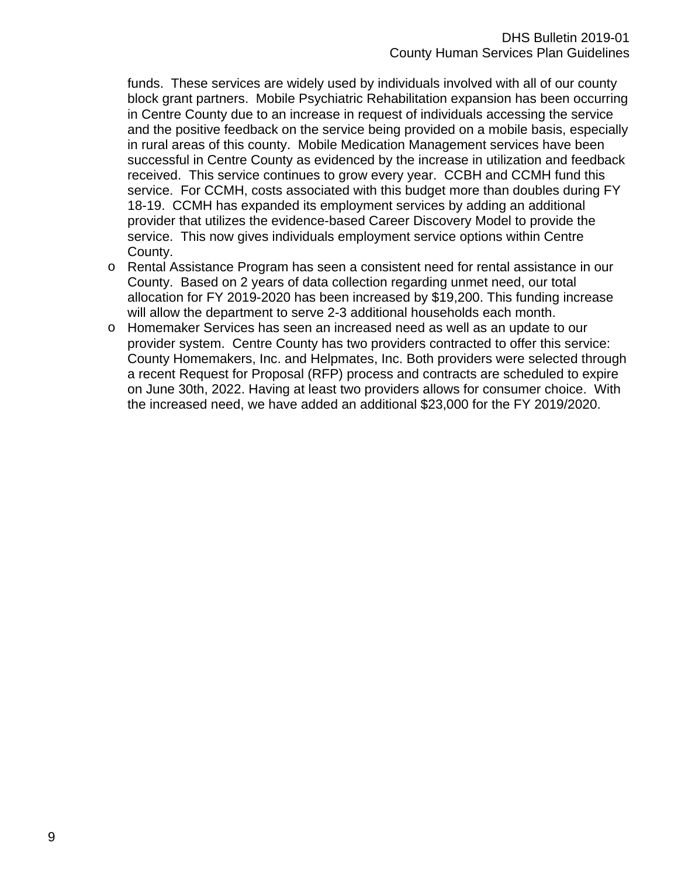funds. These services are widely used by individuals involved with all of our county block grant partners. Mobile Psychiatric Rehabilitation expansion has been occurring in Centre County due to an increase in request of individuals accessing the service and the positive feedback on the service being provided on a mobile basis, especially in rural areas of this county. Mobile Medication Management services have been successful in Centre County as evidenced by the increase in utilization and feedback received. This service continues to grow every year. CCBH and CCMH fund this service. For CCMH, costs associated with this budget more than doubles during FY 18-19. CCMH has expanded its employment services by adding an additional provider that utilizes the evidence-based Career Discovery Model to provide the service. This now gives individuals employment service options within Centre County.

- o Rental Assistance Program has seen a consistent need for rental assistance in our County. Based on 2 years of data collection regarding unmet need, our total allocation for FY 2019-2020 has been increased by \$19,200. This funding increase will allow the department to serve 2-3 additional households each month.
- o Homemaker Services has seen an increased need as well as an update to our provider system. Centre County has two providers contracted to offer this service: County Homemakers, Inc. and Helpmates, Inc. Both providers were selected through a recent Request for Proposal (RFP) process and contracts are scheduled to expire on June 30th, 2022. Having at least two providers allows for consumer choice. With the increased need, we have added an additional \$23,000 for the FY 2019/2020.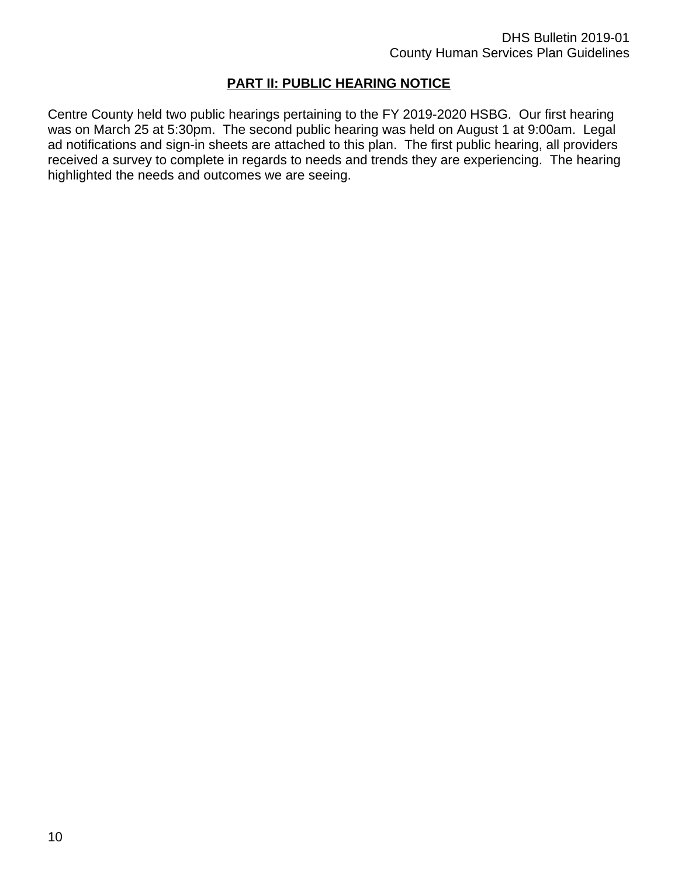# **PART II: PUBLIC HEARING NOTICE**

Centre County held two public hearings pertaining to the FY 2019-2020 HSBG. Our first hearing was on March 25 at 5:30pm. The second public hearing was held on August 1 at 9:00am. Legal ad notifications and sign-in sheets are attached to this plan. The first public hearing, all providers received a survey to complete in regards to needs and trends they are experiencing. The hearing highlighted the needs and outcomes we are seeing.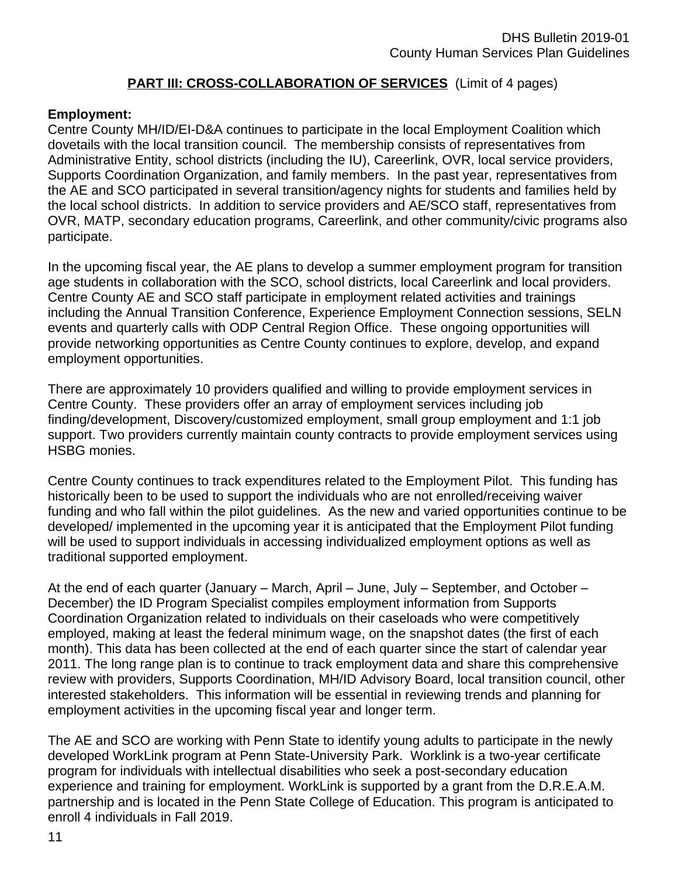## **PART III: CROSS-COLLABORATION OF SERVICES** (Limit of 4 pages)

#### **Employment:**

Centre County MH/ID/EI-D&A continues to participate in the local Employment Coalition which dovetails with the local transition council. The membership consists of representatives from Administrative Entity, school districts (including the IU), Careerlink, OVR, local service providers, Supports Coordination Organization, and family members. In the past year, representatives from the AE and SCO participated in several transition/agency nights for students and families held by the local school districts. In addition to service providers and AE/SCO staff, representatives from OVR, MATP, secondary education programs, Careerlink, and other community/civic programs also participate.

In the upcoming fiscal year, the AE plans to develop a summer employment program for transition age students in collaboration with the SCO, school districts, local Careerlink and local providers. Centre County AE and SCO staff participate in employment related activities and trainings including the Annual Transition Conference, Experience Employment Connection sessions, SELN events and quarterly calls with ODP Central Region Office. These ongoing opportunities will provide networking opportunities as Centre County continues to explore, develop, and expand employment opportunities.

There are approximately 10 providers qualified and willing to provide employment services in Centre County. These providers offer an array of employment services including job finding/development, Discovery/customized employment, small group employment and 1:1 job support. Two providers currently maintain county contracts to provide employment services using HSBG monies.

Centre County continues to track expenditures related to the Employment Pilot. This funding has historically been to be used to support the individuals who are not enrolled/receiving waiver funding and who fall within the pilot guidelines. As the new and varied opportunities continue to be developed/ implemented in the upcoming year it is anticipated that the Employment Pilot funding will be used to support individuals in accessing individualized employment options as well as traditional supported employment.

At the end of each quarter (January – March, April – June, July – September, and October – December) the ID Program Specialist compiles employment information from Supports Coordination Organization related to individuals on their caseloads who were competitively employed, making at least the federal minimum wage, on the snapshot dates (the first of each month). This data has been collected at the end of each quarter since the start of calendar year 2011. The long range plan is to continue to track employment data and share this comprehensive review with providers, Supports Coordination, MH/ID Advisory Board, local transition council, other interested stakeholders. This information will be essential in reviewing trends and planning for employment activities in the upcoming fiscal year and longer term.

The AE and SCO are working with Penn State to identify young adults to participate in the newly developed WorkLink program at Penn State-University Park. Worklink is a two-year certificate program for individuals with intellectual disabilities who seek a post-secondary education experience and training for employment. WorkLink is supported by a grant from the D.R.E.A.M. partnership and is located in the Penn State College of Education. This program is anticipated to enroll 4 individuals in Fall 2019.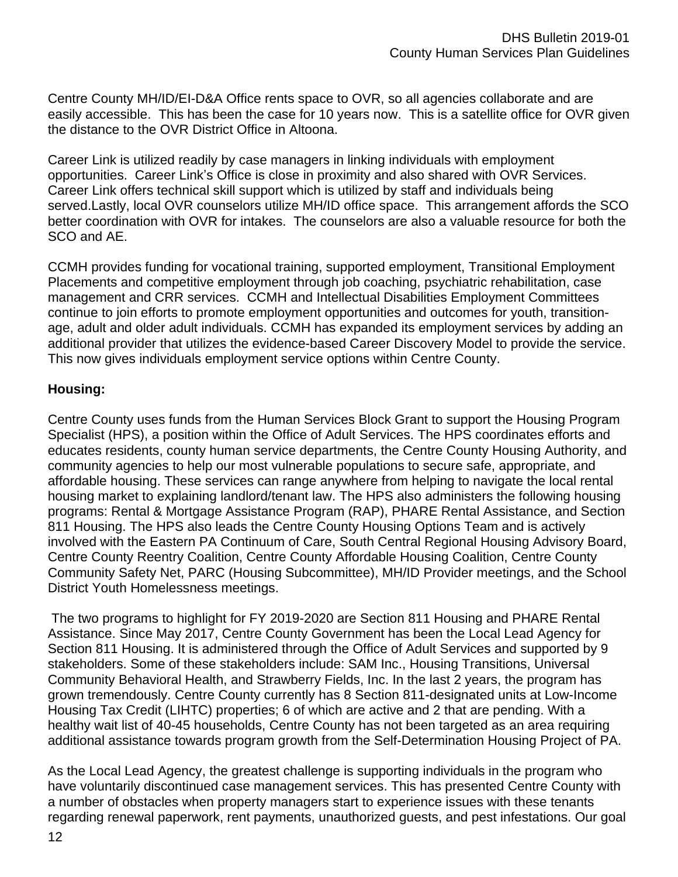Centre County MH/ID/EI-D&A Office rents space to OVR, so all agencies collaborate and are easily accessible. This has been the case for 10 years now. This is a satellite office for OVR given the distance to the OVR District Office in Altoona.

Career Link is utilized readily by case managers in linking individuals with employment opportunities. Career Link's Office is close in proximity and also shared with OVR Services. Career Link offers technical skill support which is utilized by staff and individuals being served.Lastly, local OVR counselors utilize MH/ID office space. This arrangement affords the SCO better coordination with OVR for intakes. The counselors are also a valuable resource for both the SCO and AE.

CCMH provides funding for vocational training, supported employment, Transitional Employment Placements and competitive employment through job coaching, psychiatric rehabilitation, case management and CRR services. CCMH and Intellectual Disabilities Employment Committees continue to join efforts to promote employment opportunities and outcomes for youth, transitionage, adult and older adult individuals. CCMH has expanded its employment services by adding an additional provider that utilizes the evidence-based Career Discovery Model to provide the service. This now gives individuals employment service options within Centre County.

## **Housing:**

Centre County uses funds from the Human Services Block Grant to support the Housing Program Specialist (HPS), a position within the Office of Adult Services. The HPS coordinates efforts and educates residents, county human service departments, the Centre County Housing Authority, and community agencies to help our most vulnerable populations to secure safe, appropriate, and affordable housing. These services can range anywhere from helping to navigate the local rental housing market to explaining landlord/tenant law. The HPS also administers the following housing programs: Rental & Mortgage Assistance Program (RAP), PHARE Rental Assistance, and Section 811 Housing. The HPS also leads the Centre County Housing Options Team and is actively involved with the Eastern PA Continuum of Care, South Central Regional Housing Advisory Board, Centre County Reentry Coalition, Centre County Affordable Housing Coalition, Centre County Community Safety Net, PARC (Housing Subcommittee), MH/ID Provider meetings, and the School District Youth Homelessness meetings.

The two programs to highlight for FY 2019-2020 are Section 811 Housing and PHARE Rental Assistance. Since May 2017, Centre County Government has been the Local Lead Agency for Section 811 Housing. It is administered through the Office of Adult Services and supported by 9 stakeholders. Some of these stakeholders include: SAM Inc., Housing Transitions, Universal Community Behavioral Health, and Strawberry Fields, Inc. In the last 2 years, the program has grown tremendously. Centre County currently has 8 Section 811-designated units at Low-Income Housing Tax Credit (LIHTC) properties; 6 of which are active and 2 that are pending. With a healthy wait list of 40-45 households, Centre County has not been targeted as an area requiring additional assistance towards program growth from the Self-Determination Housing Project of PA.

As the Local Lead Agency, the greatest challenge is supporting individuals in the program who have voluntarily discontinued case management services. This has presented Centre County with a number of obstacles when property managers start to experience issues with these tenants regarding renewal paperwork, rent payments, unauthorized guests, and pest infestations. Our goal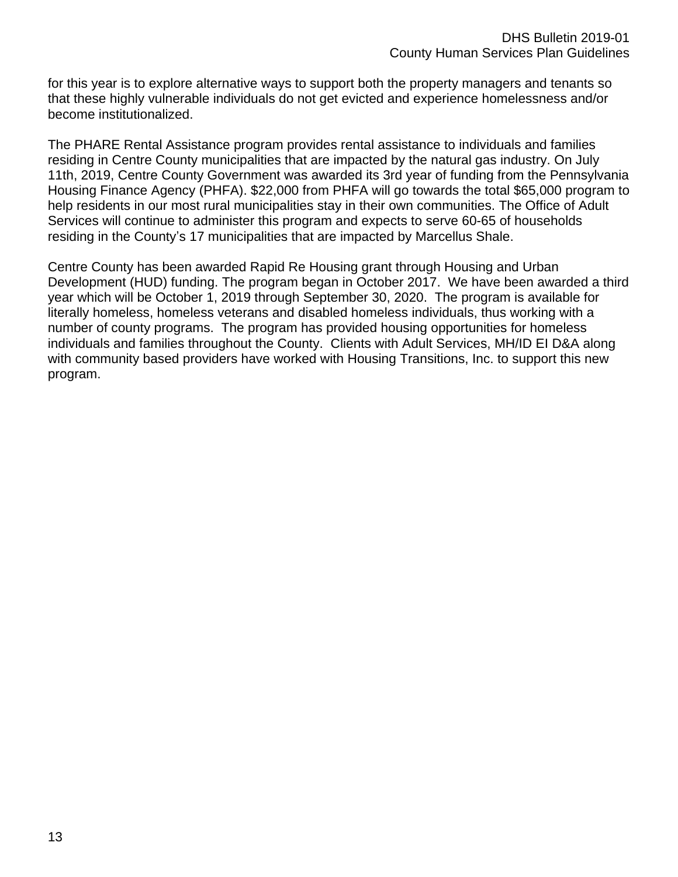for this year is to explore alternative ways to support both the property managers and tenants so that these highly vulnerable individuals do not get evicted and experience homelessness and/or become institutionalized.

The PHARE Rental Assistance program provides rental assistance to individuals and families residing in Centre County municipalities that are impacted by the natural gas industry. On July 11th, 2019, Centre County Government was awarded its 3rd year of funding from the Pennsylvania Housing Finance Agency (PHFA). \$22,000 from PHFA will go towards the total \$65,000 program to help residents in our most rural municipalities stay in their own communities. The Office of Adult Services will continue to administer this program and expects to serve 60-65 of households residing in the County's 17 municipalities that are impacted by Marcellus Shale.

Centre County has been awarded Rapid Re Housing grant through Housing and Urban Development (HUD) funding. The program began in October 2017. We have been awarded a third year which will be October 1, 2019 through September 30, 2020. The program is available for literally homeless, homeless veterans and disabled homeless individuals, thus working with a number of county programs. The program has provided housing opportunities for homeless individuals and families throughout the County. Clients with Adult Services, MH/ID EI D&A along with community based providers have worked with Housing Transitions, Inc. to support this new program.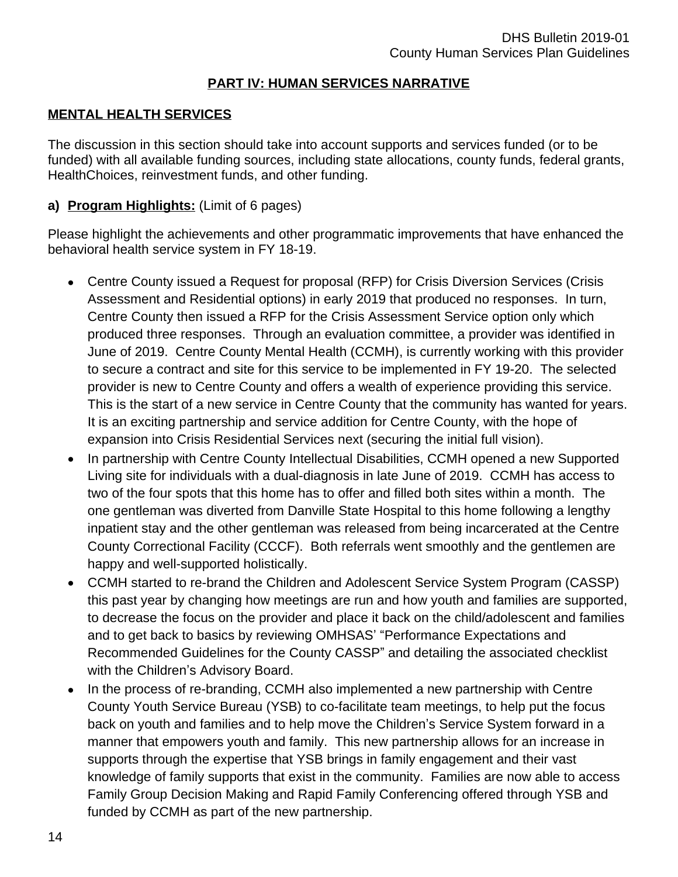## **PART IV: HUMAN SERVICES NARRATIVE**

#### **MENTAL HEALTH SERVICES**

The discussion in this section should take into account supports and services funded (or to be funded) with all available funding sources, including state allocations, county funds, federal grants, HealthChoices, reinvestment funds, and other funding.

# **a) Program Highlights:** (Limit of 6 pages)

Please highlight the achievements and other programmatic improvements that have enhanced the behavioral health service system in FY 18-19.

- Centre County issued a Request for proposal (RFP) for Crisis Diversion Services (Crisis Assessment and Residential options) in early 2019 that produced no responses. In turn, Centre County then issued a RFP for the Crisis Assessment Service option only which produced three responses. Through an evaluation committee, a provider was identified in June of 2019. Centre County Mental Health (CCMH), is currently working with this provider to secure a contract and site for this service to be implemented in FY 19-20. The selected provider is new to Centre County and offers a wealth of experience providing this service. This is the start of a new service in Centre County that the community has wanted for years. It is an exciting partnership and service addition for Centre County, with the hope of expansion into Crisis Residential Services next (securing the initial full vision).
- In partnership with Centre County Intellectual Disabilities, CCMH opened a new Supported Living site for individuals with a dual-diagnosis in late June of 2019. CCMH has access to two of the four spots that this home has to offer and filled both sites within a month. The one gentleman was diverted from Danville State Hospital to this home following a lengthy inpatient stay and the other gentleman was released from being incarcerated at the Centre County Correctional Facility (CCCF). Both referrals went smoothly and the gentlemen are happy and well-supported holistically.
- CCMH started to re-brand the Children and Adolescent Service System Program (CASSP) this past year by changing how meetings are run and how youth and families are supported, to decrease the focus on the provider and place it back on the child/adolescent and families and to get back to basics by reviewing OMHSAS' "Performance Expectations and Recommended Guidelines for the County CASSP" and detailing the associated checklist with the Children's Advisory Board.
- In the process of re-branding, CCMH also implemented a new partnership with Centre County Youth Service Bureau (YSB) to co-facilitate team meetings, to help put the focus back on youth and families and to help move the Children's Service System forward in a manner that empowers youth and family. This new partnership allows for an increase in supports through the expertise that YSB brings in family engagement and their vast knowledge of family supports that exist in the community. Families are now able to access Family Group Decision Making and Rapid Family Conferencing offered through YSB and funded by CCMH as part of the new partnership.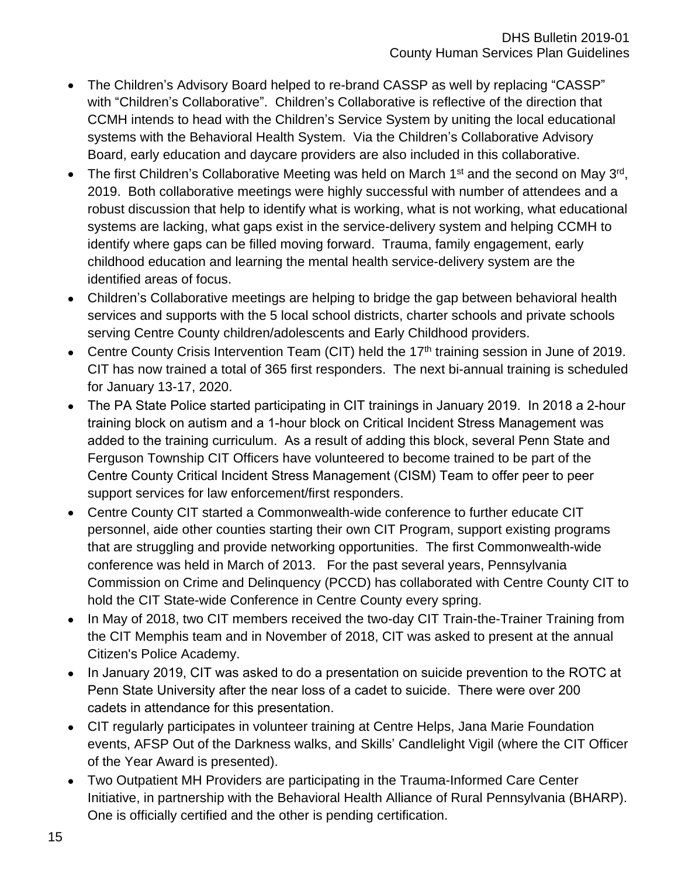- The Children's Advisory Board helped to re-brand CASSP as well by replacing "CASSP" with "Children's Collaborative". Children's Collaborative is reflective of the direction that CCMH intends to head with the Children's Service System by uniting the local educational systems with the Behavioral Health System. Via the Children's Collaborative Advisory Board, early education and daycare providers are also included in this collaborative.
- The first Children's Collaborative Meeting was held on March 1<sup>st</sup> and the second on May 3<sup>rd</sup>, 2019. Both collaborative meetings were highly successful with number of attendees and a robust discussion that help to identify what is working, what is not working, what educational systems are lacking, what gaps exist in the service-delivery system and helping CCMH to identify where gaps can be filled moving forward. Trauma, family engagement, early childhood education and learning the mental health service-delivery system are the identified areas of focus.
- Children's Collaborative meetings are helping to bridge the gap between behavioral health services and supports with the 5 local school districts, charter schools and private schools serving Centre County children/adolescents and Early Childhood providers.
- Centre County Crisis Intervention Team (CIT) held the 17<sup>th</sup> training session in June of 2019. CIT has now trained a total of 365 first responders. The next bi-annual training is scheduled for January 13-17, 2020.
- The PA State Police started participating in CIT trainings in January 2019. In 2018 a 2-hour training block on autism and a 1-hour block on Critical Incident Stress Management was added to the training curriculum. As a result of adding this block, several Penn State and Ferguson Township CIT Officers have volunteered to become trained to be part of the Centre County Critical Incident Stress Management (CISM) Team to offer peer to peer support services for law enforcement/first responders.
- Centre County CIT started a Commonwealth-wide conference to further educate CIT personnel, aide other counties starting their own CIT Program, support existing programs that are struggling and provide networking opportunities. The first Commonwealth-wide conference was held in March of 2013. For the past several years, Pennsylvania Commission on Crime and Delinquency (PCCD) has collaborated with Centre County CIT to hold the CIT State-wide Conference in Centre County every spring.
- In May of 2018, two CIT members received the two-day CIT Train-the-Trainer Training from the CIT Memphis team and in November of 2018, CIT was asked to present at the annual Citizen's Police Academy.
- In January 2019, CIT was asked to do a presentation on suicide prevention to the ROTC at Penn State University after the near loss of a cadet to suicide. There were over 200 cadets in attendance for this presentation.
- CIT regularly participates in volunteer training at Centre Helps, Jana Marie Foundation events, AFSP Out of the Darkness walks, and Skills' Candlelight Vigil (where the CIT Officer of the Year Award is presented).
- Two Outpatient MH Providers are participating in the Trauma-Informed Care Center Initiative, in partnership with the Behavioral Health Alliance of Rural Pennsylvania (BHARP). One is officially certified and the other is pending certification.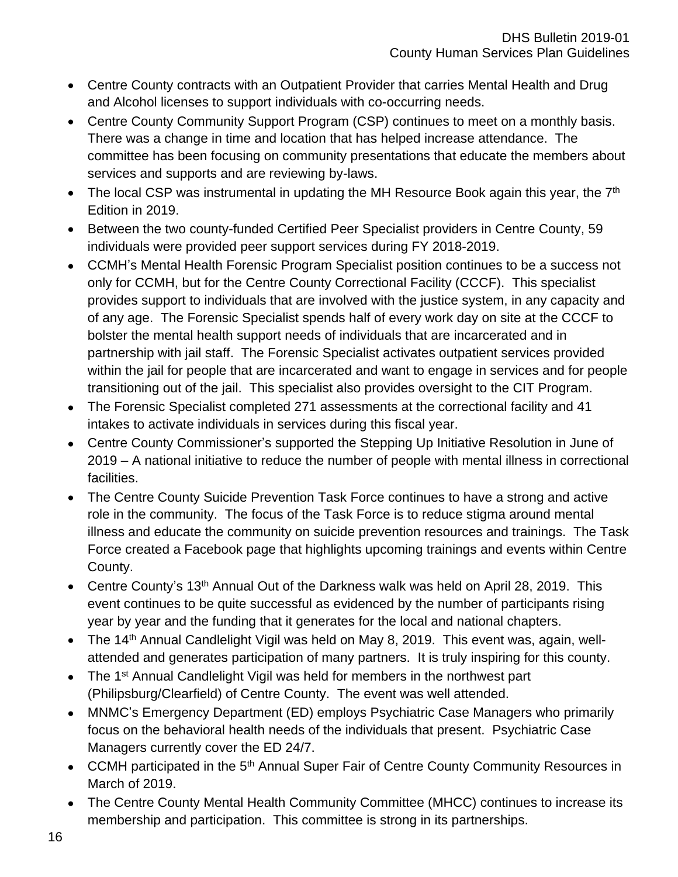- Centre County contracts with an Outpatient Provider that carries Mental Health and Drug and Alcohol licenses to support individuals with co-occurring needs.
- Centre County Community Support Program (CSP) continues to meet on a monthly basis. There was a change in time and location that has helped increase attendance. The committee has been focusing on community presentations that educate the members about services and supports and are reviewing by-laws.
- The local CSP was instrumental in updating the MH Resource Book again this year, the  $7<sup>th</sup>$ Edition in 2019.
- Between the two county-funded Certified Peer Specialist providers in Centre County, 59 individuals were provided peer support services during FY 2018-2019.
- CCMH's Mental Health Forensic Program Specialist position continues to be a success not only for CCMH, but for the Centre County Correctional Facility (CCCF). This specialist provides support to individuals that are involved with the justice system, in any capacity and of any age. The Forensic Specialist spends half of every work day on site at the CCCF to bolster the mental health support needs of individuals that are incarcerated and in partnership with jail staff. The Forensic Specialist activates outpatient services provided within the jail for people that are incarcerated and want to engage in services and for people transitioning out of the jail. This specialist also provides oversight to the CIT Program.
- The Forensic Specialist completed 271 assessments at the correctional facility and 41 intakes to activate individuals in services during this fiscal year.
- Centre County Commissioner's supported the Stepping Up Initiative Resolution in June of 2019 – A national initiative to reduce the number of people with mental illness in correctional facilities.
- The Centre County Suicide Prevention Task Force continues to have a strong and active role in the community. The focus of the Task Force is to reduce stigma around mental illness and educate the community on suicide prevention resources and trainings. The Task Force created a Facebook page that highlights upcoming trainings and events within Centre County.
- Centre County's 13<sup>th</sup> Annual Out of the Darkness walk was held on April 28, 2019. This event continues to be quite successful as evidenced by the number of participants rising year by year and the funding that it generates for the local and national chapters.
- The 14<sup>th</sup> Annual Candlelight Vigil was held on May 8, 2019. This event was, again, wellattended and generates participation of many partners. It is truly inspiring for this county.
- The 1<sup>st</sup> Annual Candlelight Vigil was held for members in the northwest part (Philipsburg/Clearfield) of Centre County. The event was well attended.
- MNMC's Emergency Department (ED) employs Psychiatric Case Managers who primarily focus on the behavioral health needs of the individuals that present. Psychiatric Case Managers currently cover the ED 24/7.
- CCMH participated in the 5<sup>th</sup> Annual Super Fair of Centre County Community Resources in March of 2019.
- The Centre County Mental Health Community Committee (MHCC) continues to increase its membership and participation. This committee is strong in its partnerships.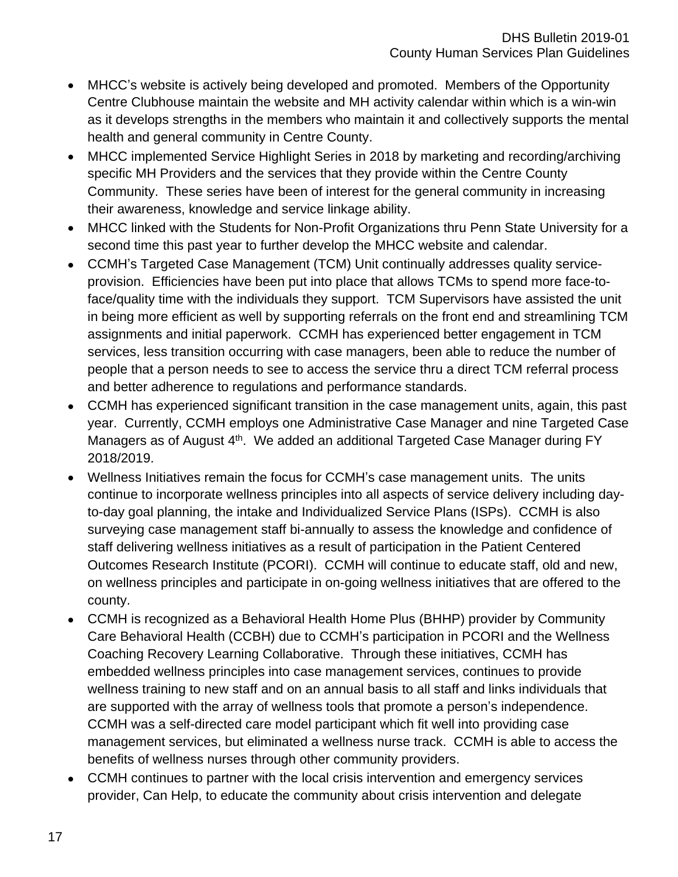- MHCC's website is actively being developed and promoted. Members of the Opportunity Centre Clubhouse maintain the website and MH activity calendar within which is a win-win as it develops strengths in the members who maintain it and collectively supports the mental health and general community in Centre County.
- MHCC implemented Service Highlight Series in 2018 by marketing and recording/archiving specific MH Providers and the services that they provide within the Centre County Community. These series have been of interest for the general community in increasing their awareness, knowledge and service linkage ability.
- MHCC linked with the Students for Non-Profit Organizations thru Penn State University for a second time this past year to further develop the MHCC website and calendar.
- CCMH's Targeted Case Management (TCM) Unit continually addresses quality serviceprovision. Efficiencies have been put into place that allows TCMs to spend more face-toface/quality time with the individuals they support. TCM Supervisors have assisted the unit in being more efficient as well by supporting referrals on the front end and streamlining TCM assignments and initial paperwork. CCMH has experienced better engagement in TCM services, less transition occurring with case managers, been able to reduce the number of people that a person needs to see to access the service thru a direct TCM referral process and better adherence to regulations and performance standards.
- CCMH has experienced significant transition in the case management units, again, this past year. Currently, CCMH employs one Administrative Case Manager and nine Targeted Case Managers as of August 4<sup>th</sup>. We added an additional Targeted Case Manager during FY 2018/2019.
- Wellness Initiatives remain the focus for CCMH's case management units. The units continue to incorporate wellness principles into all aspects of service delivery including dayto-day goal planning, the intake and Individualized Service Plans (ISPs). CCMH is also surveying case management staff bi-annually to assess the knowledge and confidence of staff delivering wellness initiatives as a result of participation in the Patient Centered Outcomes Research Institute (PCORI). CCMH will continue to educate staff, old and new, on wellness principles and participate in on-going wellness initiatives that are offered to the county.
- CCMH is recognized as a Behavioral Health Home Plus (BHHP) provider by Community Care Behavioral Health (CCBH) due to CCMH's participation in PCORI and the Wellness Coaching Recovery Learning Collaborative. Through these initiatives, CCMH has embedded wellness principles into case management services, continues to provide wellness training to new staff and on an annual basis to all staff and links individuals that are supported with the array of wellness tools that promote a person's independence. CCMH was a self-directed care model participant which fit well into providing case management services, but eliminated a wellness nurse track. CCMH is able to access the benefits of wellness nurses through other community providers.
- CCMH continues to partner with the local crisis intervention and emergency services provider, Can Help, to educate the community about crisis intervention and delegate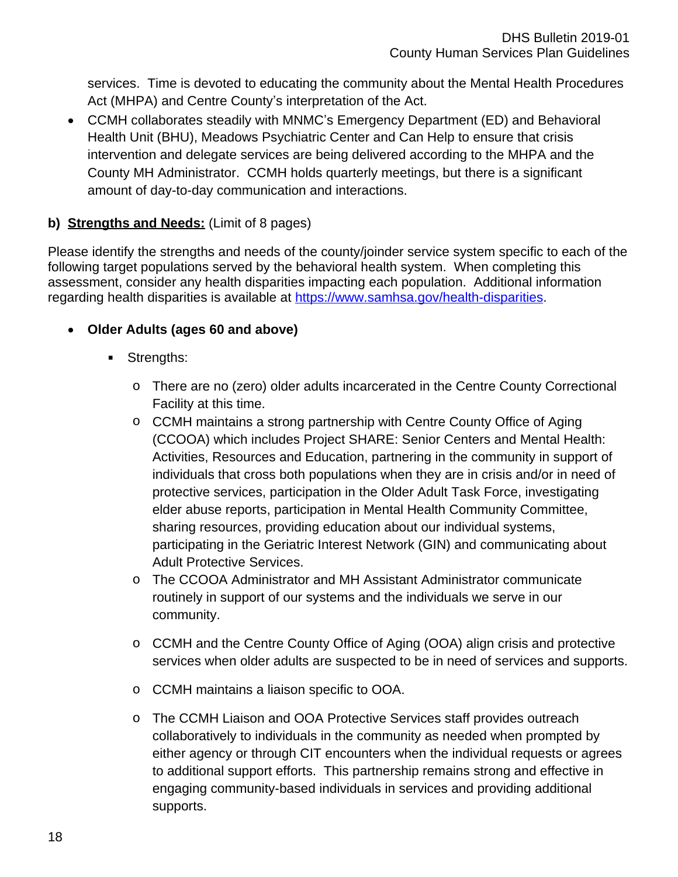services. Time is devoted to educating the community about the Mental Health Procedures Act (MHPA) and Centre County's interpretation of the Act.

 CCMH collaborates steadily with MNMC's Emergency Department (ED) and Behavioral Health Unit (BHU), Meadows Psychiatric Center and Can Help to ensure that crisis intervention and delegate services are being delivered according to the MHPA and the County MH Administrator. CCMH holds quarterly meetings, but there is a significant amount of day-to-day communication and interactions.

# **b) Strengths and Needs:** (Limit of 8 pages)

Please identify the strengths and needs of the county/joinder service system specific to each of the following target populations served by the behavioral health system. When completing this assessment, consider any health disparities impacting each population. Additional information regarding health disparities is available at [https://www.samhsa.gov/health-disparities.](https://www.samhsa.gov/health-disparities)

# **Older Adults (ages 60 and above)**

- **Strengths:** 
	- o There are no (zero) older adults incarcerated in the Centre County Correctional Facility at this time.
	- o CCMH maintains a strong partnership with Centre County Office of Aging (CCOOA) which includes Project SHARE: Senior Centers and Mental Health: Activities, Resources and Education, partnering in the community in support of individuals that cross both populations when they are in crisis and/or in need of protective services, participation in the Older Adult Task Force, investigating elder abuse reports, participation in Mental Health Community Committee, sharing resources, providing education about our individual systems, participating in the Geriatric Interest Network (GIN) and communicating about Adult Protective Services.
	- o The CCOOA Administrator and MH Assistant Administrator communicate routinely in support of our systems and the individuals we serve in our community.
	- o CCMH and the Centre County Office of Aging (OOA) align crisis and protective services when older adults are suspected to be in need of services and supports.
	- o CCMH maintains a liaison specific to OOA.
	- o The CCMH Liaison and OOA Protective Services staff provides outreach collaboratively to individuals in the community as needed when prompted by either agency or through CIT encounters when the individual requests or agrees to additional support efforts. This partnership remains strong and effective in engaging community-based individuals in services and providing additional supports.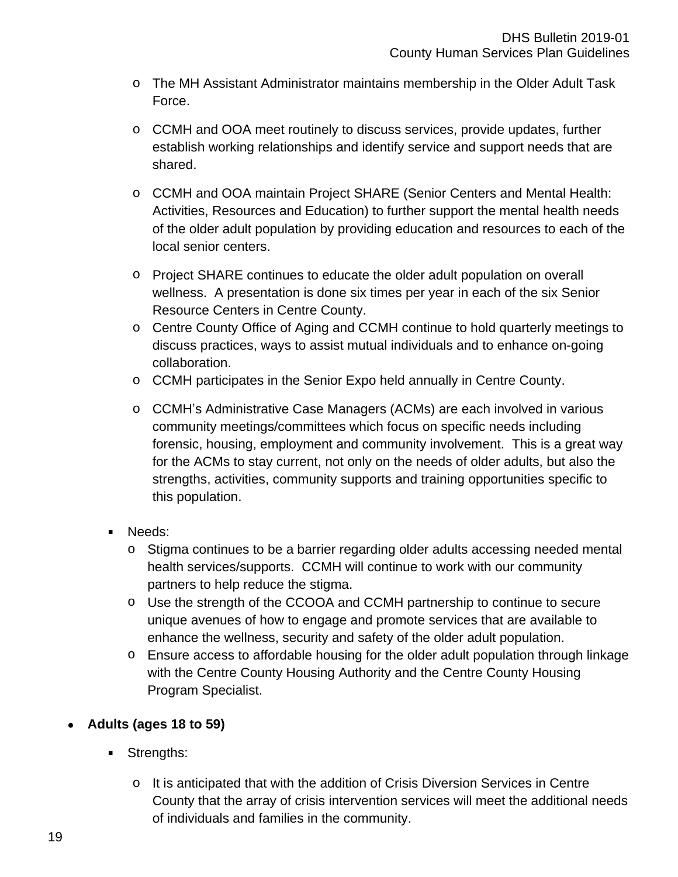- o The MH Assistant Administrator maintains membership in the Older Adult Task Force.
- o CCMH and OOA meet routinely to discuss services, provide updates, further establish working relationships and identify service and support needs that are shared.
- o CCMH and OOA maintain Project SHARE (Senior Centers and Mental Health: Activities, Resources and Education) to further support the mental health needs of the older adult population by providing education and resources to each of the local senior centers.
- o Project SHARE continues to educate the older adult population on overall wellness. A presentation is done six times per year in each of the six Senior Resource Centers in Centre County.
- o Centre County Office of Aging and CCMH continue to hold quarterly meetings to discuss practices, ways to assist mutual individuals and to enhance on-going collaboration.
- o CCMH participates in the Senior Expo held annually in Centre County.
- o CCMH's Administrative Case Managers (ACMs) are each involved in various community meetings/committees which focus on specific needs including forensic, housing, employment and community involvement. This is a great way for the ACMs to stay current, not only on the needs of older adults, but also the strengths, activities, community supports and training opportunities specific to this population.
- **Needs:** 
	- o Stigma continues to be a barrier regarding older adults accessing needed mental health services/supports. CCMH will continue to work with our community partners to help reduce the stigma.
	- o Use the strength of the CCOOA and CCMH partnership to continue to secure unique avenues of how to engage and promote services that are available to enhance the wellness, security and safety of the older adult population.
	- o Ensure access to affordable housing for the older adult population through linkage with the Centre County Housing Authority and the Centre County Housing Program Specialist.
- **Adults (ages 18 to 59)**
	- **Strengths:** 
		- o It is anticipated that with the addition of Crisis Diversion Services in Centre County that the array of crisis intervention services will meet the additional needs of individuals and families in the community.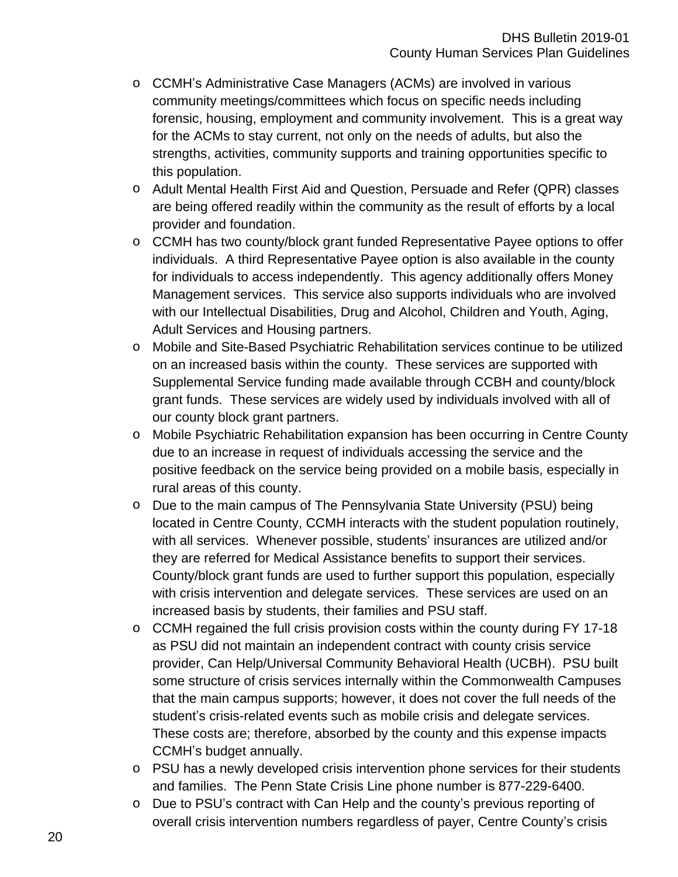- o CCMH's Administrative Case Managers (ACMs) are involved in various community meetings/committees which focus on specific needs including forensic, housing, employment and community involvement. This is a great way for the ACMs to stay current, not only on the needs of adults, but also the strengths, activities, community supports and training opportunities specific to this population.
- o Adult Mental Health First Aid and Question, Persuade and Refer (QPR) classes are being offered readily within the community as the result of efforts by a local provider and foundation.
- o CCMH has two county/block grant funded Representative Payee options to offer individuals. A third Representative Payee option is also available in the county for individuals to access independently. This agency additionally offers Money Management services. This service also supports individuals who are involved with our Intellectual Disabilities, Drug and Alcohol, Children and Youth, Aging, Adult Services and Housing partners.
- o Mobile and Site-Based Psychiatric Rehabilitation services continue to be utilized on an increased basis within the county. These services are supported with Supplemental Service funding made available through CCBH and county/block grant funds. These services are widely used by individuals involved with all of our county block grant partners.
- o Mobile Psychiatric Rehabilitation expansion has been occurring in Centre County due to an increase in request of individuals accessing the service and the positive feedback on the service being provided on a mobile basis, especially in rural areas of this county.
- o Due to the main campus of The Pennsylvania State University (PSU) being located in Centre County, CCMH interacts with the student population routinely, with all services. Whenever possible, students' insurances are utilized and/or they are referred for Medical Assistance benefits to support their services. County/block grant funds are used to further support this population, especially with crisis intervention and delegate services. These services are used on an increased basis by students, their families and PSU staff.
- $\circ$  CCMH regained the full crisis provision costs within the county during FY 17-18 as PSU did not maintain an independent contract with county crisis service provider, Can Help/Universal Community Behavioral Health (UCBH). PSU built some structure of crisis services internally within the Commonwealth Campuses that the main campus supports; however, it does not cover the full needs of the student's crisis-related events such as mobile crisis and delegate services. These costs are; therefore, absorbed by the county and this expense impacts CCMH's budget annually.
- o PSU has a newly developed crisis intervention phone services for their students and families. The Penn State Crisis Line phone number is 877-229-6400.
- o Due to PSU's contract with Can Help and the county's previous reporting of overall crisis intervention numbers regardless of payer, Centre County's crisis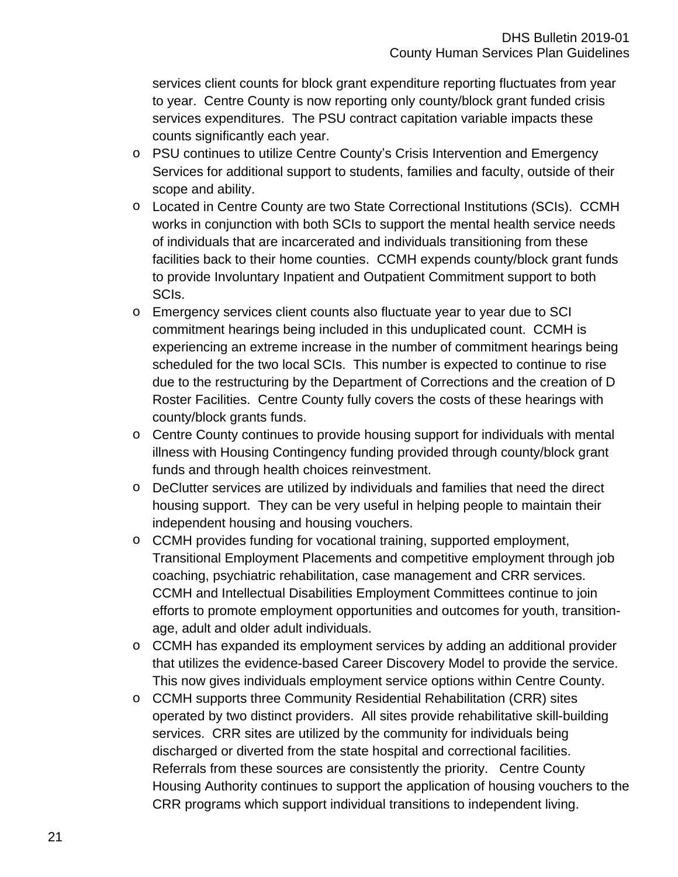services client counts for block grant expenditure reporting fluctuates from year to year. Centre County is now reporting only county/block grant funded crisis services expenditures. The PSU contract capitation variable impacts these counts significantly each year.

- o PSU continues to utilize Centre County's Crisis Intervention and Emergency Services for additional support to students, families and faculty, outside of their scope and ability.
- o Located in Centre County are two State Correctional Institutions (SCIs). CCMH works in conjunction with both SCIs to support the mental health service needs of individuals that are incarcerated and individuals transitioning from these facilities back to their home counties. CCMH expends county/block grant funds to provide Involuntary Inpatient and Outpatient Commitment support to both SCIs.
- o Emergency services client counts also fluctuate year to year due to SCI commitment hearings being included in this unduplicated count. CCMH is experiencing an extreme increase in the number of commitment hearings being scheduled for the two local SCIs. This number is expected to continue to rise due to the restructuring by the Department of Corrections and the creation of D Roster Facilities. Centre County fully covers the costs of these hearings with county/block grants funds.
- o Centre County continues to provide housing support for individuals with mental illness with Housing Contingency funding provided through county/block grant funds and through health choices reinvestment.
- o DeClutter services are utilized by individuals and families that need the direct housing support. They can be very useful in helping people to maintain their independent housing and housing vouchers.
- o CCMH provides funding for vocational training, supported employment, Transitional Employment Placements and competitive employment through job coaching, psychiatric rehabilitation, case management and CRR services. CCMH and Intellectual Disabilities Employment Committees continue to join efforts to promote employment opportunities and outcomes for youth, transitionage, adult and older adult individuals.
- o CCMH has expanded its employment services by adding an additional provider that utilizes the evidence-based Career Discovery Model to provide the service. This now gives individuals employment service options within Centre County.
- o CCMH supports three Community Residential Rehabilitation (CRR) sites operated by two distinct providers. All sites provide rehabilitative skill-building services. CRR sites are utilized by the community for individuals being discharged or diverted from the state hospital and correctional facilities. Referrals from these sources are consistently the priority. Centre County Housing Authority continues to support the application of housing vouchers to the CRR programs which support individual transitions to independent living.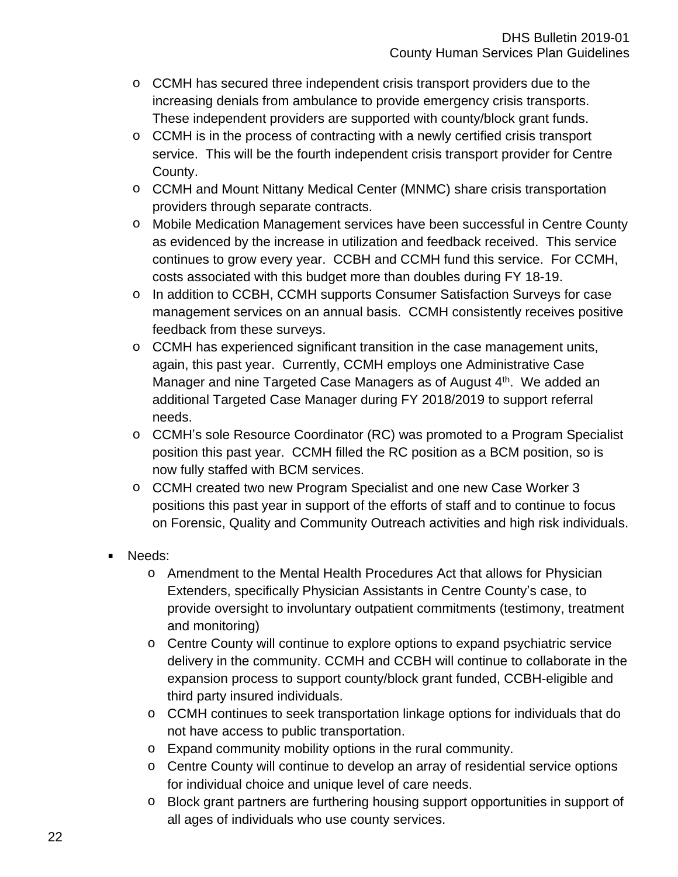- o CCMH has secured three independent crisis transport providers due to the increasing denials from ambulance to provide emergency crisis transports. These independent providers are supported with county/block grant funds.
- o CCMH is in the process of contracting with a newly certified crisis transport service. This will be the fourth independent crisis transport provider for Centre County.
- o CCMH and Mount Nittany Medical Center (MNMC) share crisis transportation providers through separate contracts.
- o Mobile Medication Management services have been successful in Centre County as evidenced by the increase in utilization and feedback received. This service continues to grow every year. CCBH and CCMH fund this service. For CCMH, costs associated with this budget more than doubles during FY 18-19.
- o In addition to CCBH, CCMH supports Consumer Satisfaction Surveys for case management services on an annual basis. CCMH consistently receives positive feedback from these surveys.
- o CCMH has experienced significant transition in the case management units, again, this past year. Currently, CCMH employs one Administrative Case Manager and nine Targeted Case Managers as of August  $4<sup>th</sup>$ . We added an additional Targeted Case Manager during FY 2018/2019 to support referral needs.
- o CCMH's sole Resource Coordinator (RC) was promoted to a Program Specialist position this past year. CCMH filled the RC position as a BCM position, so is now fully staffed with BCM services.
- o CCMH created two new Program Specialist and one new Case Worker 3 positions this past year in support of the efforts of staff and to continue to focus on Forensic, Quality and Community Outreach activities and high risk individuals.
- Needs:
	- o Amendment to the Mental Health Procedures Act that allows for Physician Extenders, specifically Physician Assistants in Centre County's case, to provide oversight to involuntary outpatient commitments (testimony, treatment and monitoring)
	- o Centre County will continue to explore options to expand psychiatric service delivery in the community. CCMH and CCBH will continue to collaborate in the expansion process to support county/block grant funded, CCBH-eligible and third party insured individuals.
	- o CCMH continues to seek transportation linkage options for individuals that do not have access to public transportation.
	- o Expand community mobility options in the rural community.
	- o Centre County will continue to develop an array of residential service options for individual choice and unique level of care needs.
	- o Block grant partners are furthering housing support opportunities in support of all ages of individuals who use county services.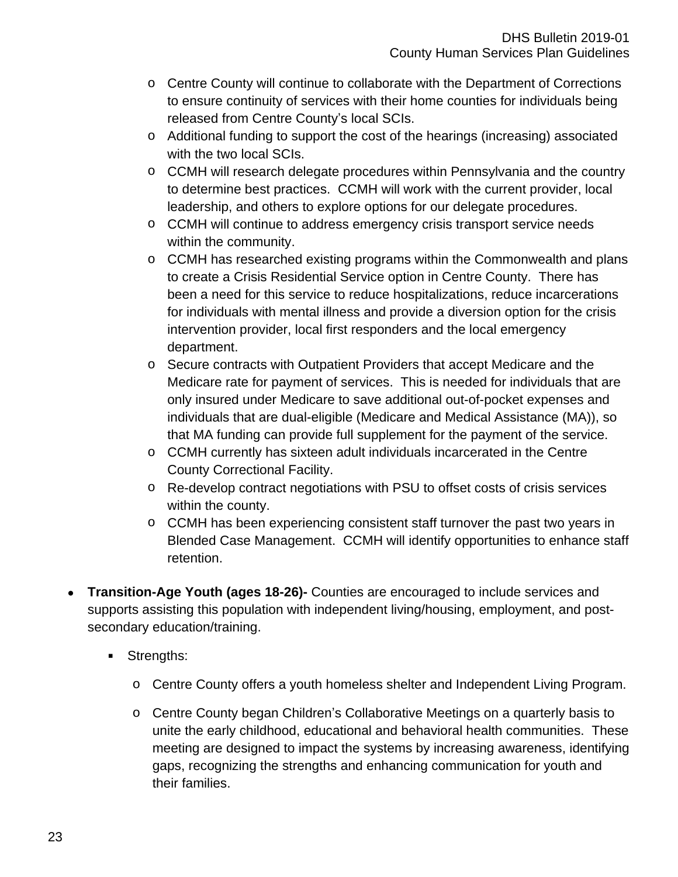- o Centre County will continue to collaborate with the Department of Corrections to ensure continuity of services with their home counties for individuals being released from Centre County's local SCIs.
- o Additional funding to support the cost of the hearings (increasing) associated with the two local SCIs.
- o CCMH will research delegate procedures within Pennsylvania and the country to determine best practices. CCMH will work with the current provider, local leadership, and others to explore options for our delegate procedures.
- o CCMH will continue to address emergency crisis transport service needs within the community.
- o CCMH has researched existing programs within the Commonwealth and plans to create a Crisis Residential Service option in Centre County. There has been a need for this service to reduce hospitalizations, reduce incarcerations for individuals with mental illness and provide a diversion option for the crisis intervention provider, local first responders and the local emergency department.
- o Secure contracts with Outpatient Providers that accept Medicare and the Medicare rate for payment of services. This is needed for individuals that are only insured under Medicare to save additional out-of-pocket expenses and individuals that are dual-eligible (Medicare and Medical Assistance (MA)), so that MA funding can provide full supplement for the payment of the service.
- o CCMH currently has sixteen adult individuals incarcerated in the Centre County Correctional Facility.
- o Re-develop contract negotiations with PSU to offset costs of crisis services within the county.
- o CCMH has been experiencing consistent staff turnover the past two years in Blended Case Management. CCMH will identify opportunities to enhance staff retention.
- **Transition-Age Youth (ages 18-26)-** Counties are encouraged to include services and supports assisting this population with independent living/housing, employment, and postsecondary education/training.
	- **Strengths:** 
		- o Centre County offers a youth homeless shelter and Independent Living Program.
		- o Centre County began Children's Collaborative Meetings on a quarterly basis to unite the early childhood, educational and behavioral health communities. These meeting are designed to impact the systems by increasing awareness, identifying gaps, recognizing the strengths and enhancing communication for youth and their families.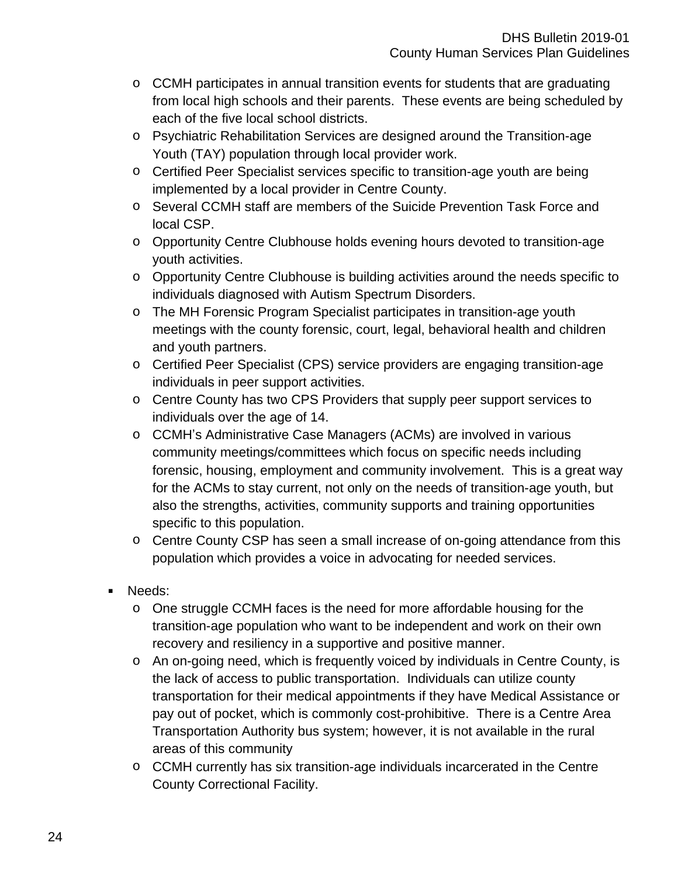- o CCMH participates in annual transition events for students that are graduating from local high schools and their parents. These events are being scheduled by each of the five local school districts.
- o Psychiatric Rehabilitation Services are designed around the Transition-age Youth (TAY) population through local provider work.
- o Certified Peer Specialist services specific to transition-age youth are being implemented by a local provider in Centre County.
- o Several CCMH staff are members of the Suicide Prevention Task Force and local CSP.
- o Opportunity Centre Clubhouse holds evening hours devoted to transition-age youth activities.
- o Opportunity Centre Clubhouse is building activities around the needs specific to individuals diagnosed with Autism Spectrum Disorders.
- o The MH Forensic Program Specialist participates in transition-age youth meetings with the county forensic, court, legal, behavioral health and children and youth partners.
- o Certified Peer Specialist (CPS) service providers are engaging transition-age individuals in peer support activities.
- o Centre County has two CPS Providers that supply peer support services to individuals over the age of 14.
- o CCMH's Administrative Case Managers (ACMs) are involved in various community meetings/committees which focus on specific needs including forensic, housing, employment and community involvement. This is a great way for the ACMs to stay current, not only on the needs of transition-age youth, but also the strengths, activities, community supports and training opportunities specific to this population.
- o Centre County CSP has seen a small increase of on-going attendance from this population which provides a voice in advocating for needed services.
- Needs:
	- o One struggle CCMH faces is the need for more affordable housing for the transition-age population who want to be independent and work on their own recovery and resiliency in a supportive and positive manner.
	- o An on-going need, which is frequently voiced by individuals in Centre County, is the lack of access to public transportation. Individuals can utilize county transportation for their medical appointments if they have Medical Assistance or pay out of pocket, which is commonly cost-prohibitive. There is a Centre Area Transportation Authority bus system; however, it is not available in the rural areas of this community
	- o CCMH currently has six transition-age individuals incarcerated in the Centre County Correctional Facility.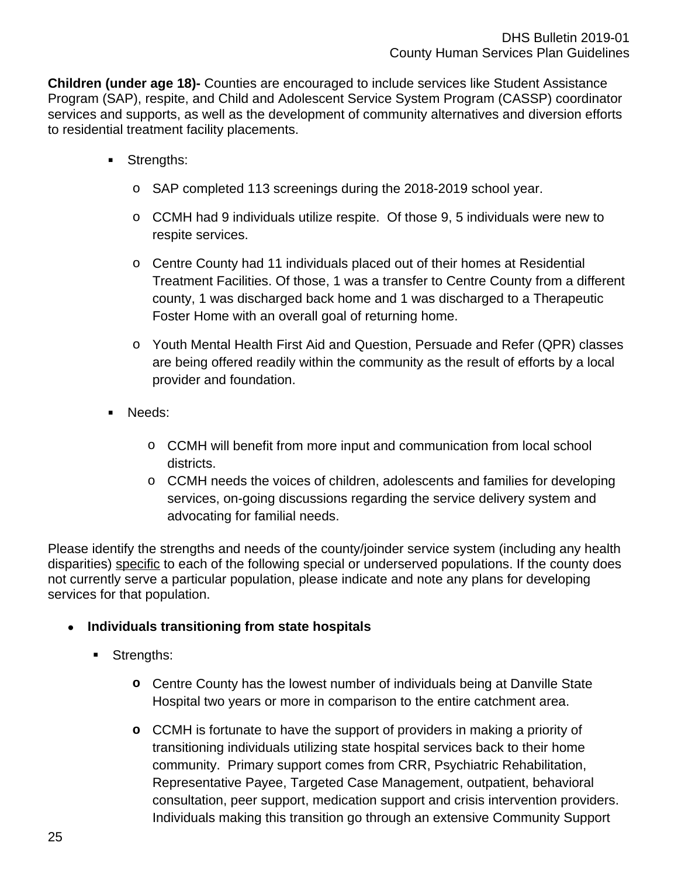**Children (under age 18)-** Counties are encouraged to include services like Student Assistance Program (SAP), respite, and Child and Adolescent Service System Program (CASSP) coordinator services and supports, as well as the development of community alternatives and diversion efforts to residential treatment facility placements.

- **Strengths:** 
	- o SAP completed 113 screenings during the 2018-2019 school year.
	- o CCMH had 9 individuals utilize respite. Of those 9, 5 individuals were new to respite services.
	- o Centre County had 11 individuals placed out of their homes at Residential Treatment Facilities. Of those, 1 was a transfer to Centre County from a different county, 1 was discharged back home and 1 was discharged to a Therapeutic Foster Home with an overall goal of returning home.
	- o Youth Mental Health First Aid and Question, Persuade and Refer (QPR) classes are being offered readily within the community as the result of efforts by a local provider and foundation.
- Needs:
	- o CCMH will benefit from more input and communication from local school districts.
	- o CCMH needs the voices of children, adolescents and families for developing services, on-going discussions regarding the service delivery system and advocating for familial needs.

Please identify the strengths and needs of the county/joinder service system (including any health disparities) specific to each of the following special or underserved populations. If the county does not currently serve a particular population, please indicate and note any plans for developing services for that population.

- **Individuals transitioning from state hospitals**
	- **Strengths:** 
		- **o** Centre County has the lowest number of individuals being at Danville State Hospital two years or more in comparison to the entire catchment area.
		- **o** CCMH is fortunate to have the support of providers in making a priority of transitioning individuals utilizing state hospital services back to their home community. Primary support comes from CRR, Psychiatric Rehabilitation, Representative Payee, Targeted Case Management, outpatient, behavioral consultation, peer support, medication support and crisis intervention providers. Individuals making this transition go through an extensive Community Support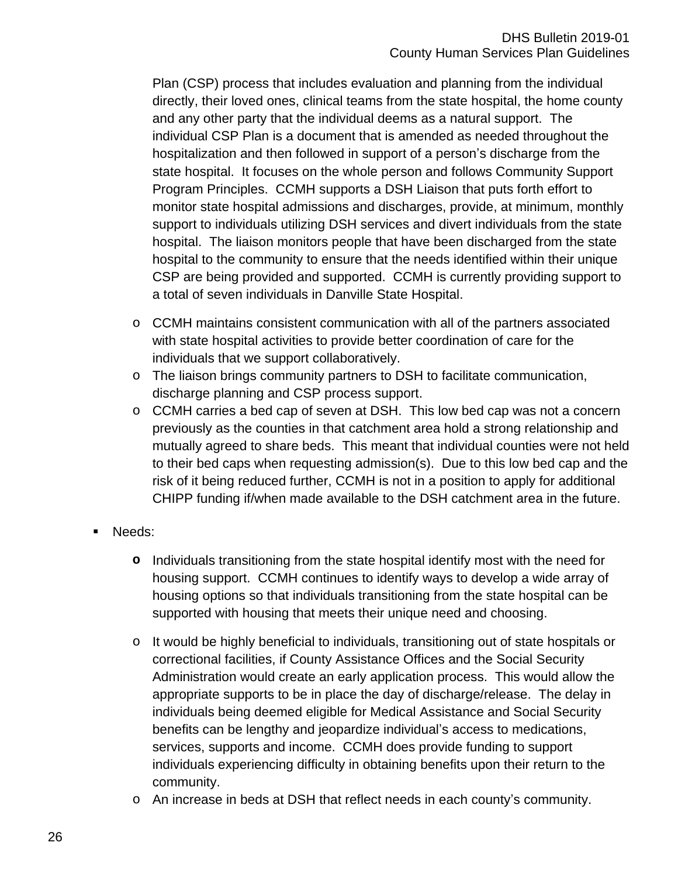Plan (CSP) process that includes evaluation and planning from the individual directly, their loved ones, clinical teams from the state hospital, the home county and any other party that the individual deems as a natural support. The individual CSP Plan is a document that is amended as needed throughout the hospitalization and then followed in support of a person's discharge from the state hospital. It focuses on the whole person and follows Community Support Program Principles. CCMH supports a DSH Liaison that puts forth effort to monitor state hospital admissions and discharges, provide, at minimum, monthly support to individuals utilizing DSH services and divert individuals from the state hospital. The liaison monitors people that have been discharged from the state hospital to the community to ensure that the needs identified within their unique CSP are being provided and supported. CCMH is currently providing support to a total of seven individuals in Danville State Hospital.

- o CCMH maintains consistent communication with all of the partners associated with state hospital activities to provide better coordination of care for the individuals that we support collaboratively.
- o The liaison brings community partners to DSH to facilitate communication, discharge planning and CSP process support.
- o CCMH carries a bed cap of seven at DSH. This low bed cap was not a concern previously as the counties in that catchment area hold a strong relationship and mutually agreed to share beds. This meant that individual counties were not held to their bed caps when requesting admission(s). Due to this low bed cap and the risk of it being reduced further, CCMH is not in a position to apply for additional CHIPP funding if/when made available to the DSH catchment area in the future.
- Needs:
	- **o** Individuals transitioning from the state hospital identify most with the need for housing support. CCMH continues to identify ways to develop a wide array of housing options so that individuals transitioning from the state hospital can be supported with housing that meets their unique need and choosing.
	- o It would be highly beneficial to individuals, transitioning out of state hospitals or correctional facilities, if County Assistance Offices and the Social Security Administration would create an early application process. This would allow the appropriate supports to be in place the day of discharge/release. The delay in individuals being deemed eligible for Medical Assistance and Social Security benefits can be lengthy and jeopardize individual's access to medications, services, supports and income. CCMH does provide funding to support individuals experiencing difficulty in obtaining benefits upon their return to the community.
	- o An increase in beds at DSH that reflect needs in each county's community.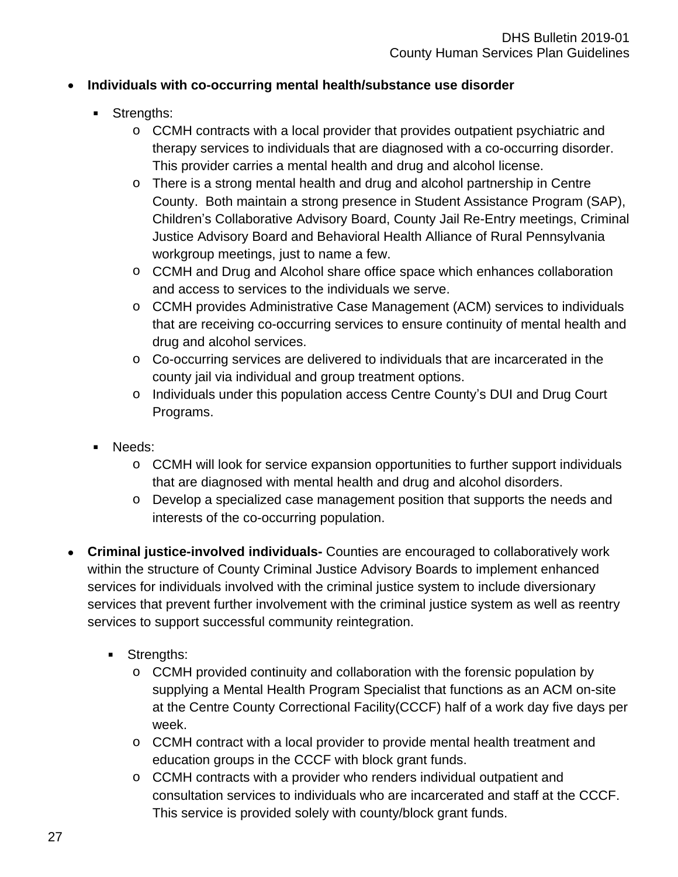# **Individuals with co-occurring mental health/substance use disorder**

- **Strengths:** 
	- o CCMH contracts with a local provider that provides outpatient psychiatric and therapy services to individuals that are diagnosed with a co-occurring disorder. This provider carries a mental health and drug and alcohol license.
	- o There is a strong mental health and drug and alcohol partnership in Centre County. Both maintain a strong presence in Student Assistance Program (SAP), Children's Collaborative Advisory Board, County Jail Re-Entry meetings, Criminal Justice Advisory Board and Behavioral Health Alliance of Rural Pennsylvania workgroup meetings, just to name a few.
	- o CCMH and Drug and Alcohol share office space which enhances collaboration and access to services to the individuals we serve.
	- o CCMH provides Administrative Case Management (ACM) services to individuals that are receiving co-occurring services to ensure continuity of mental health and drug and alcohol services.
	- o Co-occurring services are delivered to individuals that are incarcerated in the county jail via individual and group treatment options.
	- o Individuals under this population access Centre County's DUI and Drug Court Programs.
- Needs:
	- o CCMH will look for service expansion opportunities to further support individuals that are diagnosed with mental health and drug and alcohol disorders.
	- o Develop a specialized case management position that supports the needs and interests of the co-occurring population.
- **Criminal justice-involved individuals-** Counties are encouraged to collaboratively work within the structure of County Criminal Justice Advisory Boards to implement enhanced services for individuals involved with the criminal justice system to include diversionary services that prevent further involvement with the criminal justice system as well as reentry services to support successful community reintegration.
	- **Strengths:** 
		- o CCMH provided continuity and collaboration with the forensic population by supplying a Mental Health Program Specialist that functions as an ACM on-site at the Centre County Correctional Facility(CCCF) half of a work day five days per week.
		- o CCMH contract with a local provider to provide mental health treatment and education groups in the CCCF with block grant funds.
		- o CCMH contracts with a provider who renders individual outpatient and consultation services to individuals who are incarcerated and staff at the CCCF. This service is provided solely with county/block grant funds.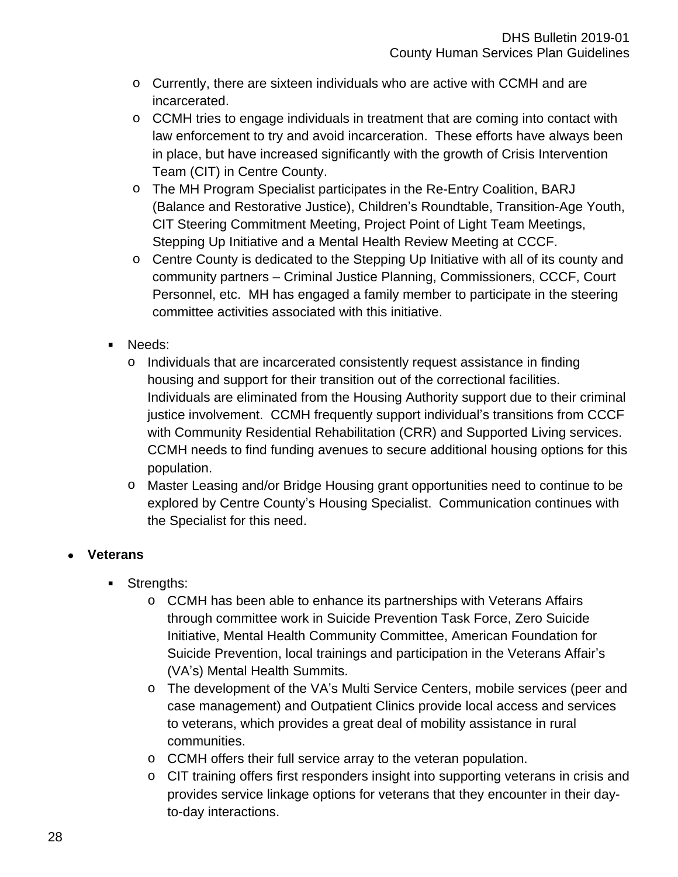- o Currently, there are sixteen individuals who are active with CCMH and are incarcerated.
- o CCMH tries to engage individuals in treatment that are coming into contact with law enforcement to try and avoid incarceration. These efforts have always been in place, but have increased significantly with the growth of Crisis Intervention Team (CIT) in Centre County.
- o The MH Program Specialist participates in the Re-Entry Coalition, BARJ (Balance and Restorative Justice), Children's Roundtable, Transition-Age Youth, CIT Steering Commitment Meeting, Project Point of Light Team Meetings, Stepping Up Initiative and a Mental Health Review Meeting at CCCF.
- o Centre County is dedicated to the Stepping Up Initiative with all of its county and community partners – Criminal Justice Planning, Commissioners, CCCF, Court Personnel, etc. MH has engaged a family member to participate in the steering committee activities associated with this initiative.
- Needs:
	- o Individuals that are incarcerated consistently request assistance in finding housing and support for their transition out of the correctional facilities. Individuals are eliminated from the Housing Authority support due to their criminal justice involvement. CCMH frequently support individual's transitions from CCCF with Community Residential Rehabilitation (CRR) and Supported Living services. CCMH needs to find funding avenues to secure additional housing options for this population.
	- o Master Leasing and/or Bridge Housing grant opportunities need to continue to be explored by Centre County's Housing Specialist. Communication continues with the Specialist for this need.

# **Veterans**

- Strengths:
	- o CCMH has been able to enhance its partnerships with Veterans Affairs through committee work in Suicide Prevention Task Force, Zero Suicide Initiative, Mental Health Community Committee, American Foundation for Suicide Prevention, local trainings and participation in the Veterans Affair's (VA's) Mental Health Summits.
	- o The development of the VA's Multi Service Centers, mobile services (peer and case management) and Outpatient Clinics provide local access and services to veterans, which provides a great deal of mobility assistance in rural communities.
	- o CCMH offers their full service array to the veteran population.
	- o CIT training offers first responders insight into supporting veterans in crisis and provides service linkage options for veterans that they encounter in their dayto-day interactions.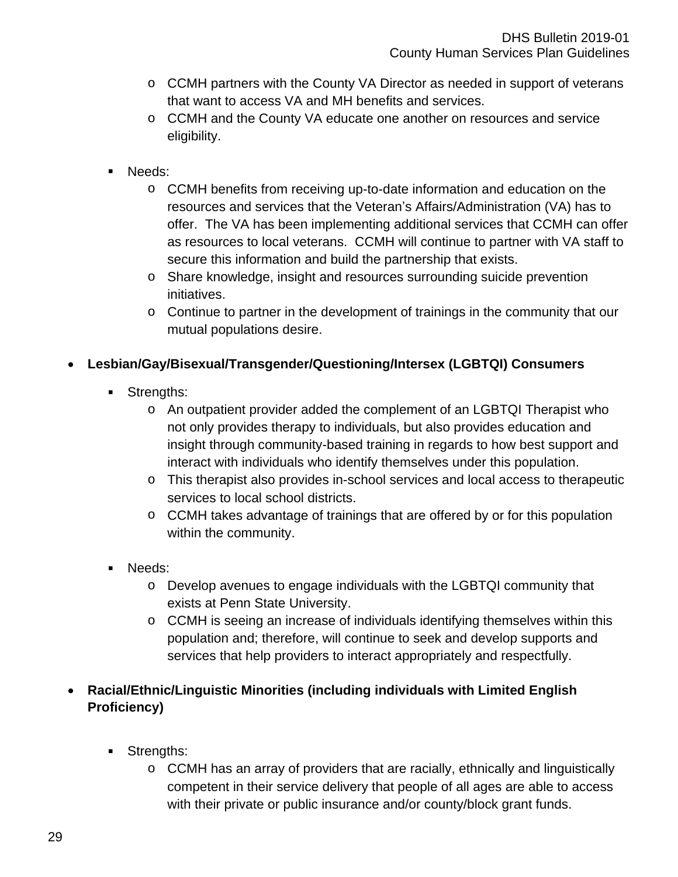- o CCMH partners with the County VA Director as needed in support of veterans that want to access VA and MH benefits and services.
- o CCMH and the County VA educate one another on resources and service eligibility.
- Needs:
	- o CCMH benefits from receiving up-to-date information and education on the resources and services that the Veteran's Affairs/Administration (VA) has to offer. The VA has been implementing additional services that CCMH can offer as resources to local veterans. CCMH will continue to partner with VA staff to secure this information and build the partnership that exists.
	- o Share knowledge, insight and resources surrounding suicide prevention initiatives.
	- o Continue to partner in the development of trainings in the community that our mutual populations desire.

# **Lesbian/Gay/Bisexual/Transgender/Questioning/Intersex (LGBTQI) Consumers**

- **Strengths:** 
	- o An outpatient provider added the complement of an LGBTQI Therapist who not only provides therapy to individuals, but also provides education and insight through community-based training in regards to how best support and interact with individuals who identify themselves under this population.
	- o This therapist also provides in-school services and local access to therapeutic services to local school districts.
	- o CCMH takes advantage of trainings that are offered by or for this population within the community.
- **Needs:** 
	- o Develop avenues to engage individuals with the LGBTQI community that exists at Penn State University.
	- o CCMH is seeing an increase of individuals identifying themselves within this population and; therefore, will continue to seek and develop supports and services that help providers to interact appropriately and respectfully.
- **Racial/Ethnic/Linguistic Minorities (including individuals with Limited English Proficiency)**
	- Strengths:
		- o CCMH has an array of providers that are racially, ethnically and linguistically competent in their service delivery that people of all ages are able to access with their private or public insurance and/or county/block grant funds.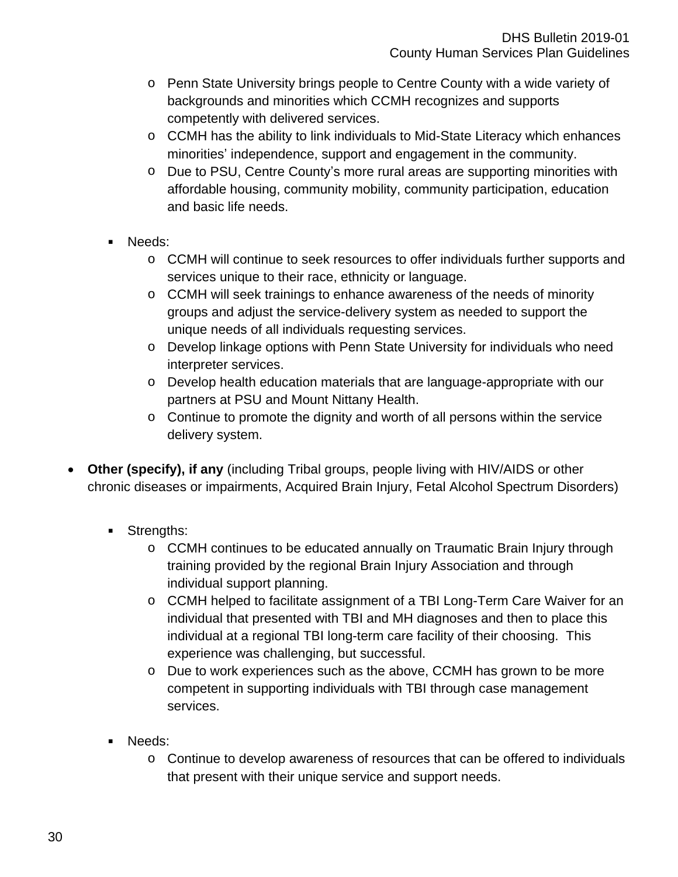- o Penn State University brings people to Centre County with a wide variety of backgrounds and minorities which CCMH recognizes and supports competently with delivered services.
- o CCMH has the ability to link individuals to Mid-State Literacy which enhances minorities' independence, support and engagement in the community.
- o Due to PSU, Centre County's more rural areas are supporting minorities with affordable housing, community mobility, community participation, education and basic life needs.
- Needs:
	- o CCMH will continue to seek resources to offer individuals further supports and services unique to their race, ethnicity or language.
	- o CCMH will seek trainings to enhance awareness of the needs of minority groups and adjust the service-delivery system as needed to support the unique needs of all individuals requesting services.
	- o Develop linkage options with Penn State University for individuals who need interpreter services.
	- o Develop health education materials that are language-appropriate with our partners at PSU and Mount Nittany Health.
	- o Continue to promote the dignity and worth of all persons within the service delivery system.
- **Other (specify), if any** (including Tribal groups, people living with HIV/AIDS or other chronic diseases or impairments, Acquired Brain Injury, Fetal Alcohol Spectrum Disorders)
	- **Strengths:** 
		- o CCMH continues to be educated annually on Traumatic Brain Injury through training provided by the regional Brain Injury Association and through individual support planning.
		- o CCMH helped to facilitate assignment of a TBI Long-Term Care Waiver for an individual that presented with TBI and MH diagnoses and then to place this individual at a regional TBI long-term care facility of their choosing. This experience was challenging, but successful.
		- o Due to work experiences such as the above, CCMH has grown to be more competent in supporting individuals with TBI through case management services.
	- Needs:
		- o Continue to develop awareness of resources that can be offered to individuals that present with their unique service and support needs.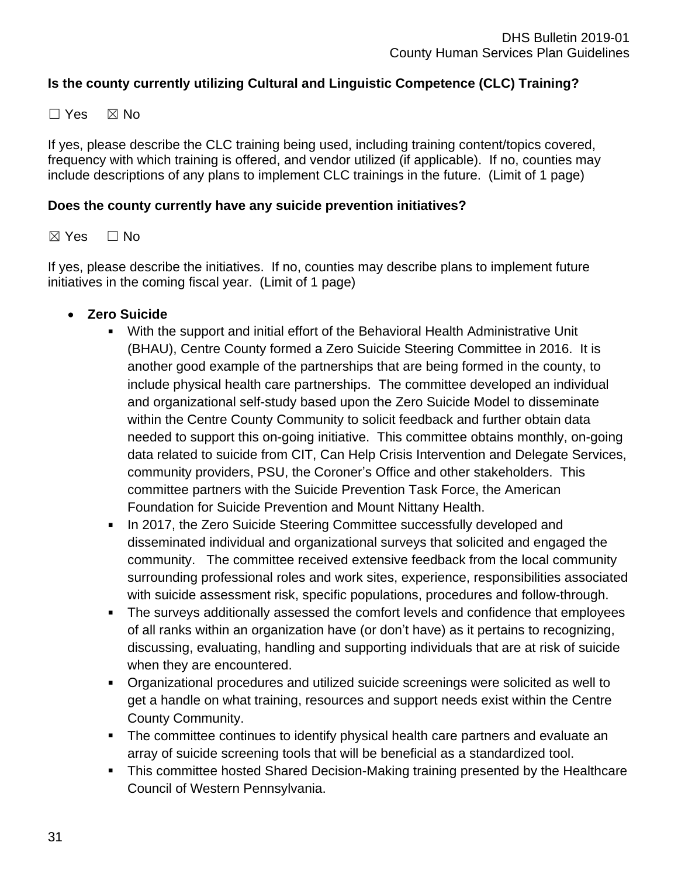## **Is the county currently utilizing Cultural and Linguistic Competence (CLC) Training?**

 $\Box$  Yes  $\boxtimes$  No

If yes, please describe the CLC training being used, including training content/topics covered, frequency with which training is offered, and vendor utilized (if applicable). If no, counties may include descriptions of any plans to implement CLC trainings in the future. (Limit of 1 page)

### **Does the county currently have any suicide prevention initiatives?**

### $\boxtimes$  Yes  $\Box$  No

If yes, please describe the initiatives. If no, counties may describe plans to implement future initiatives in the coming fiscal year. (Limit of 1 page)

- **Zero Suicide**
	- With the support and initial effort of the Behavioral Health Administrative Unit (BHAU), Centre County formed a Zero Suicide Steering Committee in 2016. It is another good example of the partnerships that are being formed in the county, to include physical health care partnerships. The committee developed an individual and organizational self-study based upon the Zero Suicide Model to disseminate within the Centre County Community to solicit feedback and further obtain data needed to support this on-going initiative. This committee obtains monthly, on-going data related to suicide from CIT, Can Help Crisis Intervention and Delegate Services, community providers, PSU, the Coroner's Office and other stakeholders. This committee partners with the Suicide Prevention Task Force, the American Foundation for Suicide Prevention and Mount Nittany Health.
	- In 2017, the Zero Suicide Steering Committee successfully developed and disseminated individual and organizational surveys that solicited and engaged the community. The committee received extensive feedback from the local community surrounding professional roles and work sites, experience, responsibilities associated with suicide assessment risk, specific populations, procedures and follow-through.
	- The surveys additionally assessed the comfort levels and confidence that employees of all ranks within an organization have (or don't have) as it pertains to recognizing, discussing, evaluating, handling and supporting individuals that are at risk of suicide when they are encountered.
	- Organizational procedures and utilized suicide screenings were solicited as well to get a handle on what training, resources and support needs exist within the Centre County Community.
	- The committee continues to identify physical health care partners and evaluate an array of suicide screening tools that will be beneficial as a standardized tool.
	- This committee hosted Shared Decision-Making training presented by the Healthcare Council of Western Pennsylvania.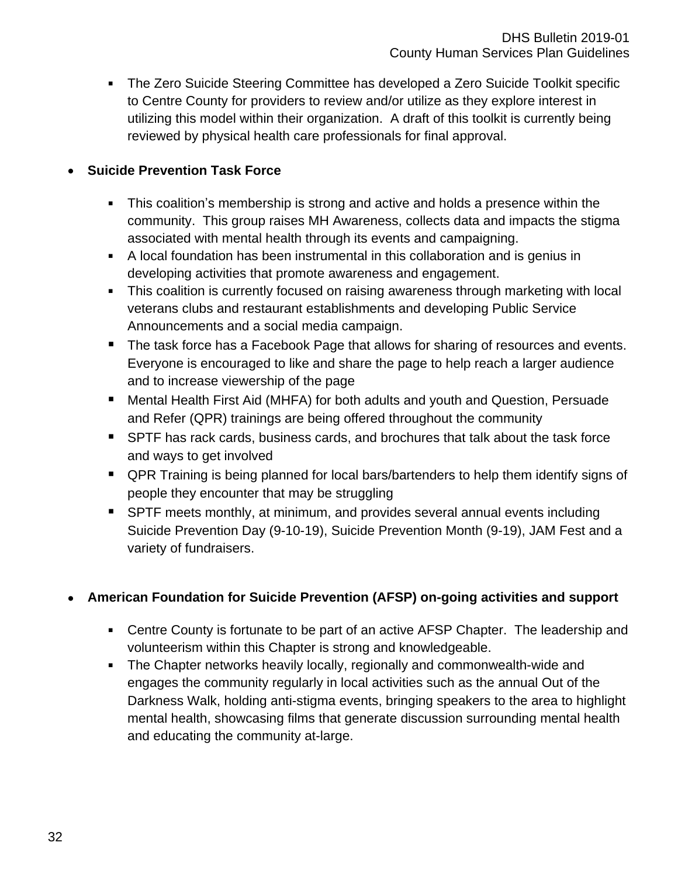The Zero Suicide Steering Committee has developed a Zero Suicide Toolkit specific to Centre County for providers to review and/or utilize as they explore interest in utilizing this model within their organization. A draft of this toolkit is currently being reviewed by physical health care professionals for final approval.

# **Suicide Prevention Task Force**

- This coalition's membership is strong and active and holds a presence within the community. This group raises MH Awareness, collects data and impacts the stigma associated with mental health through its events and campaigning.
- A local foundation has been instrumental in this collaboration and is genius in developing activities that promote awareness and engagement.
- This coalition is currently focused on raising awareness through marketing with local veterans clubs and restaurant establishments and developing Public Service Announcements and a social media campaign.
- The task force has a Facebook Page that allows for sharing of resources and events. Everyone is encouraged to like and share the page to help reach a larger audience and to increase viewership of the page
- Mental Health First Aid (MHFA) for both adults and youth and Question, Persuade and Refer (QPR) trainings are being offered throughout the community
- SPTF has rack cards, business cards, and brochures that talk about the task force and ways to get involved
- **QPR Training is being planned for local bars/bartenders to help them identify signs of** people they encounter that may be struggling
- SPTF meets monthly, at minimum, and provides several annual events including Suicide Prevention Day (9-10-19), Suicide Prevention Month (9-19), JAM Fest and a variety of fundraisers.

# **American Foundation for Suicide Prevention (AFSP) on-going activities and support**

- Centre County is fortunate to be part of an active AFSP Chapter. The leadership and volunteerism within this Chapter is strong and knowledgeable.
- **The Chapter networks heavily locally, regionally and commonwealth-wide and** engages the community regularly in local activities such as the annual Out of the Darkness Walk, holding anti-stigma events, bringing speakers to the area to highlight mental health, showcasing films that generate discussion surrounding mental health and educating the community at-large.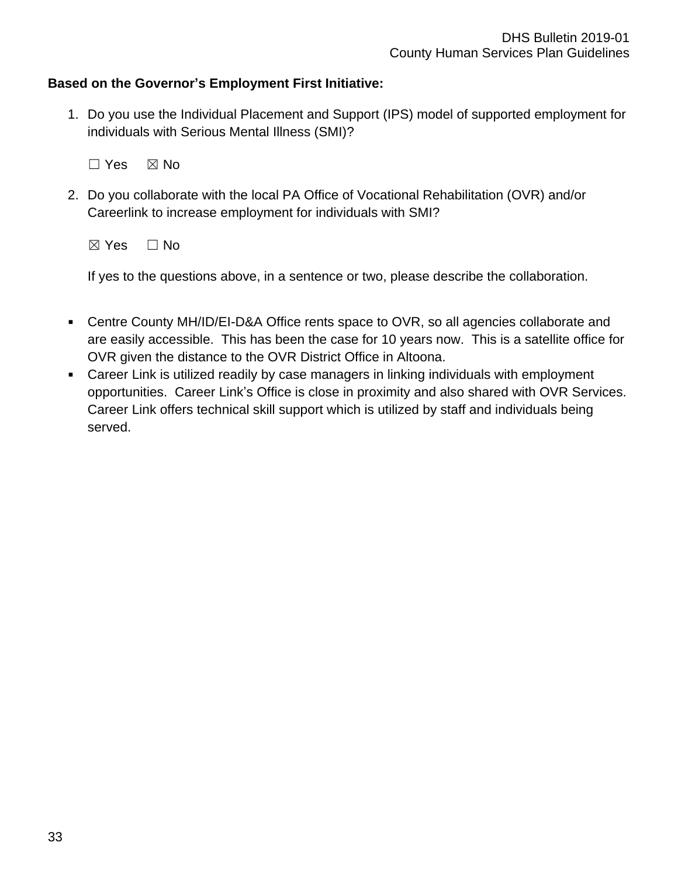### **Based on the Governor's Employment First Initiative:**

1. Do you use the Individual Placement and Support (IPS) model of supported employment for individuals with Serious Mental Illness (SMI)?

☐ Yes ☒ No

2. Do you collaborate with the local PA Office of Vocational Rehabilitation (OVR) and/or Careerlink to increase employment for individuals with SMI?

 $\boxtimes$  Yes  $\Box$  No

If yes to the questions above, in a sentence or two, please describe the collaboration.

- Centre County MH/ID/EI-D&A Office rents space to OVR, so all agencies collaborate and are easily accessible. This has been the case for 10 years now. This is a satellite office for OVR given the distance to the OVR District Office in Altoona.
- Career Link is utilized readily by case managers in linking individuals with employment opportunities. Career Link's Office is close in proximity and also shared with OVR Services. Career Link offers technical skill support which is utilized by staff and individuals being served.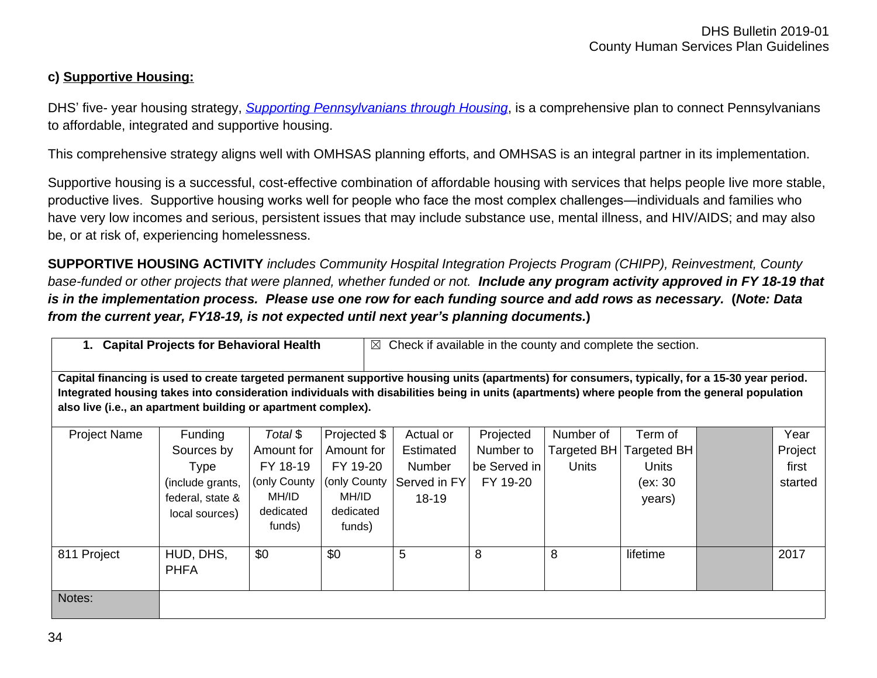# **c) Supportive Housing:**

DHS' five- year housing strategy, *Supporting Pennsylvanians through Housing*, is a comprehensive plan to to affordable, integrated and supportive housing.

This comprehensive strategy aligns well with OMHSAS planning efforts, and OMHSAS is an integral partne

Supportive housing is a successful, cost-effective combination of affordable housing with services that helps productive lives. Supportive housing works well for people who face the most complex challenges—individe have very low incomes and serious, persistent issues that may include substance use, mental illness, and H be, or at risk of, experiencing homelessness.

**SUPPORTIVE HOUSING ACTIVITY** *includes Community Hospital Integration Projects Program (CHIPP), Reginal* base-funded or other projects that were planned, whether funded or not. **Include any program activity ap** *is in the implementation process. Please use one row for each funding source and add rows as ned from the current year, FY18-19, is not expected until next year's planning documents.***)**

**1. Capital Projects for Behavioral Health**  $\Box$  Check if available in the county and complete the section.

Capital financing is used to create targeted permanent supportive housing units (apartments) for consumers, typically Integrated housing takes into consideration individuals with disabilities being in units (apartments) where people fron **also live (i.e., an apartment building or apartment complex).**

| <b>Project Name</b> | Funding                  | Total \$     | Projected \$  | Actual or     | Projected    | Number of   | Term of      |
|---------------------|--------------------------|--------------|---------------|---------------|--------------|-------------|--------------|
|                     | Sources by               | Amount for   | Amount for    | Estimated     | Number to    | Targeted BH | Targeted     |
|                     | Type                     | FY 18-19     | FY 19-20      | <b>Number</b> | be Served in | Units       | <b>Units</b> |
|                     | (include grants,         | (only County | (only County) | Served in FY  | FY 19-20     |             | (ex: 30)     |
|                     | federal, state &         | MH/ID        | MH/ID         | $18-19$       |              |             | years)       |
|                     | local sources)           | dedicated    | dedicated     |               |              |             |              |
|                     |                          | funds)       | funds)        |               |              |             |              |
| 811 Project         | HUD, DHS,<br><b>PHFA</b> | \$0          | \$0           | 5             | 8            | 8           | lifetime     |
|                     |                          |              |               |               |              |             |              |
| Notes:              |                          |              |               |               |              |             |              |
|                     |                          |              |               |               |              |             |              |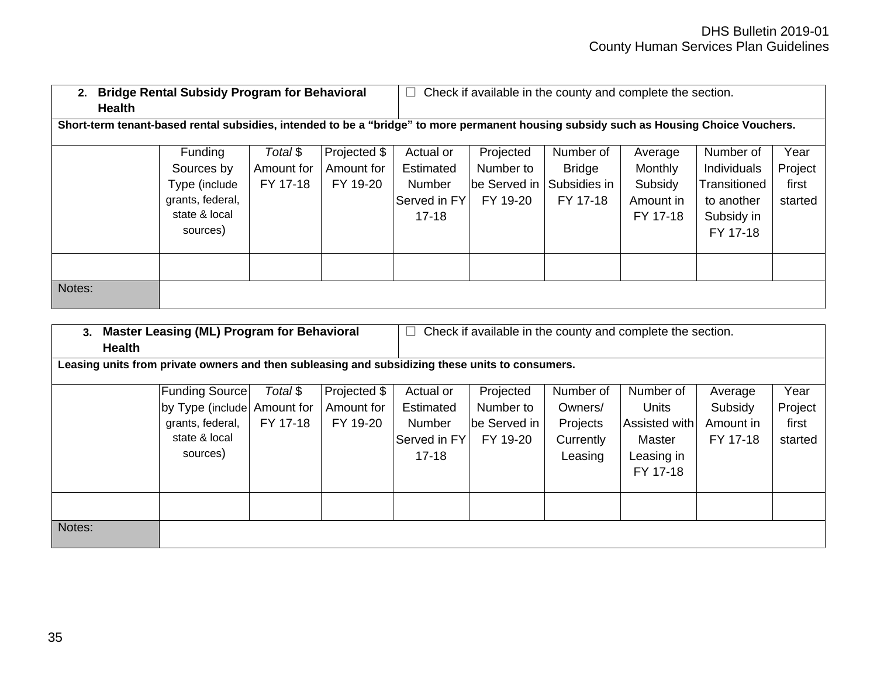|                                                                                                                                        | <b>Bridge Rental Subsidy Program for Behavioral</b><br>2.<br><b>Health</b> |                                                                                         |                                    |                                        |                                                                             | $\Box$ Check if available in the county and complete the section. |                                                        |                                                        |                                                                                  |                                     |
|----------------------------------------------------------------------------------------------------------------------------------------|----------------------------------------------------------------------------|-----------------------------------------------------------------------------------------|------------------------------------|----------------------------------------|-----------------------------------------------------------------------------|-------------------------------------------------------------------|--------------------------------------------------------|--------------------------------------------------------|----------------------------------------------------------------------------------|-------------------------------------|
| Short-term tenant-based rental subsidies, intended to be a "bridge" to more permanent housing subsidy such as Housing Choice Vouchers. |                                                                            |                                                                                         |                                    |                                        |                                                                             |                                                                   |                                                        |                                                        |                                                                                  |                                     |
|                                                                                                                                        |                                                                            | Funding<br>Sources by<br>Type (include<br>grants, federal,<br>state & local<br>sources) | Total \$<br>Amount for<br>FY 17-18 | Projected \$<br>Amount for<br>FY 19-20 | Actual or<br><b>Estimated</b><br><b>Number</b><br>Served in FY<br>$17 - 18$ | Projected<br>Number to<br>be Served in<br>FY 19-20                | Number of<br><b>Bridge</b><br>Subsidies in<br>FY 17-18 | Average<br>Monthly<br>Subsidy<br>Amount in<br>FY 17-18 | Number of<br>Individuals<br>Transitioned<br>to another<br>Subsidy in<br>FY 17-18 | Year<br>Project<br>first<br>started |
| Notes:                                                                                                                                 |                                                                            |                                                                                         |                                    |                                        |                                                                             |                                                                   |                                                        |                                                        |                                                                                  |                                     |

|                                                                                                 | 3. Master Leasing (ML) Program for Behavioral                                                         |                      |                                        |                                                               | Check if available in the county and complete the section. |                                                          |                                                             |                                             |                                     |  |
|-------------------------------------------------------------------------------------------------|-------------------------------------------------------------------------------------------------------|----------------------|----------------------------------------|---------------------------------------------------------------|------------------------------------------------------------|----------------------------------------------------------|-------------------------------------------------------------|---------------------------------------------|-------------------------------------|--|
| <b>Health</b>                                                                                   |                                                                                                       |                      |                                        |                                                               |                                                            |                                                          |                                                             |                                             |                                     |  |
| Leasing units from private owners and then subleasing and subsidizing these units to consumers. |                                                                                                       |                      |                                        |                                                               |                                                            |                                                          |                                                             |                                             |                                     |  |
|                                                                                                 | <b>Funding Source</b><br>by Type (include Amount for<br>grants, federal,<br>state & local<br>sources) | Total \$<br>FY 17-18 | Projected \$<br>Amount for<br>FY 19-20 | Actual or<br>Estimated<br>Number<br>Served in FY<br>$17 - 18$ | Projected<br>Number to<br>be Served in<br>FY 19-20         | Number of<br>Owners/<br>Projects<br>Currently<br>Leasing | Number of<br>Units<br>Assisted with<br>Master<br>Leasing in | Average<br>Subsidy<br>Amount in<br>FY 17-18 | Year<br>Project<br>first<br>started |  |
|                                                                                                 |                                                                                                       |                      |                                        |                                                               |                                                            |                                                          | FY 17-18                                                    |                                             |                                     |  |
| Notes:                                                                                          |                                                                                                       |                      |                                        |                                                               |                                                            |                                                          |                                                             |                                             |                                     |  |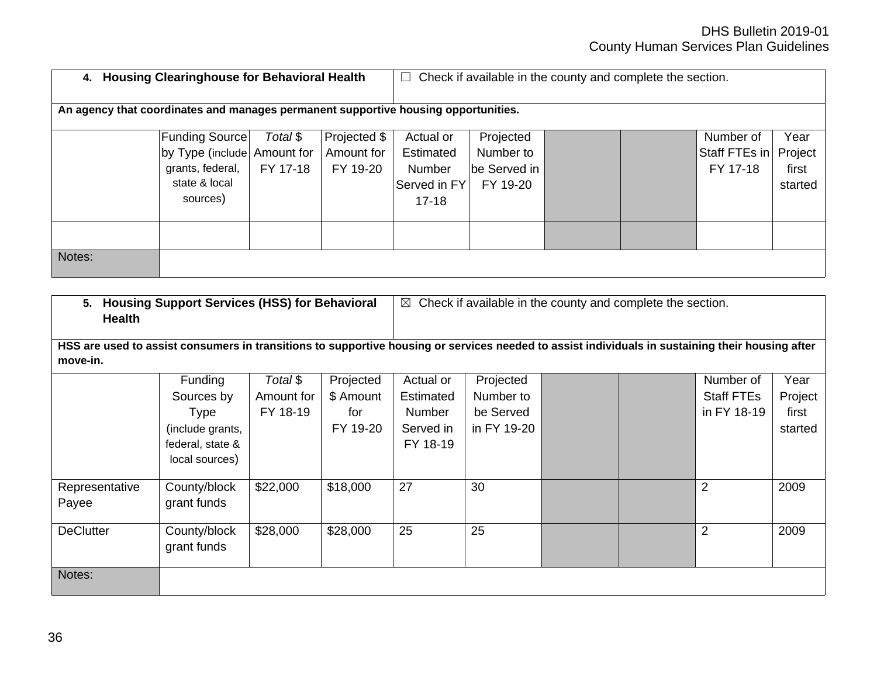|                                                                                    | 4. Housing Clearinghouse for Behavioral Health |          |              | Check if available in the county and complete the section. |              |  |  |               |         |
|------------------------------------------------------------------------------------|------------------------------------------------|----------|--------------|------------------------------------------------------------|--------------|--|--|---------------|---------|
| An agency that coordinates and manages permanent supportive housing opportunities. |                                                |          |              |                                                            |              |  |  |               |         |
|                                                                                    | <b>Funding Source</b>                          | Total \$ | Projected \$ | Actual or                                                  | Projected    |  |  | Number of     | Year    |
|                                                                                    | by Type (include Amount for                    |          | Amount for   | Estimated                                                  | Number to    |  |  | Staff FTEs in | Project |
|                                                                                    | grants, federal,                               | FY 17-18 | FY 19-20     | Number                                                     | be Served in |  |  | FY 17-18      | first   |
|                                                                                    | state & local                                  |          |              | Served in FY                                               | FY 19-20     |  |  |               | started |
|                                                                                    | sources)                                       |          |              | $17-18$                                                    |              |  |  |               |         |
|                                                                                    |                                                |          |              |                                                            |              |  |  |               |         |
|                                                                                    |                                                |          |              |                                                            |              |  |  |               |         |
|                                                                                    |                                                |          |              |                                                            |              |  |  |               |         |
| Notes:                                                                             |                                                |          |              |                                                            |              |  |  |               |         |

| <b>Housing Support Services (HSS) for Behavioral</b><br>5.<br><b>Health</b>                                                                                  | $\boxtimes$                        | Check if available in the county and complete the section. |           |           |             |  |                   |         |
|--------------------------------------------------------------------------------------------------------------------------------------------------------------|------------------------------------|------------------------------------------------------------|-----------|-----------|-------------|--|-------------------|---------|
| HSS are used to assist consumers in transitions to supportive housing or services needed to assist individuals in sustaining their housing after<br>move-in. |                                    |                                                            |           |           |             |  |                   |         |
|                                                                                                                                                              | Funding                            | Total \$                                                   | Projected | Actual or | Projected   |  | Number of         | Year    |
|                                                                                                                                                              | Sources by                         | Amount for                                                 | \$ Amount | Estimated | Number to   |  | <b>Staff FTEs</b> | Project |
|                                                                                                                                                              | <b>Type</b>                        | FY 18-19                                                   | for       | Number    | be Served   |  | in FY 18-19       | first   |
|                                                                                                                                                              | (include grants,                   |                                                            | FY 19-20  | Served in | in FY 19-20 |  |                   | started |
|                                                                                                                                                              | federal, state &<br>local sources) |                                                            |           | FY 18-19  |             |  |                   |         |
| Representative<br>Payee                                                                                                                                      | County/block<br>grant funds        | \$22,000                                                   | \$18,000  | 27        | 30          |  | 2                 | 2009    |
| <b>DeClutter</b>                                                                                                                                             | County/block<br>grant funds        | \$28,000                                                   | \$28,000  | 25        | 25          |  | $\overline{2}$    | 2009    |
| Notes:                                                                                                                                                       |                                    |                                                            |           |           |             |  |                   |         |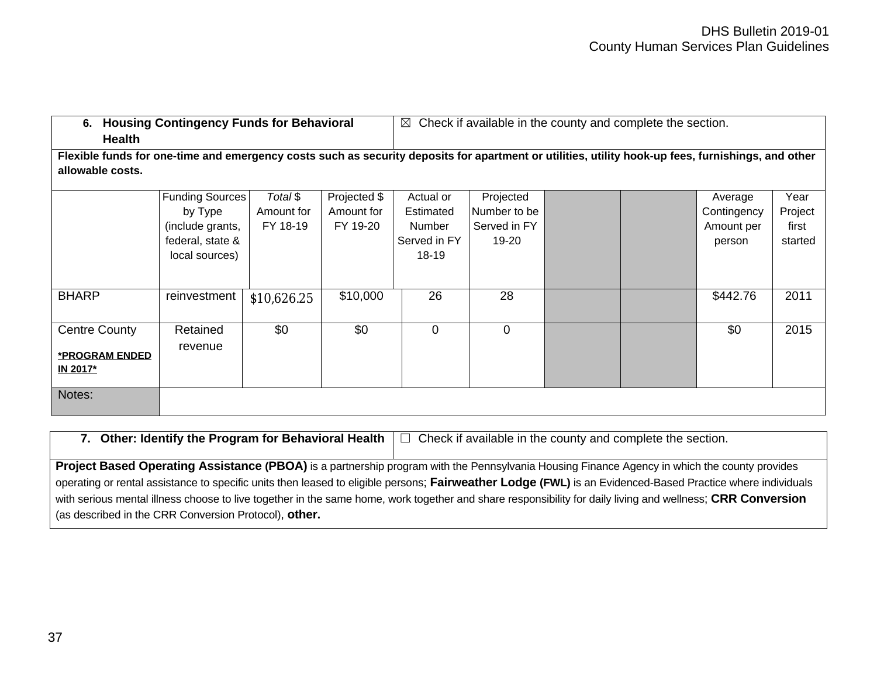| 6. Housing Contingency Funds for Behavioral<br><b>Health</b>                                                                                       |                  |             |              | $\boxtimes$  | Check if available in the county and complete the section. |  |             |         |
|----------------------------------------------------------------------------------------------------------------------------------------------------|------------------|-------------|--------------|--------------|------------------------------------------------------------|--|-------------|---------|
| Flexible funds for one-time and emergency costs such as security deposits for apartment or utilities, utility hook-up fees, furnishings, and other |                  |             |              |              |                                                            |  |             |         |
| allowable costs.                                                                                                                                   |                  |             |              |              |                                                            |  |             |         |
|                                                                                                                                                    | Funding Sources  | Total \$    | Projected \$ | Actual or    | Projected                                                  |  | Average     | Year    |
|                                                                                                                                                    | by Type          | Amount for  | Amount for   | Estimated    | Number to be                                               |  | Contingency | Project |
|                                                                                                                                                    | (include grants, | FY 18-19    | FY 19-20     | Number       | Served in FY                                               |  | Amount per  | first   |
|                                                                                                                                                    | federal, state & |             |              | Served in FY | 19-20                                                      |  | person      | started |
|                                                                                                                                                    | local sources)   |             |              | 18-19        |                                                            |  |             |         |
|                                                                                                                                                    |                  |             |              |              |                                                            |  |             |         |
| <b>BHARP</b>                                                                                                                                       | reinvestment     | \$10,626.25 | \$10,000     | 26           | 28                                                         |  | \$442.76    | 2011    |
|                                                                                                                                                    |                  |             |              |              |                                                            |  |             |         |
| <b>Centre County</b>                                                                                                                               | Retained         | \$0         | \$0          | 0            | $\mathbf 0$                                                |  | \$0         | 2015    |
|                                                                                                                                                    | revenue          |             |              |              |                                                            |  |             |         |
| *PROGRAM ENDED                                                                                                                                     |                  |             |              |              |                                                            |  |             |         |
| IN 2017*                                                                                                                                           |                  |             |              |              |                                                            |  |             |         |
| Notes:                                                                                                                                             |                  |             |              |              |                                                            |  |             |         |
|                                                                                                                                                    |                  |             |              |              |                                                            |  |             |         |

**Project Based Operating Assistance (PBOA)** is a partnership program with the Pennsylvania Housing Finance Agency in which the county provides operating or rental assistance to specific units then leased to eligible persons; **Fairweather Lodge (FWL)** is an Evidenced-Based Practice where individuals with serious mental illness choose to live together in the same home, work together and share responsibility for daily living and wellness; **CRR Conversion** (as described in the CRR Conversion Protocol), **other.**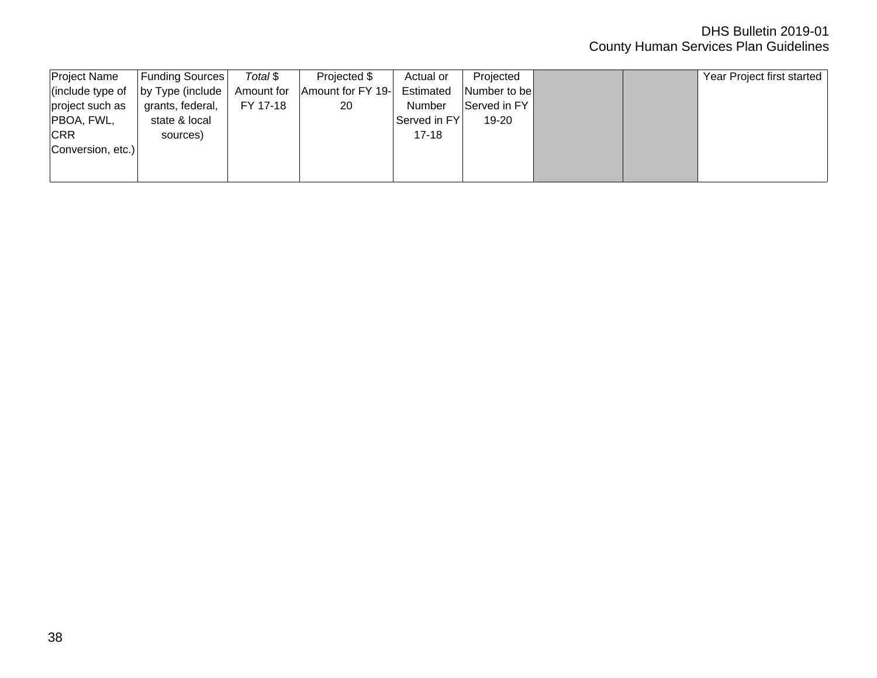| <b>Project Name</b>  | <b>Funding Sources</b>   | Total \$ | Projected \$                 | Actual or                            | Projected           |  | Year Project first started |
|----------------------|--------------------------|----------|------------------------------|--------------------------------------|---------------------|--|----------------------------|
| $ $ (include type of | $ $ by Type (include $ $ |          | Amount for Amount for FY 19- | Estimated                            | Number to be        |  |                            |
| project such as      | grants, federal,         | FY 17-18 | 20                           | Number                               | $ Served$ in FY $ $ |  |                            |
| PBOA, FWL,           | state & local            |          |                              | $ \mathsf{Served}$ in $\mathsf{FY} $ | $19-20$             |  |                            |
| <b>CRR</b>           | sources)                 |          |                              | $17 - 18$                            |                     |  |                            |
| Conversion, etc.     |                          |          |                              |                                      |                     |  |                            |
|                      |                          |          |                              |                                      |                     |  |                            |
|                      |                          |          |                              |                                      |                     |  |                            |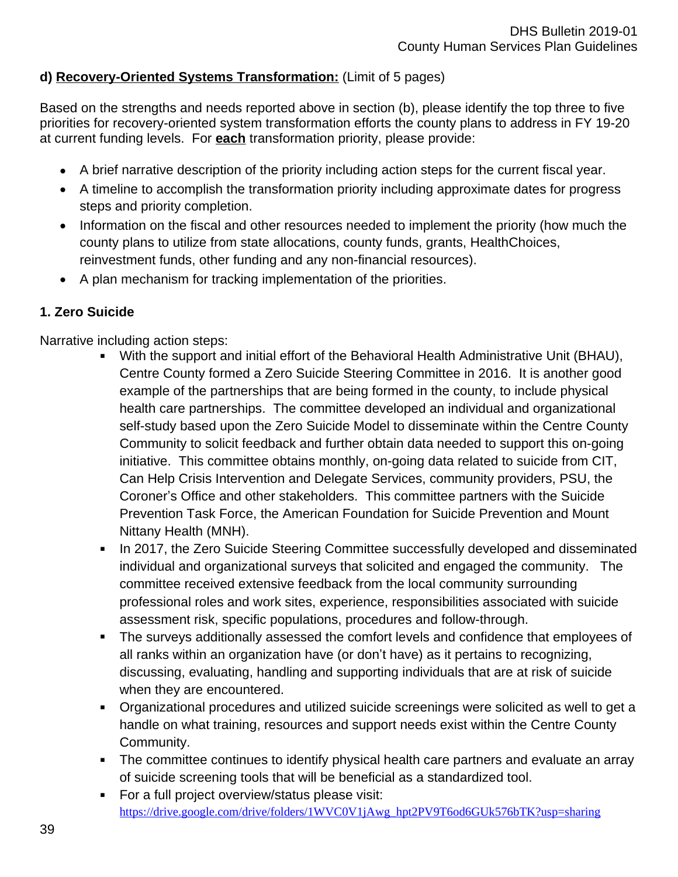# **d) Recovery-Oriented Systems Transformation:** (Limit of 5 pages)

Based on the strengths and needs reported above in section (b), please identify the top three to five priorities for recovery-oriented system transformation efforts the county plans to address in FY 19-20 at current funding levels. For **each** transformation priority, please provide:

- A brief narrative description of the priority including action steps for the current fiscal year.
- A timeline to accomplish the transformation priority including approximate dates for progress steps and priority completion.
- Information on the fiscal and other resources needed to implement the priority (how much the county plans to utilize from state allocations, county funds, grants, HealthChoices, reinvestment funds, other funding and any non-financial resources).
- A plan mechanism for tracking implementation of the priorities.

# **1. Zero Suicide**

Narrative including action steps:

- With the support and initial effort of the Behavioral Health Administrative Unit (BHAU), Centre County formed a Zero Suicide Steering Committee in 2016. It is another good example of the partnerships that are being formed in the county, to include physical health care partnerships. The committee developed an individual and organizational self-study based upon the Zero Suicide Model to disseminate within the Centre County Community to solicit feedback and further obtain data needed to support this on-going initiative. This committee obtains monthly, on-going data related to suicide from CIT, Can Help Crisis Intervention and Delegate Services, community providers, PSU, the Coroner's Office and other stakeholders. This committee partners with the Suicide Prevention Task Force, the American Foundation for Suicide Prevention and Mount Nittany Health (MNH).
- In 2017, the Zero Suicide Steering Committee successfully developed and disseminated individual and organizational surveys that solicited and engaged the community. The committee received extensive feedback from the local community surrounding professional roles and work sites, experience, responsibilities associated with suicide assessment risk, specific populations, procedures and follow-through.
- The surveys additionally assessed the comfort levels and confidence that employees of all ranks within an organization have (or don't have) as it pertains to recognizing, discussing, evaluating, handling and supporting individuals that are at risk of suicide when they are encountered.
- Organizational procedures and utilized suicide screenings were solicited as well to get a handle on what training, resources and support needs exist within the Centre County Community.
- The committee continues to identify physical health care partners and evaluate an array of suicide screening tools that will be beneficial as a standardized tool.
- **For a full project overview/status please visit:** [https://drive.google.com/drive/folders/1WVC0V1jAwg\\_hpt2PV9T6od6GUk576bTK?usp=sharing](https://drive.google.com/drive/folders/1WVC0V1jAwg_hpt2PV9T6od6GUk576bTK?usp=sharing)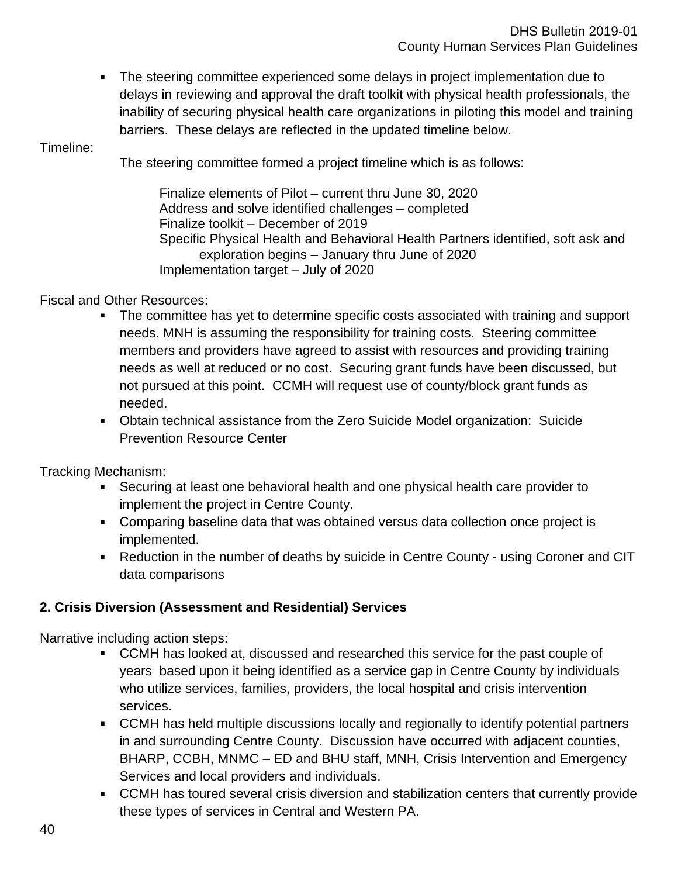• The steering committee experienced some delays in project implementation due to delays in reviewing and approval the draft toolkit with physical health professionals, the inability of securing physical health care organizations in piloting this model and training barriers. These delays are reflected in the updated timeline below.

# Timeline:

The steering committee formed a project timeline which is as follows:

Finalize elements of Pilot – current thru June 30, 2020 Address and solve identified challenges – completed Finalize toolkit – December of 2019 Specific Physical Health and Behavioral Health Partners identified, soft ask and exploration begins – January thru June of 2020 Implementation target – July of 2020

# Fiscal and Other Resources:

- **The committee has yet to determine specific costs associated with training and support** needs. MNH is assuming the responsibility for training costs. Steering committee members and providers have agreed to assist with resources and providing training needs as well at reduced or no cost. Securing grant funds have been discussed, but not pursued at this point. CCMH will request use of county/block grant funds as needed.
- Obtain technical assistance from the Zero Suicide Model organization: Suicide Prevention Resource Center

Tracking Mechanism:

- Securing at least one behavioral health and one physical health care provider to implement the project in Centre County.
- Comparing baseline data that was obtained versus data collection once project is implemented.
- Reduction in the number of deaths by suicide in Centre County using Coroner and CIT data comparisons

# **2. Crisis Diversion (Assessment and Residential) Services**

Narrative including action steps:

- CCMH has looked at, discussed and researched this service for the past couple of years based upon it being identified as a service gap in Centre County by individuals who utilize services, families, providers, the local hospital and crisis intervention services.
- CCMH has held multiple discussions locally and regionally to identify potential partners in and surrounding Centre County. Discussion have occurred with adjacent counties, BHARP, CCBH, MNMC – ED and BHU staff, MNH, Crisis Intervention and Emergency Services and local providers and individuals.
- CCMH has toured several crisis diversion and stabilization centers that currently provide these types of services in Central and Western PA.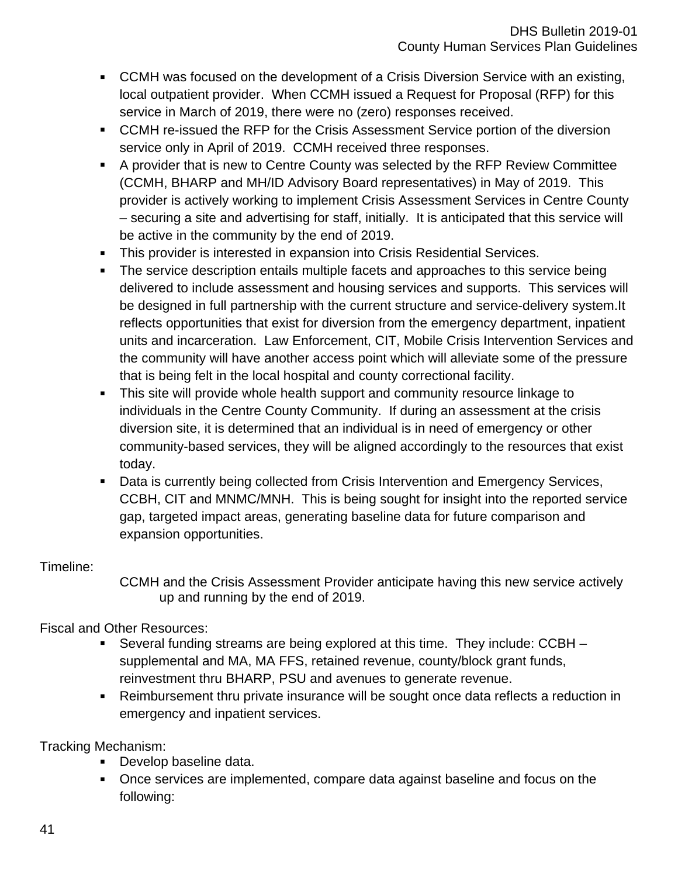- CCMH was focused on the development of a Crisis Diversion Service with an existing, local outpatient provider. When CCMH issued a Request for Proposal (RFP) for this service in March of 2019, there were no (zero) responses received.
- CCMH re-issued the RFP for the Crisis Assessment Service portion of the diversion service only in April of 2019. CCMH received three responses.
- A provider that is new to Centre County was selected by the RFP Review Committee (CCMH, BHARP and MH/ID Advisory Board representatives) in May of 2019. This provider is actively working to implement Crisis Assessment Services in Centre County – securing a site and advertising for staff, initially. It is anticipated that this service will be active in the community by the end of 2019.
- This provider is interested in expansion into Crisis Residential Services.
- The service description entails multiple facets and approaches to this service being delivered to include assessment and housing services and supports. This services will be designed in full partnership with the current structure and service-delivery system.It reflects opportunities that exist for diversion from the emergency department, inpatient units and incarceration. Law Enforcement, CIT, Mobile Crisis Intervention Services and the community will have another access point which will alleviate some of the pressure that is being felt in the local hospital and county correctional facility.
- This site will provide whole health support and community resource linkage to individuals in the Centre County Community. If during an assessment at the crisis diversion site, it is determined that an individual is in need of emergency or other community-based services, they will be aligned accordingly to the resources that exist today.
- **Data is currently being collected from Crisis Intervention and Emergency Services,** CCBH, CIT and MNMC/MNH. This is being sought for insight into the reported service gap, targeted impact areas, generating baseline data for future comparison and expansion opportunities.

# Timeline:

CCMH and the Crisis Assessment Provider anticipate having this new service actively up and running by the end of 2019.

# Fiscal and Other Resources:

- Several funding streams are being explored at this time. They include: CCBH supplemental and MA, MA FFS, retained revenue, county/block grant funds, reinvestment thru BHARP, PSU and avenues to generate revenue.
- Reimbursement thru private insurance will be sought once data reflects a reduction in emergency and inpatient services.

Tracking Mechanism:

- **Develop baseline data.**
- Once services are implemented, compare data against baseline and focus on the following: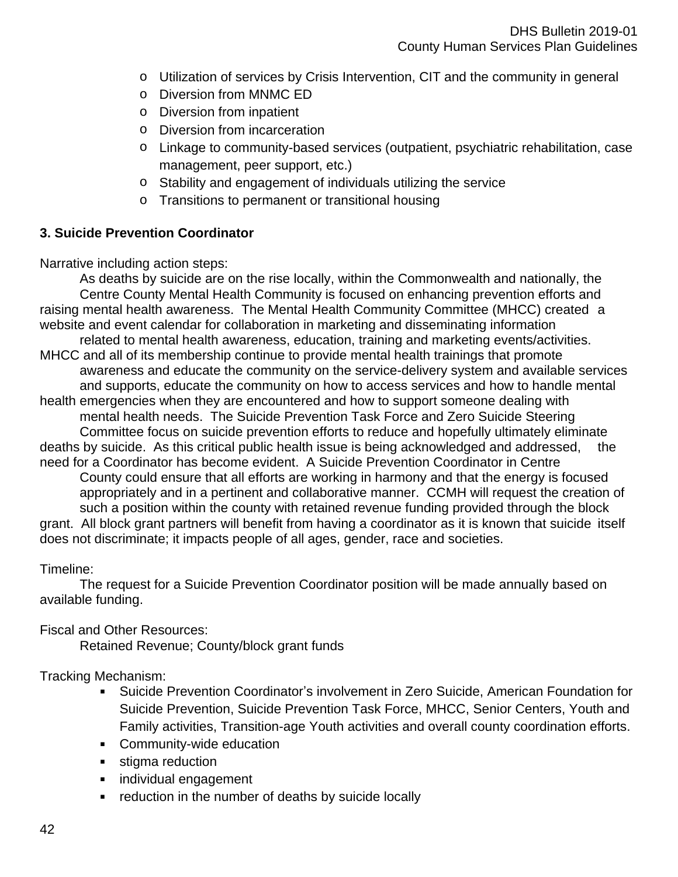- o Utilization of services by Crisis Intervention, CIT and the community in general
- o Diversion from MNMC ED
- o Diversion from inpatient
- o Diversion from incarceration
- o Linkage to community-based services (outpatient, psychiatric rehabilitation, case management, peer support, etc.)
- o Stability and engagement of individuals utilizing the service
- o Transitions to permanent or transitional housing

### **3. Suicide Prevention Coordinator**

Narrative including action steps:

As deaths by suicide are on the rise locally, within the Commonwealth and nationally, the Centre County Mental Health Community is focused on enhancing prevention efforts and raising mental health awareness. The Mental Health Community Committee (MHCC) created a website and event calendar for collaboration in marketing and disseminating information related to mental health awareness, education, training and marketing events/activities.

MHCC and all of its membership continue to provide mental health trainings that promote awareness and educate the community on the service-delivery system and available services and supports, educate the community on how to access services and how to handle mental

health emergencies when they are encountered and how to support someone dealing with mental health needs. The Suicide Prevention Task Force and Zero Suicide Steering

Committee focus on suicide prevention efforts to reduce and hopefully ultimately eliminate

deaths by suicide. As this critical public health issue is being acknowledged and addressed, the need for a Coordinator has become evident. A Suicide Prevention Coordinator in Centre

County could ensure that all efforts are working in harmony and that the energy is focused appropriately and in a pertinent and collaborative manner. CCMH will request the creation of such a position within the county with retained revenue funding provided through the block

grant. All block grant partners will benefit from having a coordinator as it is known that suicide itself does not discriminate; it impacts people of all ages, gender, race and societies.

Timeline:

The request for a Suicide Prevention Coordinator position will be made annually based on available funding.

Fiscal and Other Resources:

Retained Revenue; County/block grant funds

Tracking Mechanism:

- Suicide Prevention Coordinator's involvement in Zero Suicide, American Foundation for Suicide Prevention, Suicide Prevention Task Force, MHCC, Senior Centers, Youth and Family activities, Transition-age Youth activities and overall county coordination efforts.
- **Community-wide education**
- **stigma reduction**
- **individual engagement**
- **•** reduction in the number of deaths by suicide locally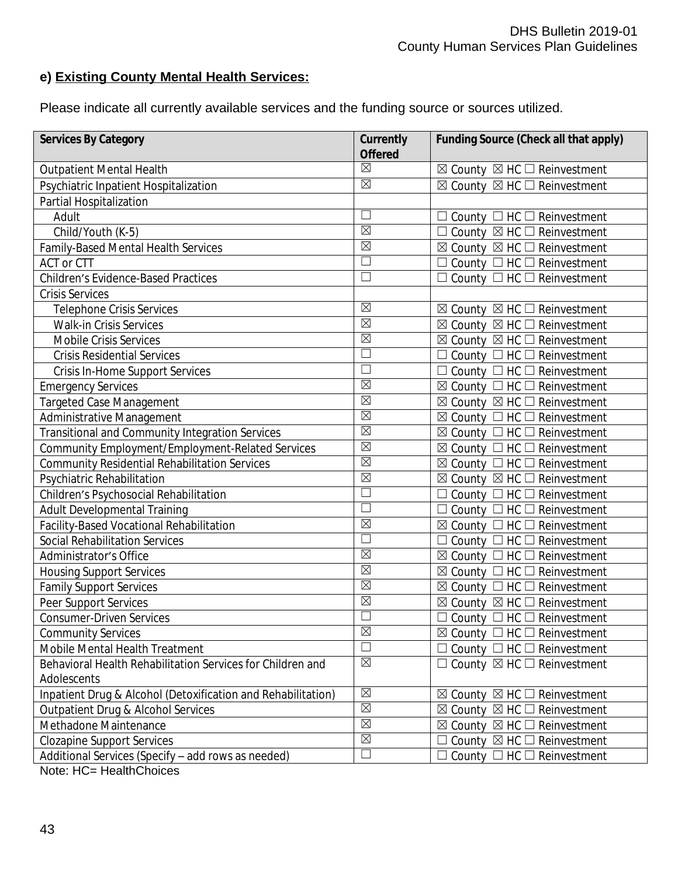# **e) Existing County Mental Health Services:**

Please indicate all currently available services and the funding source or sources utilized.

| <b>Services By Category</b>                                  | Currently<br><b>Offered</b> | <b>Funding Source (Check all that apply)</b>          |
|--------------------------------------------------------------|-----------------------------|-------------------------------------------------------|
| <b>Outpatient Mental Health</b>                              | $\boxtimes$                 | $\boxtimes$ County $\boxtimes$ HC $\Box$ Reinvestment |
| Psychiatric Inpatient Hospitalization                        | $\overline{\boxtimes}$      | $\boxtimes$ County $\boxtimes$ HC $\Box$ Reinvestment |
| Partial Hospitalization                                      |                             |                                                       |
| Adult                                                        | Г                           | County $\Box$ HC $\Box$ Reinvestment                  |
| Child/Youth (K-5)                                            | $\overline{\boxtimes}$      | County $\boxtimes$ HC $\Box$ Reinvestment             |
| Family-Based Mental Health Services                          | $\boxtimes$                 | $\boxtimes$ County $\boxtimes$ HC $\Box$ Reinvestment |
| ACT or CTT                                                   | $\Box$                      | County $\Box$ HC $\Box$ Reinvestment                  |
| <b>Children's Evidence-Based Practices</b>                   | $\Box$                      | County $\Box$ HC $\Box$ Reinvestment                  |
| <b>Crisis Services</b>                                       |                             |                                                       |
| <b>Telephone Crisis Services</b>                             | $\boxtimes$                 | $\boxtimes$ County $\boxtimes$ HC $\Box$ Reinvestment |
| <b>Walk-in Crisis Services</b>                               | $\boxtimes$                 | $\boxtimes$ County $\boxtimes$ HC $\Box$ Reinvestment |
| Mobile Crisis Services                                       | $\boxtimes$                 | $\boxtimes$ County $\boxtimes$ HC $\Box$ Reinvestment |
| <b>Crisis Residential Services</b>                           | $\Box$                      | County $\Box$ HC $\Box$ Reinvestment                  |
| <b>Crisis In-Home Support Services</b>                       | $\Box$                      | County $\Box$ HC $\Box$ Reinvestment                  |
| <b>Emergency Services</b>                                    | $\boxtimes$                 | $\boxtimes$ County $\Box$ HC $\Box$ Reinvestment      |
| Targeted Case Management                                     | $\boxtimes$                 | $\boxtimes$ County $\boxtimes$ HC $\Box$ Reinvestment |
| Administrative Management                                    | $\boxtimes$                 | $\boxtimes$ County $\Box$ HC $\Box$ Reinvestment      |
| Transitional and Community Integration Services              | $\boxtimes$                 | $\boxtimes$ County $\Box$ HC $\Box$ Reinvestment      |
| Community Employment/Employment-Related Services             | $\boxtimes$                 | $\boxtimes$ County $\Box$ HC $\Box$ Reinvestment      |
| Community Residential Rehabilitation Services                | $\boxtimes$                 | $\boxtimes$ County $\Box$ HC $\Box$ Reinvestment      |
| Psychiatric Rehabilitation                                   | $\boxtimes$                 | $\boxtimes$ County $\boxtimes$ HC $\Box$ Reinvestment |
| Children's Psychosocial Rehabilitation                       | $\Box$                      | County $\Box$ HC $\Box$ Reinvestment                  |
| <b>Adult Developmental Training</b>                          | $\Box$                      | County $\Box$ HC $\Box$ Reinvestment                  |
| Facility-Based Vocational Rehabilitation                     | $\boxtimes$                 | $\boxtimes$ County $\Box$ HC $\Box$ Reinvestment      |
| Social Rehabilitation Services                               | $\Box$                      | County $\Box$ HC $\Box$ Reinvestment                  |
| Administrator's Office                                       | $\overline{\boxtimes}$      | $\boxtimes$ County $\Box$ HC $\Box$ Reinvestment      |
| <b>Housing Support Services</b>                              | $\boxtimes$                 | $\boxtimes$ County $\Box$ HC $\Box$ Reinvestment      |
| <b>Family Support Services</b>                               | $\boxtimes$                 | $\boxtimes$ County $\Box$ HC $\Box$ Reinvestment      |
| Peer Support Services                                        | $\boxtimes$                 | $\boxtimes$ County $\boxtimes$ HC $\Box$ Reinvestment |
| <b>Consumer-Driven Services</b>                              | $\Box$                      | County $\Box$ HC $\Box$ Reinvestment                  |
| <b>Community Services</b>                                    | $\boxtimes$                 | $\boxtimes$ County $\Box$ HC $\Box$ Reinvestment      |
| Mobile Mental Health Treatment                               | $\Box$                      | County $\Box$ HC $\Box$ Reinvestment                  |
| Behavioral Health Rehabilitation Services for Children and   | $\boxtimes$                 | County $\boxtimes$ HC $\Box$ Reinvestment             |
| Adolescents                                                  |                             |                                                       |
| Inpatient Drug & Alcohol (Detoxification and Rehabilitation) | $\boxtimes$                 | $\boxtimes$ County $\boxtimes$ HC $\Box$ Reinvestment |
| Outpatient Drug & Alcohol Services                           | $\boxtimes$                 | $\boxtimes$ County $\boxtimes$ HC $\Box$ Reinvestment |
| Methadone Maintenance                                        | $\boxtimes$                 | $\boxtimes$ County $\boxtimes$ HC $\Box$ Reinvestment |
| <b>Clozapine Support Services</b>                            | $\boxtimes$                 | County $\boxtimes$ HC $\Box$ Reinvestment             |
| Additional Services (Specify - add rows as needed)           | $\Box$                      | County $\Box$ HC $\Box$ Reinvestment                  |

Note: HC= HealthChoices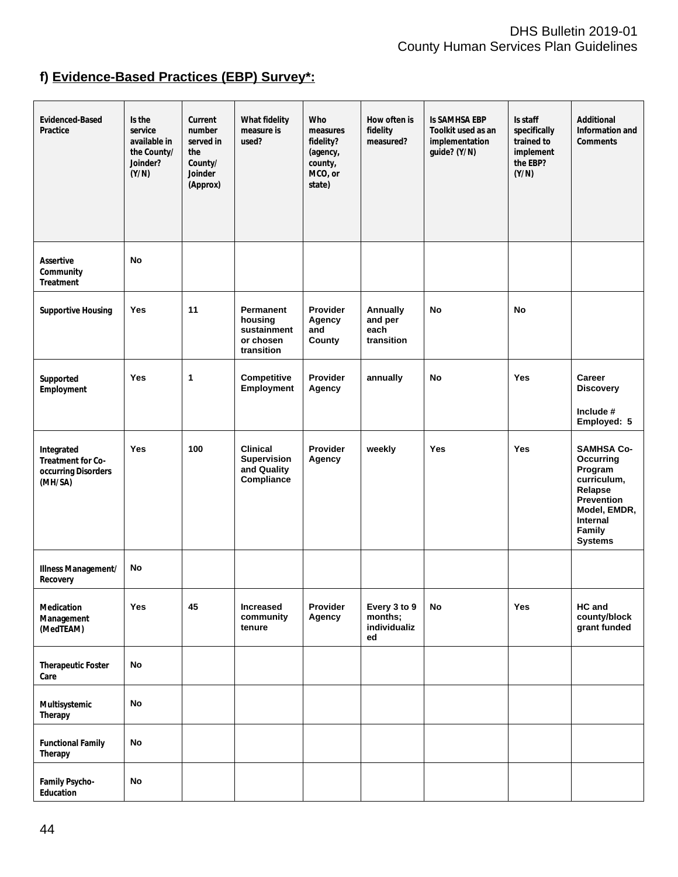# DHS Bulletin 2019-01 County Human Services Plan Guidelines

# **f) Evidence-Based Practices (EBP) Survey\*:**

| <b>Evidenced-Based</b><br>Practice                                       | Is the<br>service<br>available in<br>the County/<br>Joinder?<br>(Y/N) | Current<br>number<br>served in<br>the<br>County/<br>Joinder<br>(Approx) | What fidelity<br>measure is<br>used?                           | Who<br>measures<br>fidelity?<br>(agency,<br>county,<br>MCO, or<br>state) | How often is<br>fidelity<br>measured?         | <b>Is SAMHSA EBP</b><br>Toolkit used as an<br>implementation<br>guide? (Y/N) | Is staff<br>specifically<br>trained to<br>implement<br>the EBP?<br>(Y/N) | <b>Additional</b><br>Information and<br><b>Comments</b>                                                                                   |
|--------------------------------------------------------------------------|-----------------------------------------------------------------------|-------------------------------------------------------------------------|----------------------------------------------------------------|--------------------------------------------------------------------------|-----------------------------------------------|------------------------------------------------------------------------------|--------------------------------------------------------------------------|-------------------------------------------------------------------------------------------------------------------------------------------|
| <b>Assertive</b><br>Community<br><b>Treatment</b>                        | <b>No</b>                                                             |                                                                         |                                                                |                                                                          |                                               |                                                                              |                                                                          |                                                                                                                                           |
| <b>Supportive Housing</b>                                                | <b>Yes</b>                                                            | 11                                                                      | Permanent<br>housing<br>sustainment<br>or chosen<br>transition | Provider<br>Agency<br>and<br>County                                      | Annually<br>and per<br>each<br>transition     | <b>No</b>                                                                    | <b>No</b>                                                                |                                                                                                                                           |
| Supported<br>Employment                                                  | <b>Yes</b>                                                            | 1                                                                       | Competitive<br>Employment                                      | <b>Provider</b><br>Agency                                                | annually                                      | No                                                                           | Yes                                                                      | Career<br><b>Discovery</b><br>Include $#$<br>Employed: 5                                                                                  |
| Integrated<br><b>Treatment for Co-</b><br>occurring Disorders<br>(MH/SA) | <b>Yes</b>                                                            | 100                                                                     | <b>Clinical</b><br>Supervision<br>and Quality<br>Compliance    | Provider<br>Agency                                                       | weekly                                        | <b>Yes</b>                                                                   | <b>Yes</b>                                                               | <b>SAMHSA Co-</b><br>Occurring<br>Program<br>curriculum,<br>Relapse<br>Prevention<br>Model, EMDR,<br>Internal<br>Family<br><b>Systems</b> |
| <b>Illness Management/</b><br>Recovery                                   | No                                                                    |                                                                         |                                                                |                                                                          |                                               |                                                                              |                                                                          |                                                                                                                                           |
| Medication<br>Management<br>(MedTEAM)                                    | <b>Yes</b>                                                            | 45                                                                      | Increased<br>community<br>tenure                               | Provider<br>Agency                                                       | Every 3 to 9<br>months;<br>individualiz<br>ed | No                                                                           | Yes                                                                      | HC and<br>county/block<br>grant funded                                                                                                    |
| <b>Therapeutic Foster</b><br>Care                                        | No                                                                    |                                                                         |                                                                |                                                                          |                                               |                                                                              |                                                                          |                                                                                                                                           |
| Multisystemic<br>Therapy                                                 | No                                                                    |                                                                         |                                                                |                                                                          |                                               |                                                                              |                                                                          |                                                                                                                                           |
| <b>Functional Family</b><br>Therapy                                      | No                                                                    |                                                                         |                                                                |                                                                          |                                               |                                                                              |                                                                          |                                                                                                                                           |
| <b>Family Psycho-</b><br>Education                                       | No                                                                    |                                                                         |                                                                |                                                                          |                                               |                                                                              |                                                                          |                                                                                                                                           |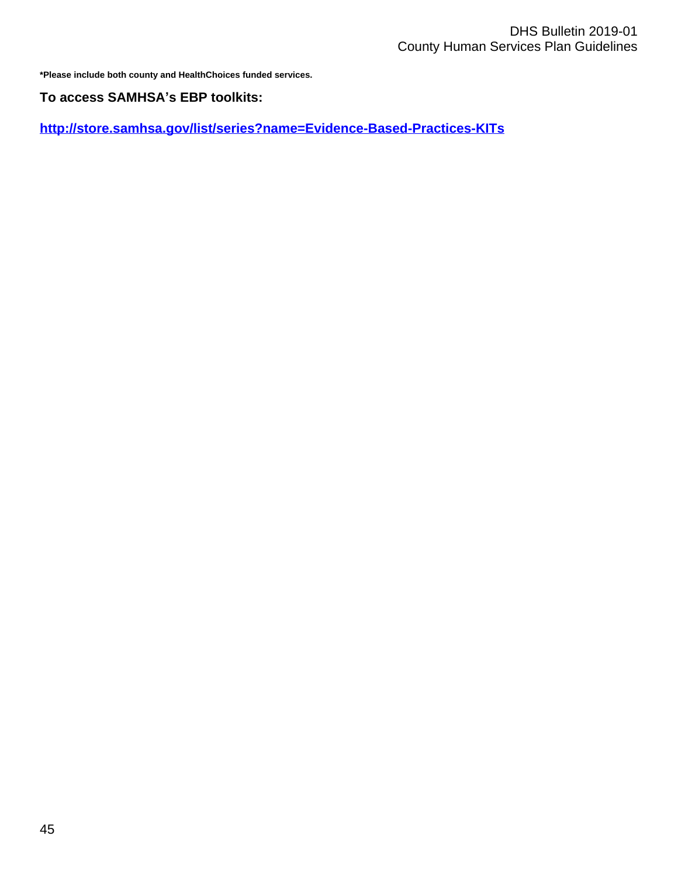**\*Please include both county and HealthChoices funded services.**

#### **To access SAMHSA's EBP toolkits:**

**<http://store.samhsa.gov/list/series?name=Evidence-Based-Practices-KITs>**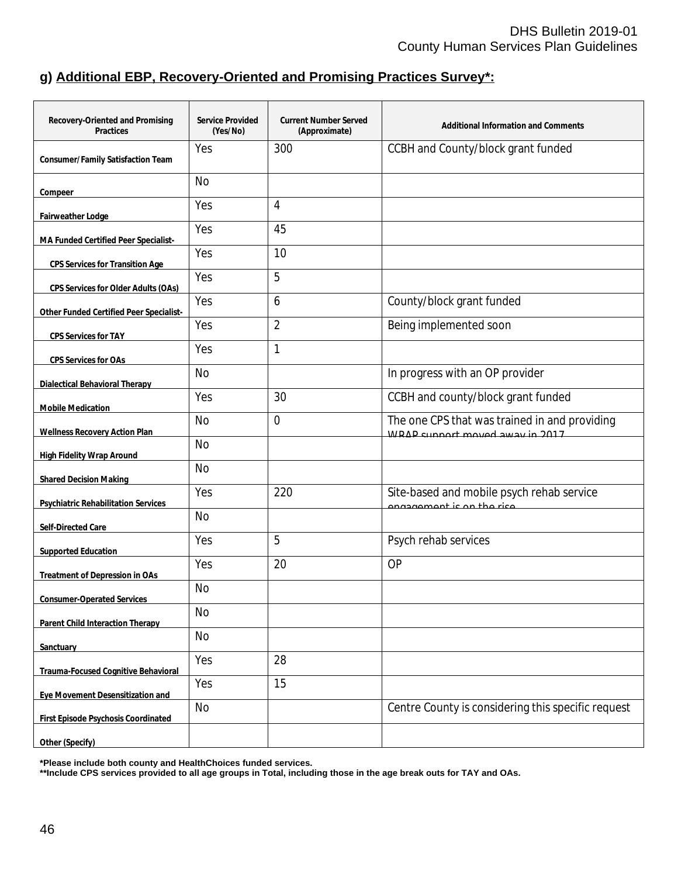# **g) Additional EBP, Recovery-Oriented and Promising Practices Survey\*:**

| <b>Recovery-Oriented and Promising</b><br><b>Practices</b> | <b>Service Provided</b><br>(Yes/No) | <b>Current Number Served</b><br>(Approximate) | <b>Additional Information and Comments</b>                                        |
|------------------------------------------------------------|-------------------------------------|-----------------------------------------------|-----------------------------------------------------------------------------------|
| <b>Consumer/Family Satisfaction Team</b>                   | Yes                                 | 300                                           | CCBH and County/block grant funded                                                |
| Compeer                                                    | <b>No</b>                           |                                               |                                                                                   |
| <b>Fairweather Lodge</b>                                   | Yes                                 | 4                                             |                                                                                   |
| MA Funded Certified Peer Specialist-                       | Yes                                 | 45                                            |                                                                                   |
| <b>CPS Services for Transition Age</b>                     | Yes                                 | 10                                            |                                                                                   |
| <b>CPS Services for Older Adults (OAs)</b>                 | Yes                                 | 5                                             |                                                                                   |
| Other Funded Certified Peer Specialist-                    | Yes                                 | 6                                             | County/block grant funded                                                         |
| <b>CPS Services for TAY</b>                                | Yes                                 | $\overline{2}$                                | Being implemented soon                                                            |
| <b>CPS Services for OAs</b>                                | Yes                                 | 1                                             |                                                                                   |
| <b>Dialectical Behavioral Therapy</b>                      | <b>No</b>                           |                                               | In progress with an OP provider                                                   |
| <b>Mobile Medication</b>                                   | Yes                                 | 30                                            | CCBH and county/block grant funded                                                |
| <b>Wellness Recovery Action Plan</b>                       | <b>No</b>                           | $\overline{0}$                                | The one CPS that was trained in and providing<br>M/RAD cunnart mayad away in 2017 |
| <b>High Fidelity Wrap Around</b>                           | <b>No</b>                           |                                               |                                                                                   |
| <b>Shared Decision Making</b>                              | <b>No</b>                           |                                               |                                                                                   |
| <b>Psychiatric Rehabilitation Services</b>                 | Yes                                 | 220                                           | Site-based and mobile psych rehab service<br>angagamant is an tha risa            |
| <b>Self-Directed Care</b>                                  | No                                  |                                               |                                                                                   |
| <b>Supported Education</b>                                 | Yes                                 | 5                                             | Psych rehab services                                                              |
| <b>Treatment of Depression in OAs</b>                      | Yes                                 | 20                                            | <b>OP</b>                                                                         |
| <b>Consumer-Operated Services</b>                          | <b>No</b>                           |                                               |                                                                                   |
| <b>Parent Child Interaction Therapy</b>                    | <b>No</b>                           |                                               |                                                                                   |
| Sanctuary                                                  | No                                  |                                               |                                                                                   |
| <b>Trauma-Focused Cognitive Behavioral</b>                 | Yes                                 | 28                                            |                                                                                   |
| Eye Movement Desensitization and                           | Yes                                 | 15                                            |                                                                                   |
| <b>First Episode Psychosis Coordinated</b>                 | No                                  |                                               | Centre County is considering this specific request                                |
| Other (Specify)                                            |                                     |                                               |                                                                                   |

**\*Please include both county and HealthChoices funded services.**

**\*\*Include CPS services provided to all age groups in Total, including those in the age break outs for TAY and OAs.**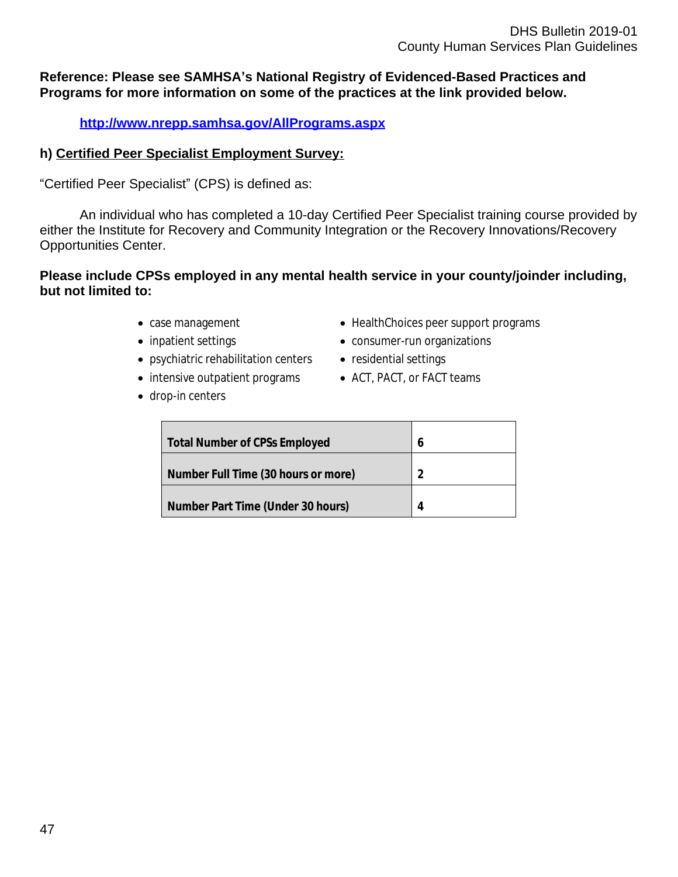## **Reference: Please see SAMHSA's National Registry of Evidenced-Based Practices and Programs for more information on some of the practices at the link provided below.**

**<http://www.nrepp.samhsa.gov/AllPrograms.aspx>**

### **h) Certified Peer Specialist Employment Survey:**

"Certified Peer Specialist" (CPS) is defined as:

An individual who has completed a 10-day Certified Peer Specialist training course provided by either the Institute for Recovery and Community Integration or the Recovery Innovations/Recovery Opportunities Center.

#### **Please include CPSs employed in any mental health service in your county/joinder including, but not limited to:**

- 
- 
- psychiatric rehabilitation centers residential settings
- intensive outpatient programs ACT, PACT, or FACT teams
- drop-in centers
- case management HealthChoices peer support programs
- inpatient settings **consumer-run organizations** 
	-
	-

| <b>Total Number of CPSs Employed</b> |  |
|--------------------------------------|--|
| Number Full Time (30 hours or more)  |  |
| Number Part Time (Under 30 hours)    |  |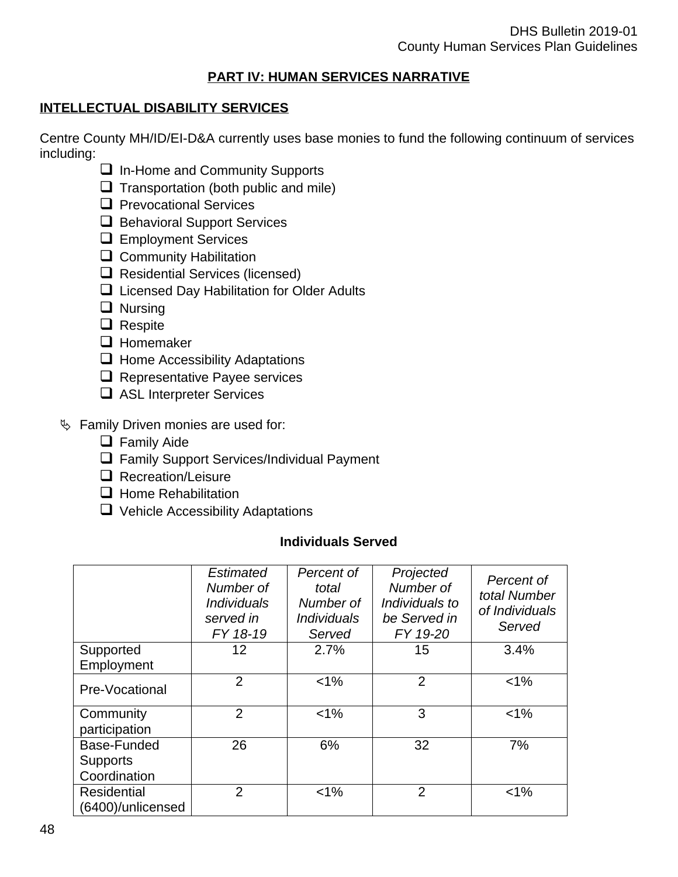# **PART IV: HUMAN SERVICES NARRATIVE**

# **INTELLECTUAL DISABILITY SERVICES**

Centre County MH/ID/EI-D&A currently uses base monies to fund the following continuum of services including:

- $\Box$  In-Home and Community Supports
- $\Box$  Transportation (both public and mile)
- $\Box$  Prevocational Services
- □ Behavioral Support Services
- **Q** Employment Services
- $\Box$  Community Habilitation
- $\Box$  Residential Services (licensed)
- $\Box$  Licensed Day Habilitation for Older Adults
- **Q** Nursing
- □ Respite
- $\Box$  Homemaker
- $\Box$  Home Accessibility Adaptations
- $\Box$  Representative Payee services
- □ ASL Interpreter Services
- $\%$  Family Driven monies are used for:
	- $\Box$  Family Aide
	- □ Family Support Services/Individual Payment
	- Recreation/Leisure
	- $\Box$  Home Rehabilitation
	- $\Box$  Vehicle Accessibility Adaptations

#### **Individuals Served**

|                                                | Estimated<br>Number of<br><i><b>Individuals</b></i><br>served in<br>FY 18-19 | Percent of<br>total<br>Number of<br><i><b>Individuals</b></i><br>Served | Projected<br>Number of<br>Individuals to<br>be Served in<br>FY 19-20 | Percent of<br>total Number<br>of Individuals<br>Served |
|------------------------------------------------|------------------------------------------------------------------------------|-------------------------------------------------------------------------|----------------------------------------------------------------------|--------------------------------------------------------|
| Supported<br>Employment                        | 12                                                                           | 2.7%                                                                    | 15                                                                   | 3.4%                                                   |
| Pre-Vocational                                 | $\overline{2}$                                                               | $< 1\%$                                                                 | $\overline{2}$                                                       | $< 1\%$                                                |
| Community<br>participation                     | $\overline{2}$                                                               | $< 1\%$                                                                 | 3                                                                    | $< 1\%$                                                |
| Base-Funded<br><b>Supports</b><br>Coordination | 26                                                                           | 6%                                                                      | 32                                                                   | 7%                                                     |
| Residential<br>(6400)/unlicensed               | $\overline{2}$                                                               | $< 1\%$                                                                 | $\overline{2}$                                                       | $< 1\%$                                                |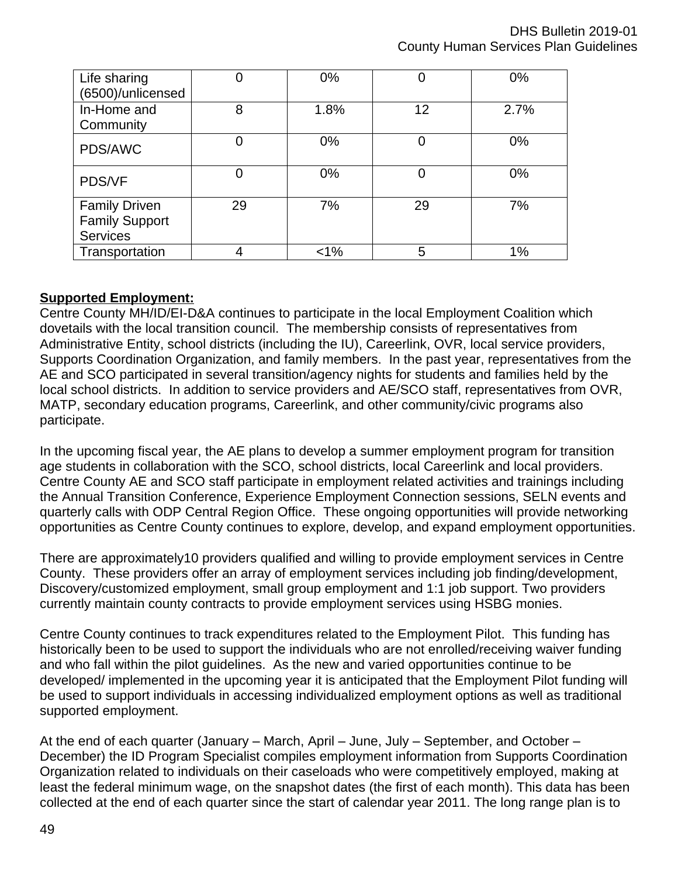| Life sharing<br>(6500)/unlicensed                                | 0  | 0%    | 0  | $0\%$ |
|------------------------------------------------------------------|----|-------|----|-------|
| In-Home and<br>Community                                         | 8  | 1.8%  | 12 | 2.7%  |
| PDS/AWC                                                          | 0  | $0\%$ |    | 0%    |
| PDS/VF                                                           | 0  | $0\%$ | 0  | $0\%$ |
| <b>Family Driven</b><br><b>Family Support</b><br><b>Services</b> | 29 | 7%    | 29 | 7%    |
| Transportation                                                   | 4  | $1\%$ | 5  | 1%    |

# **Supported Employment:**

Centre County MH/ID/EI-D&A continues to participate in the local Employment Coalition which dovetails with the local transition council. The membership consists of representatives from Administrative Entity, school districts (including the IU), Careerlink, OVR, local service providers, Supports Coordination Organization, and family members. In the past year, representatives from the AE and SCO participated in several transition/agency nights for students and families held by the local school districts. In addition to service providers and AE/SCO staff, representatives from OVR, MATP, secondary education programs, Careerlink, and other community/civic programs also participate.

In the upcoming fiscal year, the AE plans to develop a summer employment program for transition age students in collaboration with the SCO, school districts, local Careerlink and local providers. Centre County AE and SCO staff participate in employment related activities and trainings including the Annual Transition Conference, Experience Employment Connection sessions, SELN events and quarterly calls with ODP Central Region Office. These ongoing opportunities will provide networking opportunities as Centre County continues to explore, develop, and expand employment opportunities.

There are approximately10 providers qualified and willing to provide employment services in Centre County. These providers offer an array of employment services including job finding/development, Discovery/customized employment, small group employment and 1:1 job support. Two providers currently maintain county contracts to provide employment services using HSBG monies.

Centre County continues to track expenditures related to the Employment Pilot. This funding has historically been to be used to support the individuals who are not enrolled/receiving waiver funding and who fall within the pilot guidelines. As the new and varied opportunities continue to be developed/ implemented in the upcoming year it is anticipated that the Employment Pilot funding will be used to support individuals in accessing individualized employment options as well as traditional supported employment.

At the end of each quarter (January – March, April – June, July – September, and October – December) the ID Program Specialist compiles employment information from Supports Coordination Organization related to individuals on their caseloads who were competitively employed, making at least the federal minimum wage, on the snapshot dates (the first of each month). This data has been collected at the end of each quarter since the start of calendar year 2011. The long range plan is to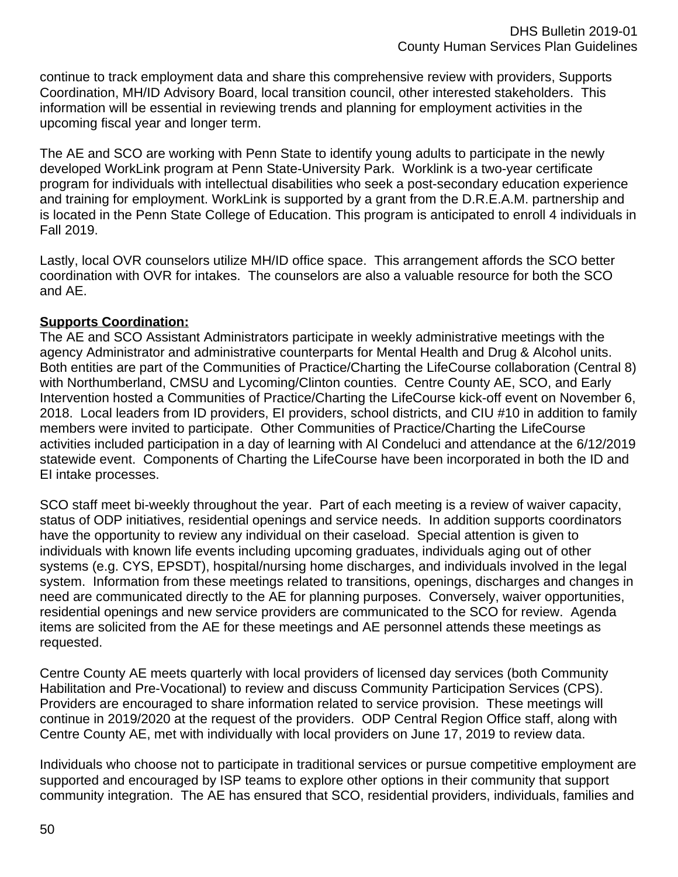continue to track employment data and share this comprehensive review with providers, Supports Coordination, MH/ID Advisory Board, local transition council, other interested stakeholders. This information will be essential in reviewing trends and planning for employment activities in the upcoming fiscal year and longer term.

The AE and SCO are working with Penn State to identify young adults to participate in the newly developed WorkLink program at Penn State-University Park. Worklink is a two-year certificate program for individuals with intellectual disabilities who seek a post-secondary education experience and training for employment. WorkLink is supported by a grant from the D.R.E.A.M. partnership and is located in the Penn State College of Education. This program is anticipated to enroll 4 individuals in Fall 2019.

Lastly, local OVR counselors utilize MH/ID office space. This arrangement affords the SCO better coordination with OVR for intakes. The counselors are also a valuable resource for both the SCO and AE.

### **Supports Coordination:**

The AE and SCO Assistant Administrators participate in weekly administrative meetings with the agency Administrator and administrative counterparts for Mental Health and Drug & Alcohol units. Both entities are part of the Communities of Practice/Charting the LifeCourse collaboration (Central 8) with Northumberland, CMSU and Lycoming/Clinton counties. Centre County AE, SCO, and Early Intervention hosted a Communities of Practice/Charting the LifeCourse kick-off event on November 6, 2018. Local leaders from ID providers, EI providers, school districts, and CIU #10 in addition to family members were invited to participate. Other Communities of Practice/Charting the LifeCourse activities included participation in a day of learning with Al Condeluci and attendance at the 6/12/2019 statewide event. Components of Charting the LifeCourse have been incorporated in both the ID and EI intake processes.

SCO staff meet bi-weekly throughout the year. Part of each meeting is a review of waiver capacity, status of ODP initiatives, residential openings and service needs. In addition supports coordinators have the opportunity to review any individual on their caseload. Special attention is given to individuals with known life events including upcoming graduates, individuals aging out of other systems (e.g. CYS, EPSDT), hospital/nursing home discharges, and individuals involved in the legal system. Information from these meetings related to transitions, openings, discharges and changes in need are communicated directly to the AE for planning purposes. Conversely, waiver opportunities, residential openings and new service providers are communicated to the SCO for review. Agenda items are solicited from the AE for these meetings and AE personnel attends these meetings as requested.

Centre County AE meets quarterly with local providers of licensed day services (both Community Habilitation and Pre-Vocational) to review and discuss Community Participation Services (CPS). Providers are encouraged to share information related to service provision. These meetings will continue in 2019/2020 at the request of the providers. ODP Central Region Office staff, along with Centre County AE, met with individually with local providers on June 17, 2019 to review data.

Individuals who choose not to participate in traditional services or pursue competitive employment are supported and encouraged by ISP teams to explore other options in their community that support community integration. The AE has ensured that SCO, residential providers, individuals, families and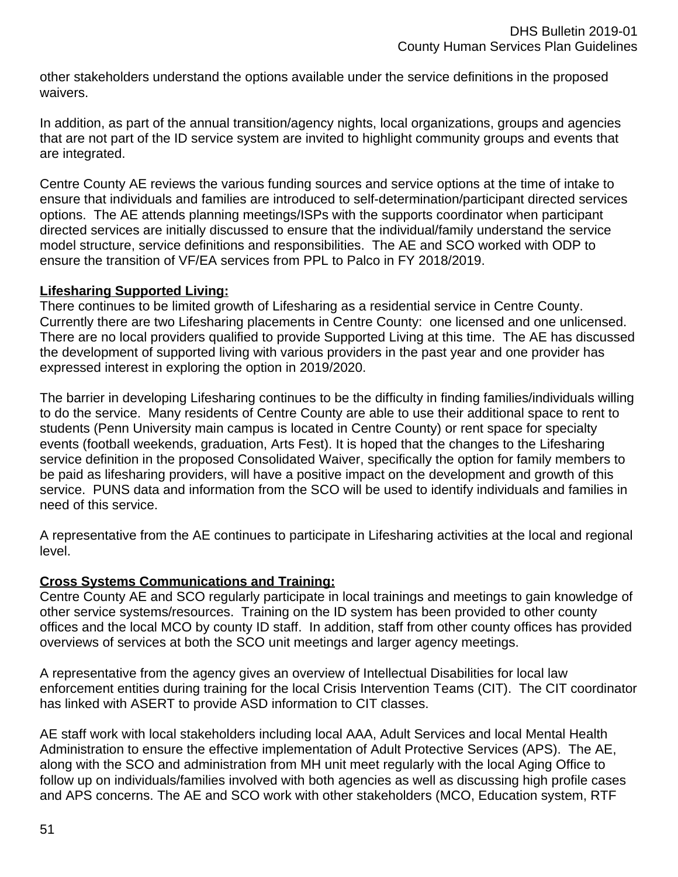other stakeholders understand the options available under the service definitions in the proposed waivers.

In addition, as part of the annual transition/agency nights, local organizations, groups and agencies that are not part of the ID service system are invited to highlight community groups and events that are integrated.

Centre County AE reviews the various funding sources and service options at the time of intake to ensure that individuals and families are introduced to self-determination/participant directed services options. The AE attends planning meetings/ISPs with the supports coordinator when participant directed services are initially discussed to ensure that the individual/family understand the service model structure, service definitions and responsibilities. The AE and SCO worked with ODP to ensure the transition of VF/EA services from PPL to Palco in FY 2018/2019.

### **Lifesharing Supported Living:**

There continues to be limited growth of Lifesharing as a residential service in Centre County. Currently there are two Lifesharing placements in Centre County: one licensed and one unlicensed. There are no local providers qualified to provide Supported Living at this time. The AE has discussed the development of supported living with various providers in the past year and one provider has expressed interest in exploring the option in 2019/2020.

The barrier in developing Lifesharing continues to be the difficulty in finding families/individuals willing to do the service. Many residents of Centre County are able to use their additional space to rent to students (Penn University main campus is located in Centre County) or rent space for specialty events (football weekends, graduation, Arts Fest). It is hoped that the changes to the Lifesharing service definition in the proposed Consolidated Waiver, specifically the option for family members to be paid as lifesharing providers, will have a positive impact on the development and growth of this service. PUNS data and information from the SCO will be used to identify individuals and families in need of this service.

A representative from the AE continues to participate in Lifesharing activities at the local and regional level.

## **Cross Systems Communications and Training:**

Centre County AE and SCO regularly participate in local trainings and meetings to gain knowledge of other service systems/resources. Training on the ID system has been provided to other county offices and the local MCO by county ID staff. In addition, staff from other county offices has provided overviews of services at both the SCO unit meetings and larger agency meetings.

A representative from the agency gives an overview of Intellectual Disabilities for local law enforcement entities during training for the local Crisis Intervention Teams (CIT). The CIT coordinator has linked with ASERT to provide ASD information to CIT classes.

AE staff work with local stakeholders including local AAA, Adult Services and local Mental Health Administration to ensure the effective implementation of Adult Protective Services (APS). The AE, along with the SCO and administration from MH unit meet regularly with the local Aging Office to follow up on individuals/families involved with both agencies as well as discussing high profile cases and APS concerns. The AE and SCO work with other stakeholders (MCO, Education system, RTF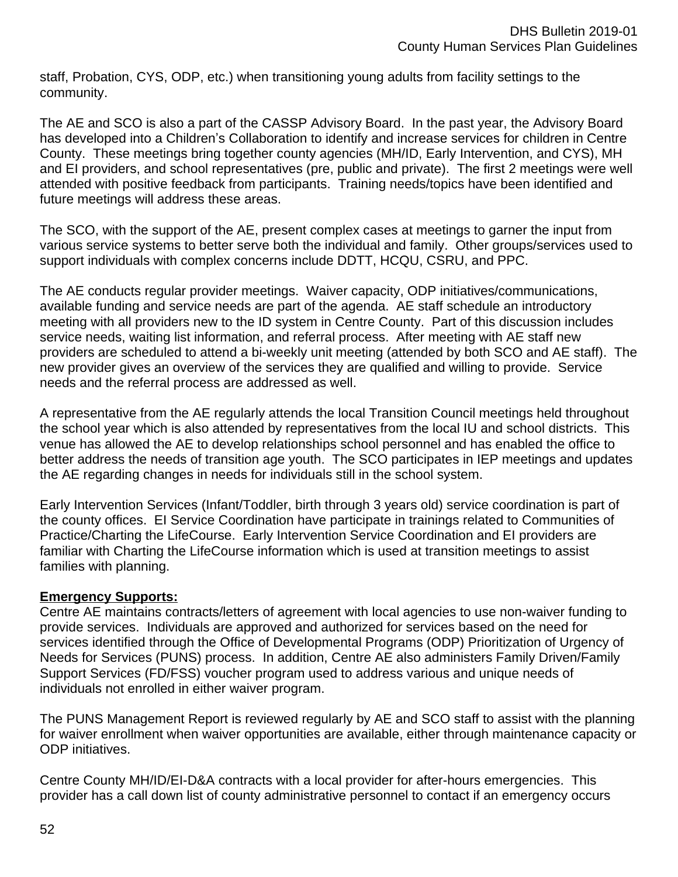staff, Probation, CYS, ODP, etc.) when transitioning young adults from facility settings to the community.

The AE and SCO is also a part of the CASSP Advisory Board. In the past year, the Advisory Board has developed into a Children's Collaboration to identify and increase services for children in Centre County. These meetings bring together county agencies (MH/ID, Early Intervention, and CYS), MH and EI providers, and school representatives (pre, public and private). The first 2 meetings were well attended with positive feedback from participants. Training needs/topics have been identified and future meetings will address these areas.

The SCO, with the support of the AE, present complex cases at meetings to garner the input from various service systems to better serve both the individual and family. Other groups/services used to support individuals with complex concerns include DDTT, HCQU, CSRU, and PPC.

The AE conducts regular provider meetings. Waiver capacity, ODP initiatives/communications, available funding and service needs are part of the agenda. AE staff schedule an introductory meeting with all providers new to the ID system in Centre County. Part of this discussion includes service needs, waiting list information, and referral process. After meeting with AE staff new providers are scheduled to attend a bi-weekly unit meeting (attended by both SCO and AE staff). The new provider gives an overview of the services they are qualified and willing to provide. Service needs and the referral process are addressed as well.

A representative from the AE regularly attends the local Transition Council meetings held throughout the school year which is also attended by representatives from the local IU and school districts. This venue has allowed the AE to develop relationships school personnel and has enabled the office to better address the needs of transition age youth. The SCO participates in IEP meetings and updates the AE regarding changes in needs for individuals still in the school system.

Early Intervention Services (Infant/Toddler, birth through 3 years old) service coordination is part of the county offices. EI Service Coordination have participate in trainings related to Communities of Practice/Charting the LifeCourse. Early Intervention Service Coordination and EI providers are familiar with Charting the LifeCourse information which is used at transition meetings to assist families with planning.

## **Emergency Supports:**

Centre AE maintains contracts/letters of agreement with local agencies to use non-waiver funding to provide services. Individuals are approved and authorized for services based on the need for services identified through the Office of Developmental Programs (ODP) Prioritization of Urgency of Needs for Services (PUNS) process. In addition, Centre AE also administers Family Driven/Family Support Services (FD/FSS) voucher program used to address various and unique needs of individuals not enrolled in either waiver program.

The PUNS Management Report is reviewed regularly by AE and SCO staff to assist with the planning for waiver enrollment when waiver opportunities are available, either through maintenance capacity or ODP initiatives.

Centre County MH/ID/EI-D&A contracts with a local provider for after-hours emergencies. This provider has a call down list of county administrative personnel to contact if an emergency occurs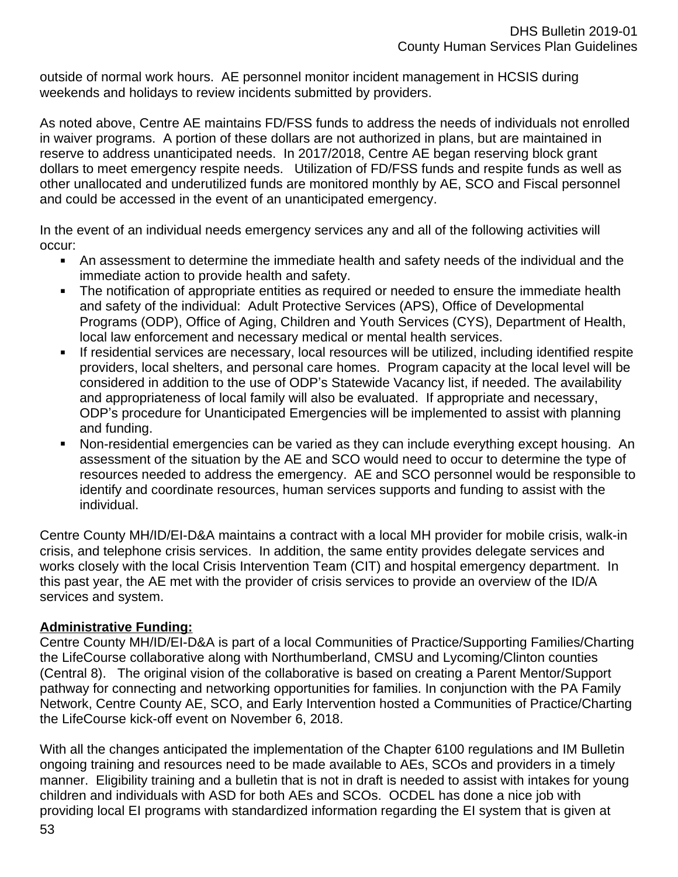outside of normal work hours. AE personnel monitor incident management in HCSIS during weekends and holidays to review incidents submitted by providers.

As noted above, Centre AE maintains FD/FSS funds to address the needs of individuals not enrolled in waiver programs. A portion of these dollars are not authorized in plans, but are maintained in reserve to address unanticipated needs. In 2017/2018, Centre AE began reserving block grant dollars to meet emergency respite needs. Utilization of FD/FSS funds and respite funds as well as other unallocated and underutilized funds are monitored monthly by AE, SCO and Fiscal personnel and could be accessed in the event of an unanticipated emergency.

In the event of an individual needs emergency services any and all of the following activities will occur:

- An assessment to determine the immediate health and safety needs of the individual and the immediate action to provide health and safety.
- The notification of appropriate entities as required or needed to ensure the immediate health and safety of the individual: Adult Protective Services (APS), Office of Developmental Programs (ODP), Office of Aging, Children and Youth Services (CYS), Department of Health, local law enforcement and necessary medical or mental health services.
- If residential services are necessary, local resources will be utilized, including identified respite providers, local shelters, and personal care homes. Program capacity at the local level will be considered in addition to the use of ODP's Statewide Vacancy list, if needed. The availability and appropriateness of local family will also be evaluated. If appropriate and necessary, ODP's procedure for Unanticipated Emergencies will be implemented to assist with planning and funding.
- Non-residential emergencies can be varied as they can include everything except housing. An assessment of the situation by the AE and SCO would need to occur to determine the type of resources needed to address the emergency. AE and SCO personnel would be responsible to identify and coordinate resources, human services supports and funding to assist with the individual.

Centre County MH/ID/EI-D&A maintains a contract with a local MH provider for mobile crisis, walk-in crisis, and telephone crisis services. In addition, the same entity provides delegate services and works closely with the local Crisis Intervention Team (CIT) and hospital emergency department. In this past year, the AE met with the provider of crisis services to provide an overview of the ID/A services and system.

# **Administrative Funding:**

Centre County MH/ID/EI-D&A is part of a local Communities of Practice/Supporting Families/Charting the LifeCourse collaborative along with Northumberland, CMSU and Lycoming/Clinton counties (Central 8). The original vision of the collaborative is based on creating a Parent Mentor/Support pathway for connecting and networking opportunities for families. In conjunction with the PA Family Network, Centre County AE, SCO, and Early Intervention hosted a Communities of Practice/Charting the LifeCourse kick-off event on November 6, 2018.

With all the changes anticipated the implementation of the Chapter 6100 regulations and IM Bulletin ongoing training and resources need to be made available to AEs, SCOs and providers in a timely manner. Eligibility training and a bulletin that is not in draft is needed to assist with intakes for young children and individuals with ASD for both AEs and SCOs. OCDEL has done a nice job with providing local EI programs with standardized information regarding the EI system that is given at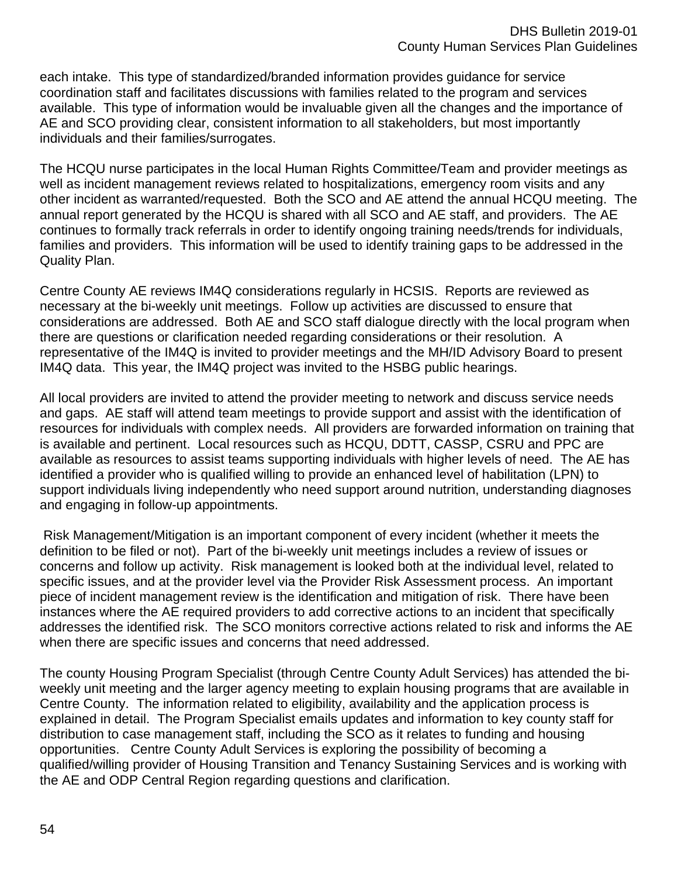each intake. This type of standardized/branded information provides guidance for service coordination staff and facilitates discussions with families related to the program and services available. This type of information would be invaluable given all the changes and the importance of AE and SCO providing clear, consistent information to all stakeholders, but most importantly individuals and their families/surrogates.

The HCQU nurse participates in the local Human Rights Committee/Team and provider meetings as well as incident management reviews related to hospitalizations, emergency room visits and any other incident as warranted/requested. Both the SCO and AE attend the annual HCQU meeting. The annual report generated by the HCQU is shared with all SCO and AE staff, and providers. The AE continues to formally track referrals in order to identify ongoing training needs/trends for individuals, families and providers. This information will be used to identify training gaps to be addressed in the Quality Plan.

Centre County AE reviews IM4Q considerations regularly in HCSIS. Reports are reviewed as necessary at the bi-weekly unit meetings. Follow up activities are discussed to ensure that considerations are addressed. Both AE and SCO staff dialogue directly with the local program when there are questions or clarification needed regarding considerations or their resolution. A representative of the IM4Q is invited to provider meetings and the MH/ID Advisory Board to present IM4Q data. This year, the IM4Q project was invited to the HSBG public hearings.

All local providers are invited to attend the provider meeting to network and discuss service needs and gaps. AE staff will attend team meetings to provide support and assist with the identification of resources for individuals with complex needs. All providers are forwarded information on training that is available and pertinent. Local resources such as HCQU, DDTT, CASSP, CSRU and PPC are available as resources to assist teams supporting individuals with higher levels of need. The AE has identified a provider who is qualified willing to provide an enhanced level of habilitation (LPN) to support individuals living independently who need support around nutrition, understanding diagnoses and engaging in follow-up appointments.

 Risk Management/Mitigation is an important component of every incident (whether it meets the definition to be filed or not). Part of the bi-weekly unit meetings includes a review of issues or concerns and follow up activity. Risk management is looked both at the individual level, related to specific issues, and at the provider level via the Provider Risk Assessment process. An important piece of incident management review is the identification and mitigation of risk. There have been instances where the AE required providers to add corrective actions to an incident that specifically addresses the identified risk. The SCO monitors corrective actions related to risk and informs the AE when there are specific issues and concerns that need addressed.

The county Housing Program Specialist (through Centre County Adult Services) has attended the biweekly unit meeting and the larger agency meeting to explain housing programs that are available in Centre County. The information related to eligibility, availability and the application process is explained in detail. The Program Specialist emails updates and information to key county staff for distribution to case management staff, including the SCO as it relates to funding and housing opportunities. Centre County Adult Services is exploring the possibility of becoming a qualified/willing provider of Housing Transition and Tenancy Sustaining Services and is working with the AE and ODP Central Region regarding questions and clarification.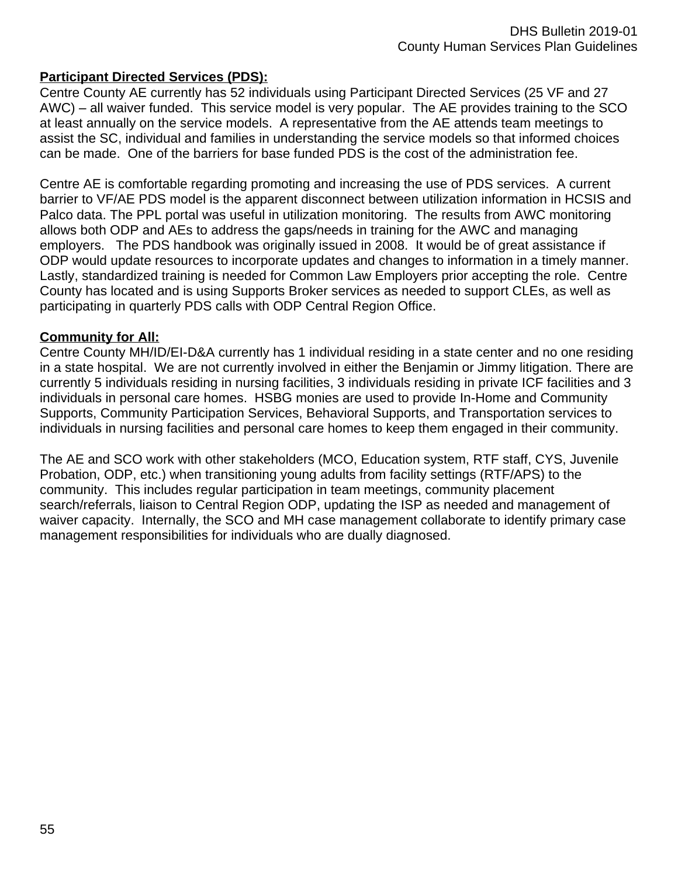## **Participant Directed Services (PDS):**

Centre County AE currently has 52 individuals using Participant Directed Services (25 VF and 27 AWC) – all waiver funded. This service model is very popular. The AE provides training to the SCO at least annually on the service models. A representative from the AE attends team meetings to assist the SC, individual and families in understanding the service models so that informed choices can be made. One of the barriers for base funded PDS is the cost of the administration fee.

Centre AE is comfortable regarding promoting and increasing the use of PDS services. A current barrier to VF/AE PDS model is the apparent disconnect between utilization information in HCSIS and Palco data. The PPL portal was useful in utilization monitoring. The results from AWC monitoring allows both ODP and AEs to address the gaps/needs in training for the AWC and managing employers. The PDS handbook was originally issued in 2008. It would be of great assistance if ODP would update resources to incorporate updates and changes to information in a timely manner. Lastly, standardized training is needed for Common Law Employers prior accepting the role. Centre County has located and is using Supports Broker services as needed to support CLEs, as well as participating in quarterly PDS calls with ODP Central Region Office.

#### **Community for All:**

Centre County MH/ID/EI-D&A currently has 1 individual residing in a state center and no one residing in a state hospital. We are not currently involved in either the Benjamin or Jimmy litigation. There are currently 5 individuals residing in nursing facilities, 3 individuals residing in private ICF facilities and 3 individuals in personal care homes. HSBG monies are used to provide In-Home and Community Supports, Community Participation Services, Behavioral Supports, and Transportation services to individuals in nursing facilities and personal care homes to keep them engaged in their community.

The AE and SCO work with other stakeholders (MCO, Education system, RTF staff, CYS, Juvenile Probation, ODP, etc.) when transitioning young adults from facility settings (RTF/APS) to the community. This includes regular participation in team meetings, community placement search/referrals, liaison to Central Region ODP, updating the ISP as needed and management of waiver capacity. Internally, the SCO and MH case management collaborate to identify primary case management responsibilities for individuals who are dually diagnosed.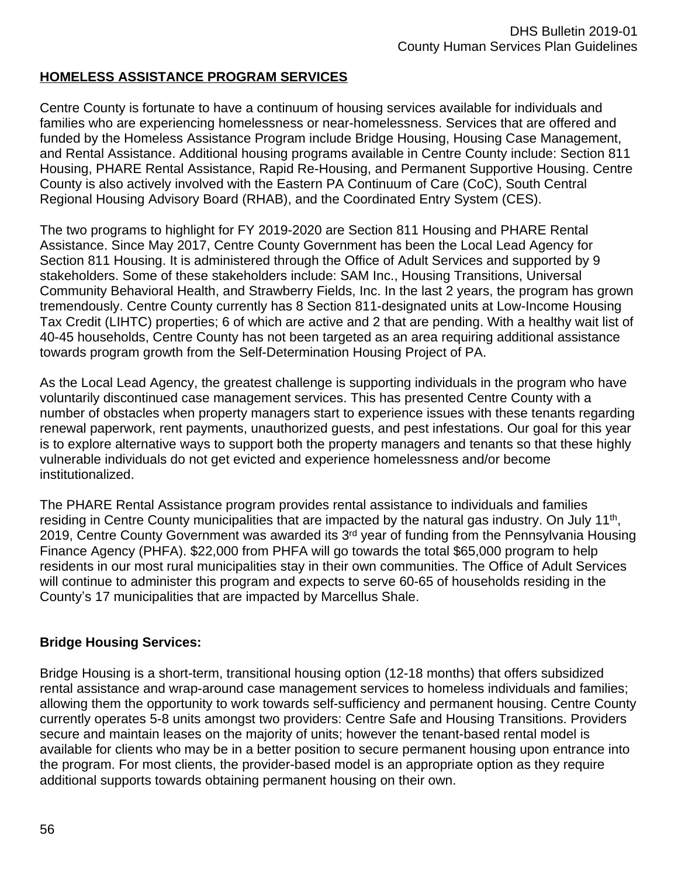## **HOMELESS ASSISTANCE PROGRAM SERVICES**

Centre County is fortunate to have a continuum of housing services available for individuals and families who are experiencing homelessness or near-homelessness. Services that are offered and funded by the Homeless Assistance Program include Bridge Housing, Housing Case Management, and Rental Assistance. Additional housing programs available in Centre County include: Section 811 Housing, PHARE Rental Assistance, Rapid Re-Housing, and Permanent Supportive Housing. Centre County is also actively involved with the Eastern PA Continuum of Care (CoC), South Central Regional Housing Advisory Board (RHAB), and the Coordinated Entry System (CES).

The two programs to highlight for FY 2019-2020 are Section 811 Housing and PHARE Rental Assistance. Since May 2017, Centre County Government has been the Local Lead Agency for Section 811 Housing. It is administered through the Office of Adult Services and supported by 9 stakeholders. Some of these stakeholders include: SAM Inc., Housing Transitions, Universal Community Behavioral Health, and Strawberry Fields, Inc. In the last 2 years, the program has grown tremendously. Centre County currently has 8 Section 811-designated units at Low-Income Housing Tax Credit (LIHTC) properties; 6 of which are active and 2 that are pending. With a healthy wait list of 40-45 households, Centre County has not been targeted as an area requiring additional assistance towards program growth from the Self-Determination Housing Project of PA.

As the Local Lead Agency, the greatest challenge is supporting individuals in the program who have voluntarily discontinued case management services. This has presented Centre County with a number of obstacles when property managers start to experience issues with these tenants regarding renewal paperwork, rent payments, unauthorized guests, and pest infestations. Our goal for this year is to explore alternative ways to support both the property managers and tenants so that these highly vulnerable individuals do not get evicted and experience homelessness and/or become institutionalized.

The PHARE Rental Assistance program provides rental assistance to individuals and families residing in Centre County municipalities that are impacted by the natural gas industry. On July 11<sup>th</sup>, 2019, Centre County Government was awarded its 3<sup>rd</sup> year of funding from the Pennsylvania Housing Finance Agency (PHFA). \$22,000 from PHFA will go towards the total \$65,000 program to help residents in our most rural municipalities stay in their own communities. The Office of Adult Services will continue to administer this program and expects to serve 60-65 of households residing in the County's 17 municipalities that are impacted by Marcellus Shale.

#### **Bridge Housing Services:**

Bridge Housing is a short-term, transitional housing option (12-18 months) that offers subsidized rental assistance and wrap-around case management services to homeless individuals and families; allowing them the opportunity to work towards self-sufficiency and permanent housing. Centre County currently operates 5-8 units amongst two providers: Centre Safe and Housing Transitions. Providers secure and maintain leases on the majority of units; however the tenant-based rental model is available for clients who may be in a better position to secure permanent housing upon entrance into the program. For most clients, the provider-based model is an appropriate option as they require additional supports towards obtaining permanent housing on their own.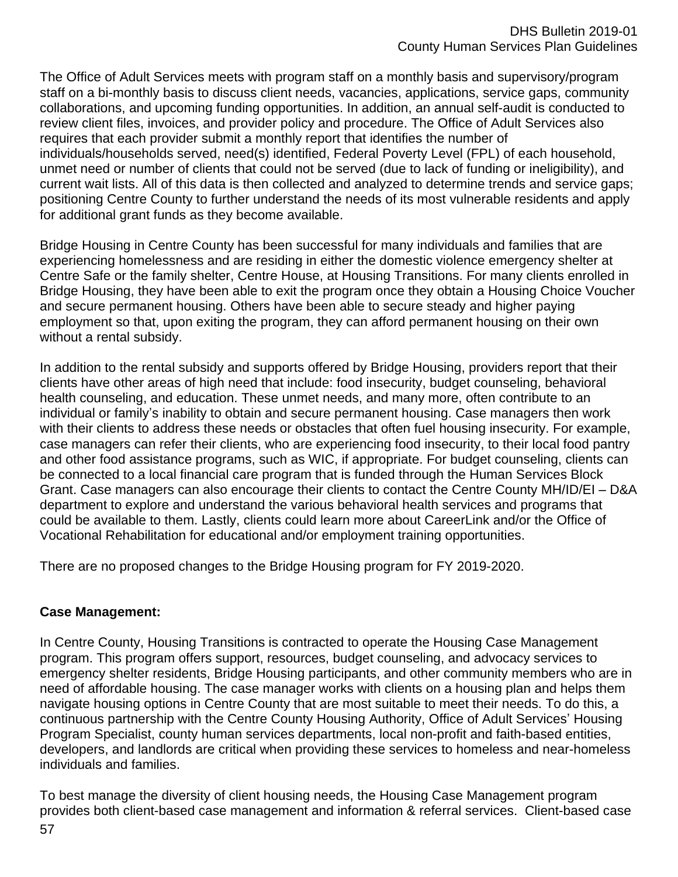The Office of Adult Services meets with program staff on a monthly basis and supervisory/program staff on a bi-monthly basis to discuss client needs, vacancies, applications, service gaps, community collaborations, and upcoming funding opportunities. In addition, an annual self-audit is conducted to review client files, invoices, and provider policy and procedure. The Office of Adult Services also requires that each provider submit a monthly report that identifies the number of individuals/households served, need(s) identified, Federal Poverty Level (FPL) of each household, unmet need or number of clients that could not be served (due to lack of funding or ineligibility), and current wait lists. All of this data is then collected and analyzed to determine trends and service gaps; positioning Centre County to further understand the needs of its most vulnerable residents and apply for additional grant funds as they become available.

Bridge Housing in Centre County has been successful for many individuals and families that are experiencing homelessness and are residing in either the domestic violence emergency shelter at Centre Safe or the family shelter, Centre House, at Housing Transitions. For many clients enrolled in Bridge Housing, they have been able to exit the program once they obtain a Housing Choice Voucher and secure permanent housing. Others have been able to secure steady and higher paying employment so that, upon exiting the program, they can afford permanent housing on their own without a rental subsidy.

In addition to the rental subsidy and supports offered by Bridge Housing, providers report that their clients have other areas of high need that include: food insecurity, budget counseling, behavioral health counseling, and education. These unmet needs, and many more, often contribute to an individual or family's inability to obtain and secure permanent housing. Case managers then work with their clients to address these needs or obstacles that often fuel housing insecurity. For example, case managers can refer their clients, who are experiencing food insecurity, to their local food pantry and other food assistance programs, such as WIC, if appropriate. For budget counseling, clients can be connected to a local financial care program that is funded through the Human Services Block Grant. Case managers can also encourage their clients to contact the Centre County MH/ID/EI – D&A department to explore and understand the various behavioral health services and programs that could be available to them. Lastly, clients could learn more about CareerLink and/or the Office of Vocational Rehabilitation for educational and/or employment training opportunities.

There are no proposed changes to the Bridge Housing program for FY 2019-2020.

## **Case Management:**

In Centre County, Housing Transitions is contracted to operate the Housing Case Management program. This program offers support, resources, budget counseling, and advocacy services to emergency shelter residents, Bridge Housing participants, and other community members who are in need of affordable housing. The case manager works with clients on a housing plan and helps them navigate housing options in Centre County that are most suitable to meet their needs. To do this, a continuous partnership with the Centre County Housing Authority, Office of Adult Services' Housing Program Specialist, county human services departments, local non-profit and faith-based entities, developers, and landlords are critical when providing these services to homeless and near-homeless individuals and families.

To best manage the diversity of client housing needs, the Housing Case Management program provides both client-based case management and information & referral services. Client-based case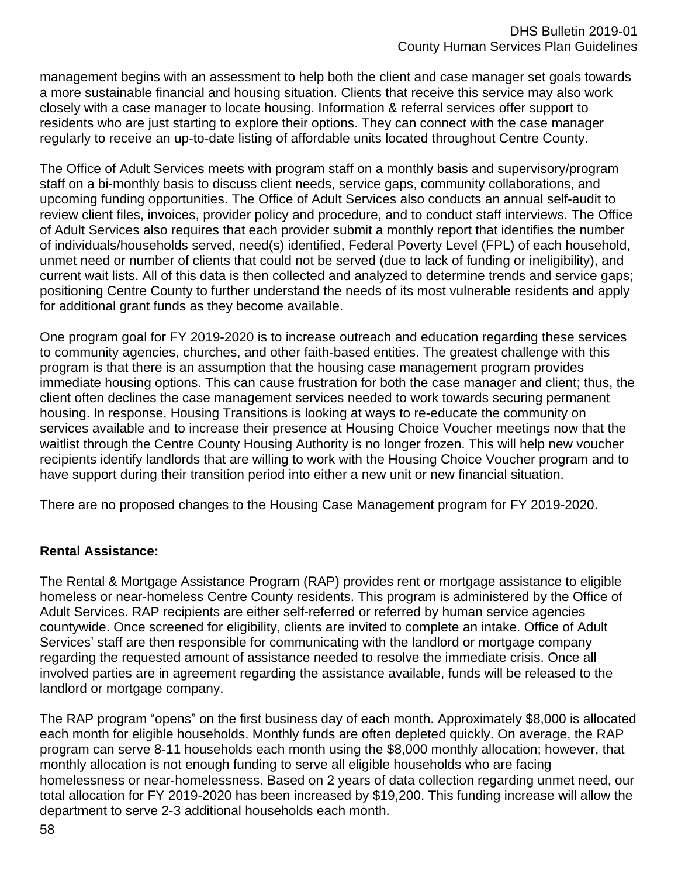management begins with an assessment to help both the client and case manager set goals towards a more sustainable financial and housing situation. Clients that receive this service may also work closely with a case manager to locate housing. Information & referral services offer support to residents who are just starting to explore their options. They can connect with the case manager regularly to receive an up-to-date listing of affordable units located throughout Centre County.

The Office of Adult Services meets with program staff on a monthly basis and supervisory/program staff on a bi-monthly basis to discuss client needs, service gaps, community collaborations, and upcoming funding opportunities. The Office of Adult Services also conducts an annual self-audit to review client files, invoices, provider policy and procedure, and to conduct staff interviews. The Office of Adult Services also requires that each provider submit a monthly report that identifies the number of individuals/households served, need(s) identified, Federal Poverty Level (FPL) of each household, unmet need or number of clients that could not be served (due to lack of funding or ineligibility), and current wait lists. All of this data is then collected and analyzed to determine trends and service gaps; positioning Centre County to further understand the needs of its most vulnerable residents and apply for additional grant funds as they become available.

One program goal for FY 2019-2020 is to increase outreach and education regarding these services to community agencies, churches, and other faith-based entities. The greatest challenge with this program is that there is an assumption that the housing case management program provides immediate housing options. This can cause frustration for both the case manager and client; thus, the client often declines the case management services needed to work towards securing permanent housing. In response, Housing Transitions is looking at ways to re-educate the community on services available and to increase their presence at Housing Choice Voucher meetings now that the waitlist through the Centre County Housing Authority is no longer frozen. This will help new voucher recipients identify landlords that are willing to work with the Housing Choice Voucher program and to have support during their transition period into either a new unit or new financial situation.

There are no proposed changes to the Housing Case Management program for FY 2019-2020.

## **Rental Assistance:**

The Rental & Mortgage Assistance Program (RAP) provides rent or mortgage assistance to eligible homeless or near-homeless Centre County residents. This program is administered by the Office of Adult Services. RAP recipients are either self-referred or referred by human service agencies countywide. Once screened for eligibility, clients are invited to complete an intake. Office of Adult Services' staff are then responsible for communicating with the landlord or mortgage company regarding the requested amount of assistance needed to resolve the immediate crisis. Once all involved parties are in agreement regarding the assistance available, funds will be released to the landlord or mortgage company.

The RAP program "opens" on the first business day of each month. Approximately \$8,000 is allocated each month for eligible households. Monthly funds are often depleted quickly. On average, the RAP program can serve 8-11 households each month using the \$8,000 monthly allocation; however, that monthly allocation is not enough funding to serve all eligible households who are facing homelessness or near-homelessness. Based on 2 years of data collection regarding unmet need, our total allocation for FY 2019-2020 has been increased by \$19,200. This funding increase will allow the department to serve 2-3 additional households each month.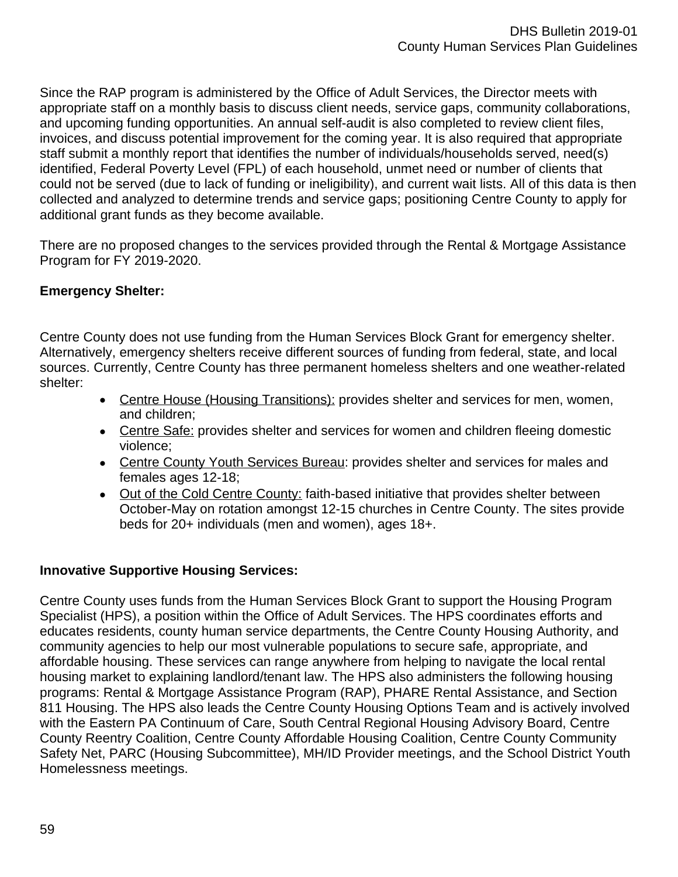Since the RAP program is administered by the Office of Adult Services, the Director meets with appropriate staff on a monthly basis to discuss client needs, service gaps, community collaborations, and upcoming funding opportunities. An annual self-audit is also completed to review client files, invoices, and discuss potential improvement for the coming year. It is also required that appropriate staff submit a monthly report that identifies the number of individuals/households served, need(s) identified, Federal Poverty Level (FPL) of each household, unmet need or number of clients that could not be served (due to lack of funding or ineligibility), and current wait lists. All of this data is then collected and analyzed to determine trends and service gaps; positioning Centre County to apply for additional grant funds as they become available.

There are no proposed changes to the services provided through the Rental & Mortgage Assistance Program for FY 2019-2020.

# **Emergency Shelter:**

Centre County does not use funding from the Human Services Block Grant for emergency shelter. Alternatively, emergency shelters receive different sources of funding from federal, state, and local sources. Currently, Centre County has three permanent homeless shelters and one weather-related shelter:

- Centre House (Housing Transitions): provides shelter and services for men, women, and children;
- Centre Safe: provides shelter and services for women and children fleeing domestic violence;
- Centre County Youth Services Bureau: provides shelter and services for males and females ages 12-18;
- Out of the Cold Centre County: faith-based initiative that provides shelter between October-May on rotation amongst 12-15 churches in Centre County. The sites provide beds for 20+ individuals (men and women), ages 18+.

## **Innovative Supportive Housing Services:**

Centre County uses funds from the Human Services Block Grant to support the Housing Program Specialist (HPS), a position within the Office of Adult Services. The HPS coordinates efforts and educates residents, county human service departments, the Centre County Housing Authority, and community agencies to help our most vulnerable populations to secure safe, appropriate, and affordable housing. These services can range anywhere from helping to navigate the local rental housing market to explaining landlord/tenant law. The HPS also administers the following housing programs: Rental & Mortgage Assistance Program (RAP), PHARE Rental Assistance, and Section 811 Housing. The HPS also leads the Centre County Housing Options Team and is actively involved with the Eastern PA Continuum of Care, South Central Regional Housing Advisory Board, Centre County Reentry Coalition, Centre County Affordable Housing Coalition, Centre County Community Safety Net, PARC (Housing Subcommittee), MH/ID Provider meetings, and the School District Youth Homelessness meetings.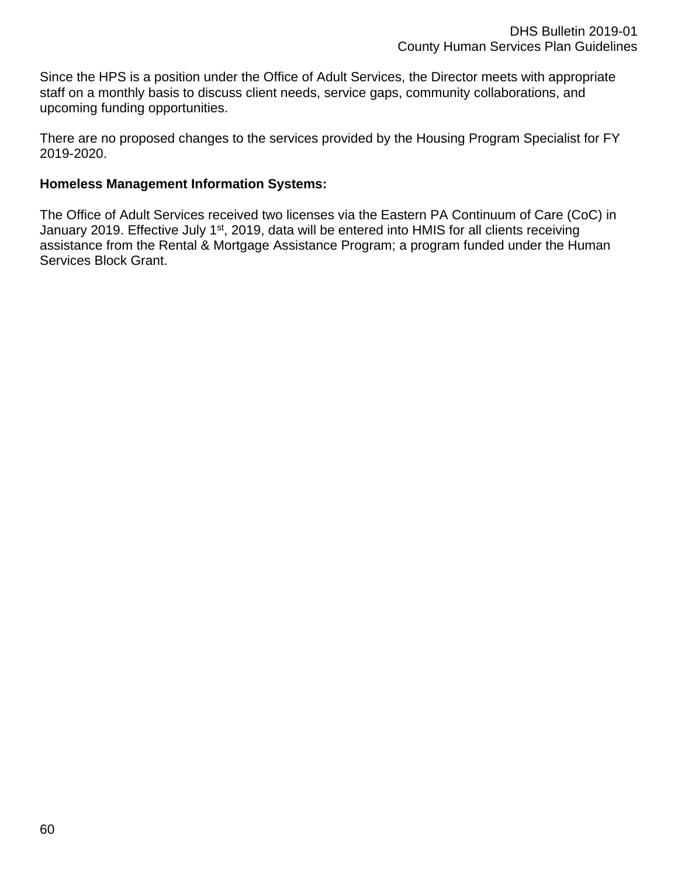Since the HPS is a position under the Office of Adult Services, the Director meets with appropriate staff on a monthly basis to discuss client needs, service gaps, community collaborations, and upcoming funding opportunities.

There are no proposed changes to the services provided by the Housing Program Specialist for FY 2019-2020.

#### **Homeless Management Information Systems:**

The Office of Adult Services received two licenses via the Eastern PA Continuum of Care (CoC) in January 2019. Effective July 1<sup>st</sup>, 2019, data will be entered into HMIS for all clients receiving assistance from the Rental & Mortgage Assistance Program; a program funded under the Human Services Block Grant.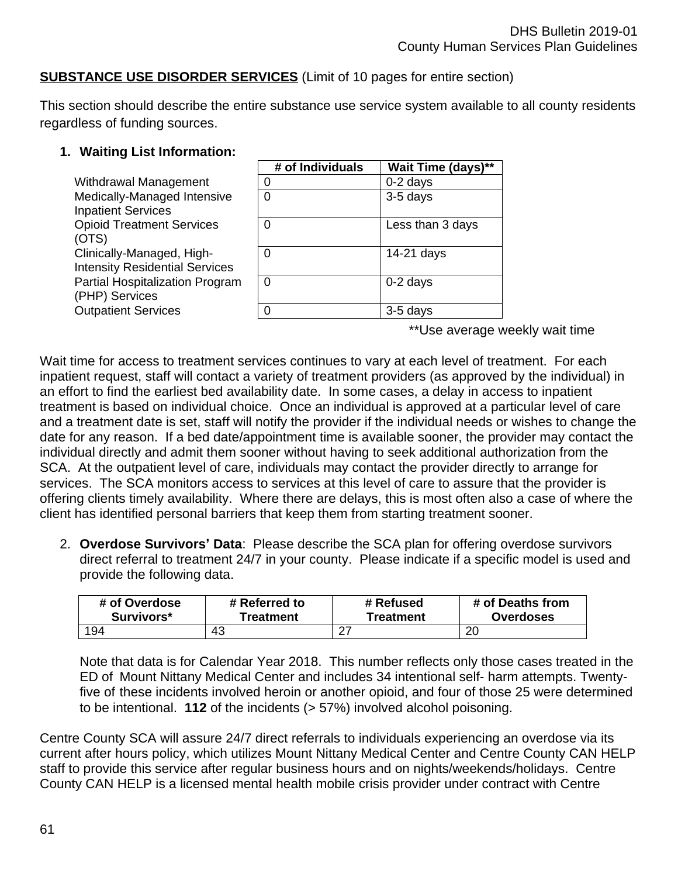## **SUBSTANCE USE DISORDER SERVICES** (Limit of 10 pages for entire section)

This section should describe the entire substance use service system available to all county residents regardless of funding sources.

#### **1. Waiting List Information:**

|                                                                    | # of Individuals | Wait Time (days)** |  |
|--------------------------------------------------------------------|------------------|--------------------|--|
| Withdrawal Management                                              | 0                | $0-2$ days         |  |
| Medically-Managed Intensive<br><b>Inpatient Services</b>           | 0                | 3-5 days           |  |
| <b>Opioid Treatment Services</b><br>(OTS)                          | 0                | Less than 3 days   |  |
| Clinically-Managed, High-<br><b>Intensity Residential Services</b> | 0                | 14-21 days         |  |
| Partial Hospitalization Program<br>(PHP) Services                  | 0                | $0-2$ days         |  |
| <b>Outpatient Services</b>                                         | ∩                | 3-5 days           |  |
|                                                                    |                  |                    |  |

\*\*Use average weekly wait time

Wait time for access to treatment services continues to vary at each level of treatment. For each inpatient request, staff will contact a variety of treatment providers (as approved by the individual) in an effort to find the earliest bed availability date. In some cases, a delay in access to inpatient treatment is based on individual choice. Once an individual is approved at a particular level of care and a treatment date is set, staff will notify the provider if the individual needs or wishes to change the date for any reason. If a bed date/appointment time is available sooner, the provider may contact the individual directly and admit them sooner without having to seek additional authorization from the SCA. At the outpatient level of care, individuals may contact the provider directly to arrange for services. The SCA monitors access to services at this level of care to assure that the provider is offering clients timely availability. Where there are delays, this is most often also a case of where the client has identified personal barriers that keep them from starting treatment sooner.

2. **Overdose Survivors' Data**: Please describe the SCA plan for offering overdose survivors direct referral to treatment 24/7 in your county. Please indicate if a specific model is used and provide the following data.

| # of Overdose | # Referred to | # Refused | # of Deaths from |
|---------------|---------------|-----------|------------------|
| Survivors*    | Treatment     | Treatment | <b>Overdoses</b> |
| 194           | 43            |           | 20               |

Note that data is for Calendar Year 2018. This number reflects only those cases treated in the ED of Mount Nittany Medical Center and includes 34 intentional self- harm attempts. Twentyfive of these incidents involved heroin or another opioid, and four of those 25 were determined to be intentional. **112** of the incidents (> 57%) involved alcohol poisoning.

Centre County SCA will assure 24/7 direct referrals to individuals experiencing an overdose via its current after hours policy, which utilizes Mount Nittany Medical Center and Centre County CAN HELP staff to provide this service after regular business hours and on nights/weekends/holidays. Centre County CAN HELP is a licensed mental health mobile crisis provider under contract with Centre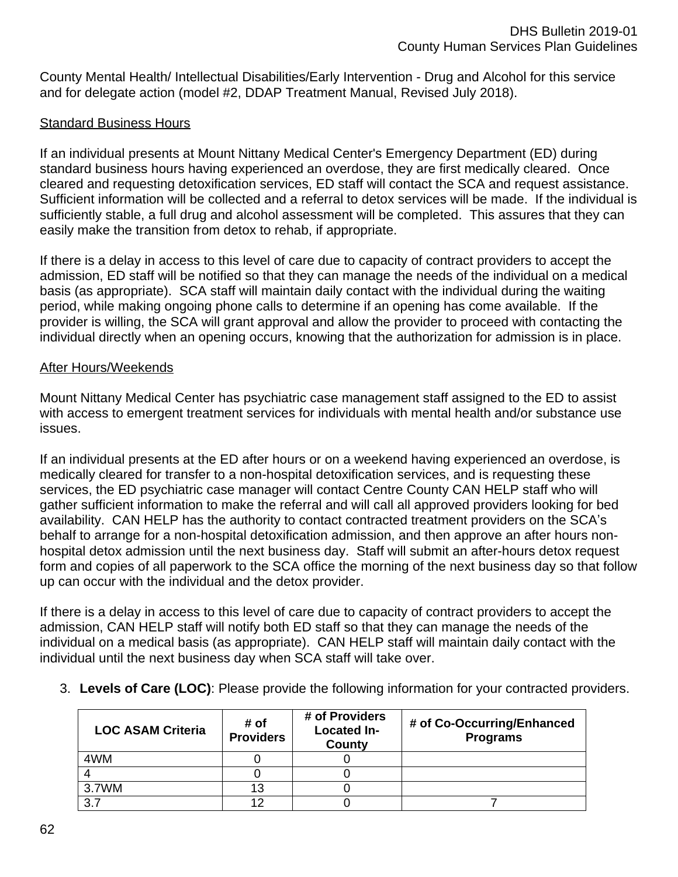County Mental Health/ Intellectual Disabilities/Early Intervention - Drug and Alcohol for this service and for delegate action (model #2, DDAP Treatment Manual, Revised July 2018).

### Standard Business Hours

If an individual presents at Mount Nittany Medical Center's Emergency Department (ED) during standard business hours having experienced an overdose, they are first medically cleared. Once cleared and requesting detoxification services, ED staff will contact the SCA and request assistance. Sufficient information will be collected and a referral to detox services will be made. If the individual is sufficiently stable, a full drug and alcohol assessment will be completed. This assures that they can easily make the transition from detox to rehab, if appropriate.

If there is a delay in access to this level of care due to capacity of contract providers to accept the admission, ED staff will be notified so that they can manage the needs of the individual on a medical basis (as appropriate). SCA staff will maintain daily contact with the individual during the waiting period, while making ongoing phone calls to determine if an opening has come available. If the provider is willing, the SCA will grant approval and allow the provider to proceed with contacting the individual directly when an opening occurs, knowing that the authorization for admission is in place.

#### After Hours/Weekends

Mount Nittany Medical Center has psychiatric case management staff assigned to the ED to assist with access to emergent treatment services for individuals with mental health and/or substance use issues.

If an individual presents at the ED after hours or on a weekend having experienced an overdose, is medically cleared for transfer to a non-hospital detoxification services, and is requesting these services, the ED psychiatric case manager will contact Centre County CAN HELP staff who will gather sufficient information to make the referral and will call all approved providers looking for bed availability. CAN HELP has the authority to contact contracted treatment providers on the SCA's behalf to arrange for a non-hospital detoxification admission, and then approve an after hours nonhospital detox admission until the next business day. Staff will submit an after-hours detox request form and copies of all paperwork to the SCA office the morning of the next business day so that follow up can occur with the individual and the detox provider.

If there is a delay in access to this level of care due to capacity of contract providers to accept the admission, CAN HELP staff will notify both ED staff so that they can manage the needs of the individual on a medical basis (as appropriate). CAN HELP staff will maintain daily contact with the individual until the next business day when SCA staff will take over.

3. **Levels of Care (LOC)**: Please provide the following information for your contracted providers.

| <b>LOC ASAM Criteria</b> | # of<br><b>Providers</b> | # of Providers<br><b>Located In-</b><br>County | # of Co-Occurring/Enhanced<br><b>Programs</b> |
|--------------------------|--------------------------|------------------------------------------------|-----------------------------------------------|
| 4WM                      |                          |                                                |                                               |
|                          |                          |                                                |                                               |
| 3.7WM                    | 13                       |                                                |                                               |
| 37                       | ィク                       |                                                |                                               |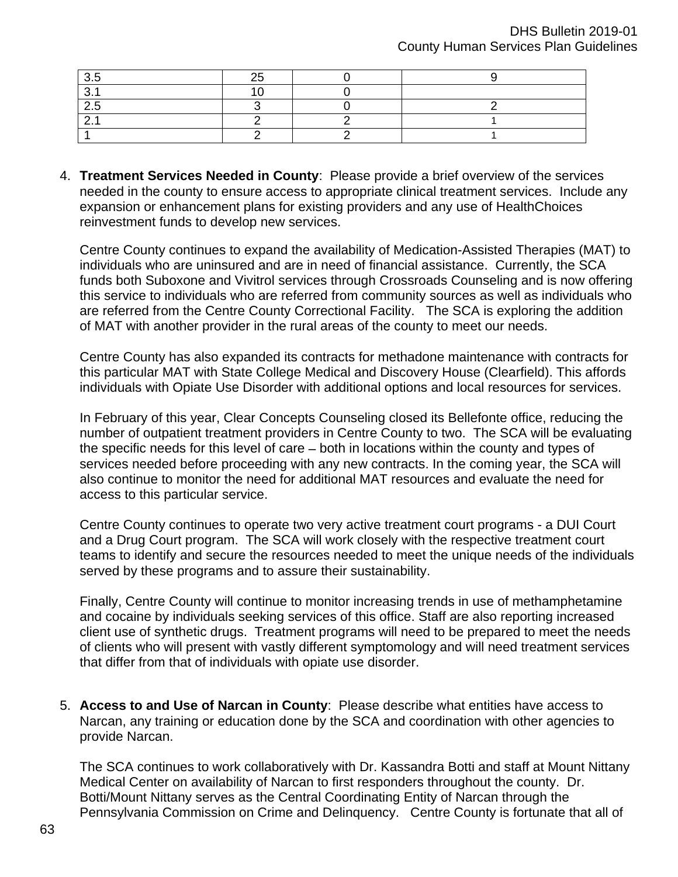|            | -- |  |
|------------|----|--|
|            |    |  |
| <u>.</u> . |    |  |
|            |    |  |
|            |    |  |

4. **Treatment Services Needed in County**: Please provide a brief overview of the services needed in the county to ensure access to appropriate clinical treatment services. Include any expansion or enhancement plans for existing providers and any use of HealthChoices reinvestment funds to develop new services.

Centre County continues to expand the availability of Medication-Assisted Therapies (MAT) to individuals who are uninsured and are in need of financial assistance. Currently, the SCA funds both Suboxone and Vivitrol services through Crossroads Counseling and is now offering this service to individuals who are referred from community sources as well as individuals who are referred from the Centre County Correctional Facility. The SCA is exploring the addition of MAT with another provider in the rural areas of the county to meet our needs.

Centre County has also expanded its contracts for methadone maintenance with contracts for this particular MAT with State College Medical and Discovery House (Clearfield). This affords individuals with Opiate Use Disorder with additional options and local resources for services.

In February of this year, Clear Concepts Counseling closed its Bellefonte office, reducing the number of outpatient treatment providers in Centre County to two. The SCA will be evaluating the specific needs for this level of care – both in locations within the county and types of services needed before proceeding with any new contracts. In the coming year, the SCA will also continue to monitor the need for additional MAT resources and evaluate the need for access to this particular service.

Centre County continues to operate two very active treatment court programs - a DUI Court and a Drug Court program. The SCA will work closely with the respective treatment court teams to identify and secure the resources needed to meet the unique needs of the individuals served by these programs and to assure their sustainability.

Finally, Centre County will continue to monitor increasing trends in use of methamphetamine and cocaine by individuals seeking services of this office. Staff are also reporting increased client use of synthetic drugs. Treatment programs will need to be prepared to meet the needs of clients who will present with vastly different symptomology and will need treatment services that differ from that of individuals with opiate use disorder.

5. **Access to and Use of Narcan in County**: Please describe what entities have access to Narcan, any training or education done by the SCA and coordination with other agencies to provide Narcan.

The SCA continues to work collaboratively with Dr. Kassandra Botti and staff at Mount Nittany Medical Center on availability of Narcan to first responders throughout the county. Dr. Botti/Mount Nittany serves as the Central Coordinating Entity of Narcan through the Pennsylvania Commission on Crime and Delinquency. Centre County is fortunate that all of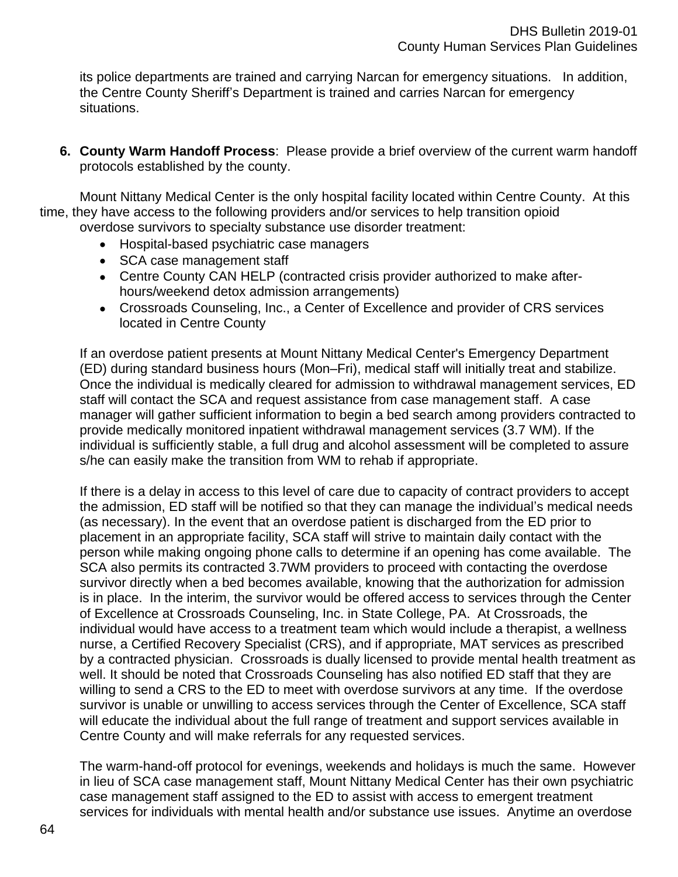its police departments are trained and carrying Narcan for emergency situations. In addition, the Centre County Sheriff's Department is trained and carries Narcan for emergency situations.

**6. County Warm Handoff Process**: Please provide a brief overview of the current warm handoff protocols established by the county.

Mount Nittany Medical Center is the only hospital facility located within Centre County. At this time, they have access to the following providers and/or services to help transition opioid overdose survivors to specialty substance use disorder treatment:

- Hospital-based psychiatric case managers
- SCA case management staff
- Centre County CAN HELP (contracted crisis provider authorized to make afterhours/weekend detox admission arrangements)
- Crossroads Counseling, Inc., a Center of Excellence and provider of CRS services located in Centre County

If an overdose patient presents at Mount Nittany Medical Center's Emergency Department (ED) during standard business hours (Mon–Fri), medical staff will initially treat and stabilize. Once the individual is medically cleared for admission to withdrawal management services, ED staff will contact the SCA and request assistance from case management staff. A case manager will gather sufficient information to begin a bed search among providers contracted to provide medically monitored inpatient withdrawal management services (3.7 WM). If the individual is sufficiently stable, a full drug and alcohol assessment will be completed to assure s/he can easily make the transition from WM to rehab if appropriate.

If there is a delay in access to this level of care due to capacity of contract providers to accept the admission, ED staff will be notified so that they can manage the individual's medical needs (as necessary). In the event that an overdose patient is discharged from the ED prior to placement in an appropriate facility, SCA staff will strive to maintain daily contact with the person while making ongoing phone calls to determine if an opening has come available. The SCA also permits its contracted 3.7WM providers to proceed with contacting the overdose survivor directly when a bed becomes available, knowing that the authorization for admission is in place. In the interim, the survivor would be offered access to services through the Center of Excellence at Crossroads Counseling, Inc. in State College, PA. At Crossroads, the individual would have access to a treatment team which would include a therapist, a wellness nurse, a Certified Recovery Specialist (CRS), and if appropriate, MAT services as prescribed by a contracted physician. Crossroads is dually licensed to provide mental health treatment as well. It should be noted that Crossroads Counseling has also notified ED staff that they are willing to send a CRS to the ED to meet with overdose survivors at any time. If the overdose survivor is unable or unwilling to access services through the Center of Excellence, SCA staff will educate the individual about the full range of treatment and support services available in Centre County and will make referrals for any requested services.

The warm-hand-off protocol for evenings, weekends and holidays is much the same. However in lieu of SCA case management staff, Mount Nittany Medical Center has their own psychiatric case management staff assigned to the ED to assist with access to emergent treatment services for individuals with mental health and/or substance use issues. Anytime an overdose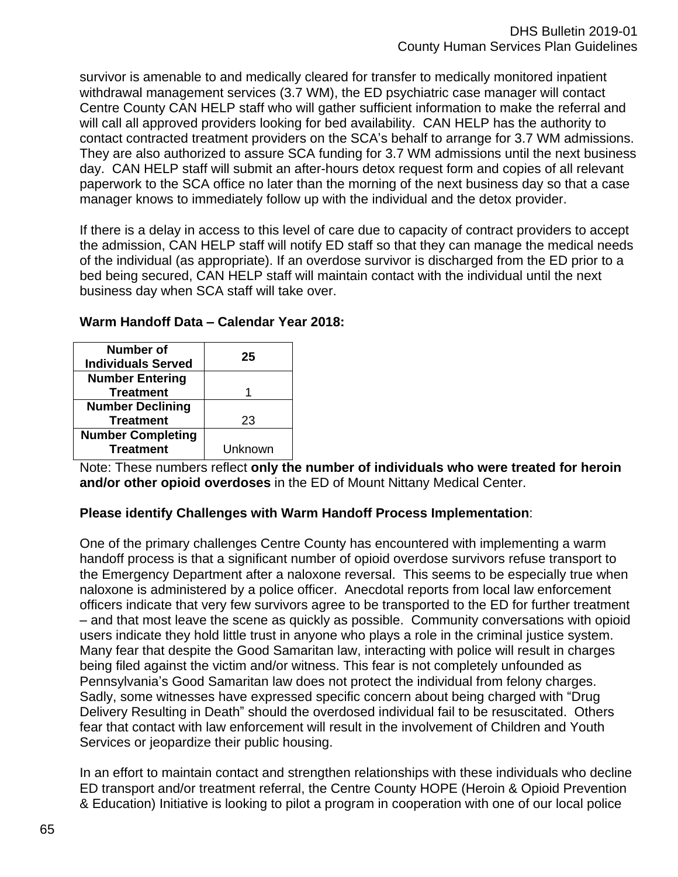survivor is amenable to and medically cleared for transfer to medically monitored inpatient withdrawal management services (3.7 WM), the ED psychiatric case manager will contact Centre County CAN HELP staff who will gather sufficient information to make the referral and will call all approved providers looking for bed availability. CAN HELP has the authority to contact contracted treatment providers on the SCA's behalf to arrange for 3.7 WM admissions. They are also authorized to assure SCA funding for 3.7 WM admissions until the next business day. CAN HELP staff will submit an after-hours detox request form and copies of all relevant paperwork to the SCA office no later than the morning of the next business day so that a case manager knows to immediately follow up with the individual and the detox provider.

If there is a delay in access to this level of care due to capacity of contract providers to accept the admission, CAN HELP staff will notify ED staff so that they can manage the medical needs of the individual (as appropriate). If an overdose survivor is discharged from the ED prior to a bed being secured, CAN HELP staff will maintain contact with the individual until the next business day when SCA staff will take over.

| Number of<br><b>Individuals Served</b> | 25      |
|----------------------------------------|---------|
| <b>Number Entering</b>                 |         |
| <b>Treatment</b>                       |         |
| <b>Number Declining</b>                |         |
| <b>Treatment</b>                       | 23      |
| <b>Number Completing</b>               |         |
| <b>Treatment</b>                       | Unknown |

### **Warm Handoff Data – Calendar Year 2018:**

Note: These numbers reflect **only the number of individuals who were treated for heroin and/or other opioid overdoses** in the ED of Mount Nittany Medical Center.

#### **Please identify Challenges with Warm Handoff Process Implementation**:

One of the primary challenges Centre County has encountered with implementing a warm handoff process is that a significant number of opioid overdose survivors refuse transport to the Emergency Department after a naloxone reversal. This seems to be especially true when naloxone is administered by a police officer. Anecdotal reports from local law enforcement officers indicate that very few survivors agree to be transported to the ED for further treatment – and that most leave the scene as quickly as possible. Community conversations with opioid users indicate they hold little trust in anyone who plays a role in the criminal justice system. Many fear that despite the Good Samaritan law, interacting with police will result in charges being filed against the victim and/or witness. This fear is not completely unfounded as Pennsylvania's Good Samaritan law does not protect the individual from felony charges. Sadly, some witnesses have expressed specific concern about being charged with "Drug Delivery Resulting in Death" should the overdosed individual fail to be resuscitated. Others fear that contact with law enforcement will result in the involvement of Children and Youth Services or jeopardize their public housing.

In an effort to maintain contact and strengthen relationships with these individuals who decline ED transport and/or treatment referral, the Centre County HOPE (Heroin & Opioid Prevention & Education) Initiative is looking to pilot a program in cooperation with one of our local police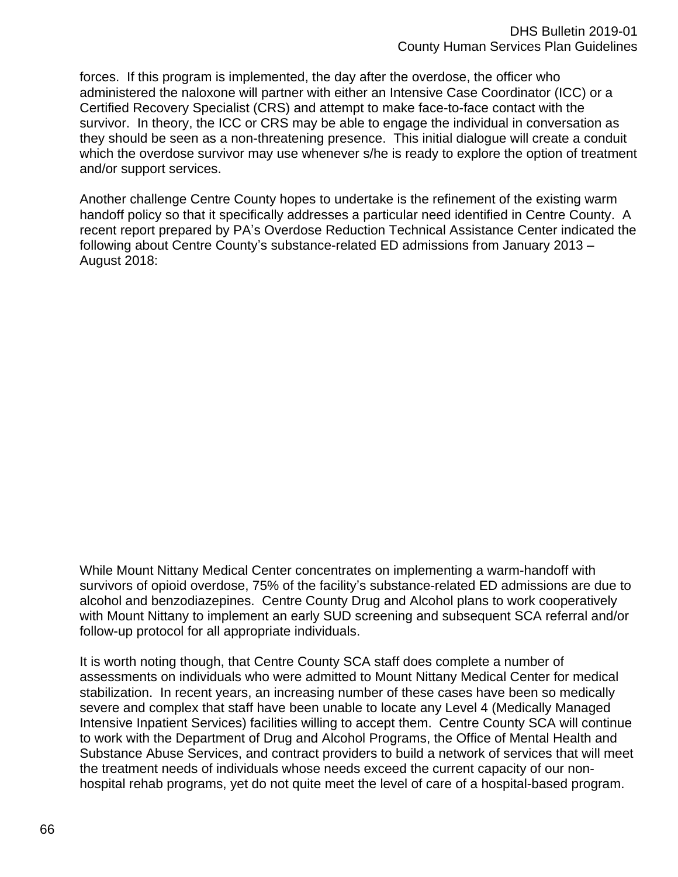forces. If this program is implemented, the day after the overdose, the officer who administered the naloxone will partner with either an Intensive Case Coordinator (ICC) or a Certified Recovery Specialist (CRS) and attempt to make face-to-face contact with the survivor. In theory, the ICC or CRS may be able to engage the individual in conversation as they should be seen as a non-threatening presence. This initial dialogue will create a conduit which the overdose survivor may use whenever s/he is ready to explore the option of treatment and/or support services.

Another challenge Centre County hopes to undertake is the refinement of the existing warm handoff policy so that it specifically addresses a particular need identified in Centre County. A recent report prepared by PA's Overdose Reduction Technical Assistance Center indicated the following about Centre County's substance-related ED admissions from January 2013 – August 2018:

While Mount Nittany Medical Center concentrates on implementing a warm-handoff with survivors of opioid overdose, 75% of the facility's substance-related ED admissions are due to alcohol and benzodiazepines. Centre County Drug and Alcohol plans to work cooperatively with Mount Nittany to implement an early SUD screening and subsequent SCA referral and/or follow-up protocol for all appropriate individuals.

It is worth noting though, that Centre County SCA staff does complete a number of assessments on individuals who were admitted to Mount Nittany Medical Center for medical stabilization. In recent years, an increasing number of these cases have been so medically severe and complex that staff have been unable to locate any Level 4 (Medically Managed Intensive Inpatient Services) facilities willing to accept them. Centre County SCA will continue to work with the Department of Drug and Alcohol Programs, the Office of Mental Health and Substance Abuse Services, and contract providers to build a network of services that will meet the treatment needs of individuals whose needs exceed the current capacity of our nonhospital rehab programs, yet do not quite meet the level of care of a hospital-based program.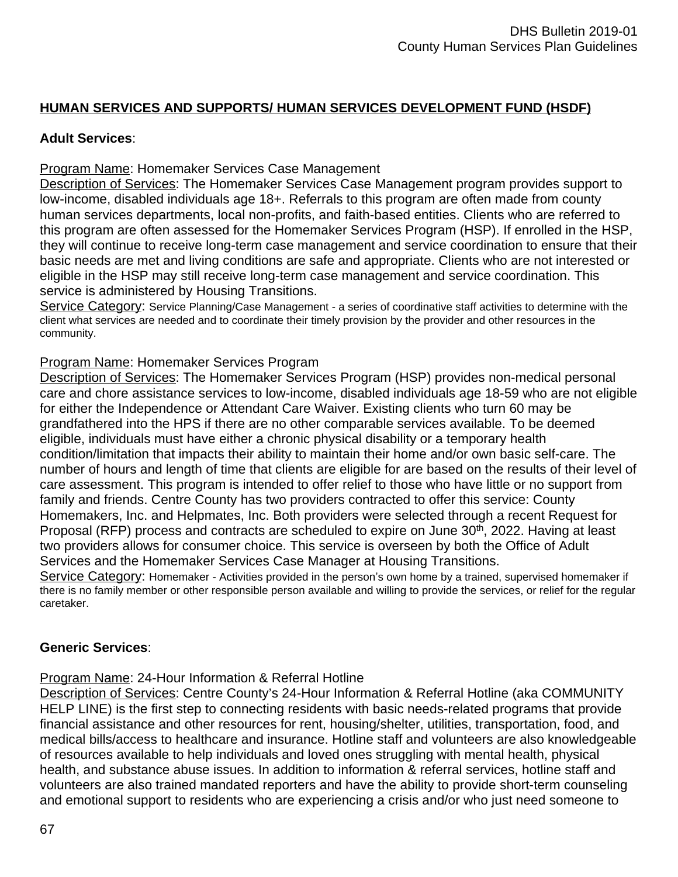# **HUMAN SERVICES AND SUPPORTS/ HUMAN SERVICES DEVELOPMENT FUND (HSDF)**

## **Adult Services**:

#### Program Name: Homemaker Services Case Management

Description of Services: The Homemaker Services Case Management program provides support to low-income, disabled individuals age 18+. Referrals to this program are often made from county human services departments, local non-profits, and faith-based entities. Clients who are referred to this program are often assessed for the Homemaker Services Program (HSP). If enrolled in the HSP, they will continue to receive long-term case management and service coordination to ensure that their basic needs are met and living conditions are safe and appropriate. Clients who are not interested or eligible in the HSP may still receive long-term case management and service coordination. This service is administered by Housing Transitions.

Service Category: Service Planning/Case Management - a series of coordinative staff activities to determine with the client what services are needed and to coordinate their timely provision by the provider and other resources in the community.

#### Program Name: Homemaker Services Program

Description of Services: The Homemaker Services Program (HSP) provides non-medical personal care and chore assistance services to low-income, disabled individuals age 18-59 who are not eligible for either the Independence or Attendant Care Waiver. Existing clients who turn 60 may be grandfathered into the HPS if there are no other comparable services available. To be deemed eligible, individuals must have either a chronic physical disability or a temporary health condition/limitation that impacts their ability to maintain their home and/or own basic self-care. The number of hours and length of time that clients are eligible for are based on the results of their level of care assessment. This program is intended to offer relief to those who have little or no support from family and friends. Centre County has two providers contracted to offer this service: County Homemakers, Inc. and Helpmates, Inc. Both providers were selected through a recent Request for Proposal (RFP) process and contracts are scheduled to expire on June 30<sup>th</sup>, 2022. Having at least two providers allows for consumer choice. This service is overseen by both the Office of Adult Services and the Homemaker Services Case Manager at Housing Transitions.

Service Category: Homemaker - Activities provided in the person's own home by a trained, supervised homemaker if there is no family member or other responsible person available and willing to provide the services, or relief for the regular caretaker.

#### **Generic Services**:

#### Program Name: 24-Hour Information & Referral Hotline

Description of Services: Centre County's 24-Hour Information & Referral Hotline (aka COMMUNITY HELP LINE) is the first step to connecting residents with basic needs-related programs that provide financial assistance and other resources for rent, housing/shelter, utilities, transportation, food, and medical bills/access to healthcare and insurance. Hotline staff and volunteers are also knowledgeable of resources available to help individuals and loved ones struggling with mental health, physical health, and substance abuse issues. In addition to information & referral services, hotline staff and volunteers are also trained mandated reporters and have the ability to provide short-term counseling and emotional support to residents who are experiencing a crisis and/or who just need someone to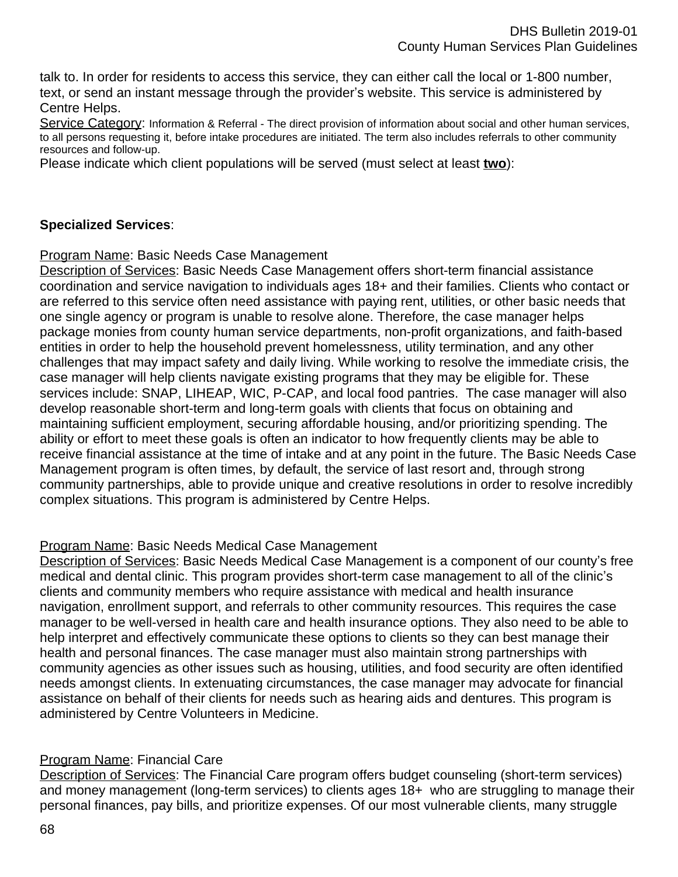talk to. In order for residents to access this service, they can either call the local or 1-800 number, text, or send an instant message through the provider's website. This service is administered by Centre Helps.

Service Category: Information & Referral - The direct provision of information about social and other human services, to all persons requesting it, before intake procedures are initiated. The term also includes referrals to other community resources and follow-up.

Please indicate which client populations will be served (must select at least **two**):

### **Specialized Services**:

#### Program Name: Basic Needs Case Management

Description of Services: Basic Needs Case Management offers short-term financial assistance coordination and service navigation to individuals ages 18+ and their families. Clients who contact or are referred to this service often need assistance with paying rent, utilities, or other basic needs that one single agency or program is unable to resolve alone. Therefore, the case manager helps package monies from county human service departments, non-profit organizations, and faith-based entities in order to help the household prevent homelessness, utility termination, and any other challenges that may impact safety and daily living. While working to resolve the immediate crisis, the case manager will help clients navigate existing programs that they may be eligible for. These services include: SNAP, LIHEAP, WIC, P-CAP, and local food pantries. The case manager will also develop reasonable short-term and long-term goals with clients that focus on obtaining and maintaining sufficient employment, securing affordable housing, and/or prioritizing spending. The ability or effort to meet these goals is often an indicator to how frequently clients may be able to receive financial assistance at the time of intake and at any point in the future. The Basic Needs Case Management program is often times, by default, the service of last resort and, through strong community partnerships, able to provide unique and creative resolutions in order to resolve incredibly complex situations. This program is administered by Centre Helps.

#### Program Name: Basic Needs Medical Case Management

Description of Services: Basic Needs Medical Case Management is a component of our county's free medical and dental clinic. This program provides short-term case management to all of the clinic's clients and community members who require assistance with medical and health insurance navigation, enrollment support, and referrals to other community resources. This requires the case manager to be well-versed in health care and health insurance options. They also need to be able to help interpret and effectively communicate these options to clients so they can best manage their health and personal finances. The case manager must also maintain strong partnerships with community agencies as other issues such as housing, utilities, and food security are often identified needs amongst clients. In extenuating circumstances, the case manager may advocate for financial assistance on behalf of their clients for needs such as hearing aids and dentures. This program is administered by Centre Volunteers in Medicine.

#### Program Name: Financial Care

Description of Services: The Financial Care program offers budget counseling (short-term services) and money management (long-term services) to clients ages 18+ who are struggling to manage their personal finances, pay bills, and prioritize expenses. Of our most vulnerable clients, many struggle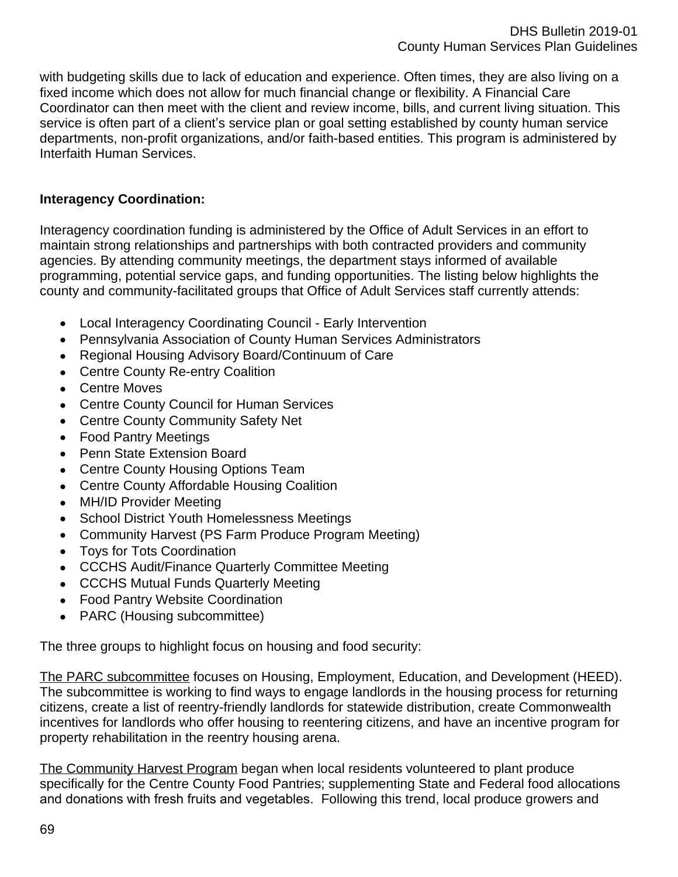with budgeting skills due to lack of education and experience. Often times, they are also living on a fixed income which does not allow for much financial change or flexibility. A Financial Care Coordinator can then meet with the client and review income, bills, and current living situation. This service is often part of a client's service plan or goal setting established by county human service departments, non-profit organizations, and/or faith-based entities. This program is administered by Interfaith Human Services.

## **Interagency Coordination:**

Interagency coordination funding is administered by the Office of Adult Services in an effort to maintain strong relationships and partnerships with both contracted providers and community agencies. By attending community meetings, the department stays informed of available programming, potential service gaps, and funding opportunities. The listing below highlights the county and community-facilitated groups that Office of Adult Services staff currently attends:

- Local Interagency Coordinating Council Early Intervention
- Pennsylvania Association of County Human Services Administrators
- Regional Housing Advisory Board/Continuum of Care
- Centre County Re-entry Coalition
- Centre Moves
- Centre County Council for Human Services
- Centre County Community Safety Net
- Food Pantry Meetings
- Penn State Extension Board
- Centre County Housing Options Team
- Centre County Affordable Housing Coalition
- MH/ID Provider Meeting
- School District Youth Homelessness Meetings
- Community Harvest (PS Farm Produce Program Meeting)
- Toys for Tots Coordination
- CCCHS Audit/Finance Quarterly Committee Meeting
- CCCHS Mutual Funds Quarterly Meeting
- Food Pantry Website Coordination
- PARC (Housing subcommittee)

The three groups to highlight focus on housing and food security:

The PARC subcommittee focuses on Housing, Employment, Education, and Development (HEED). The subcommittee is working to find ways to engage landlords in the housing process for returning citizens, create a list of reentry-friendly landlords for statewide distribution, create Commonwealth incentives for landlords who offer housing to reentering citizens, and have an incentive program for property rehabilitation in the reentry housing arena.

The Community Harvest Program began when local residents volunteered to plant produce specifically for the Centre County Food Pantries; supplementing State and Federal food allocations and donations with fresh fruits and vegetables. Following this trend, local produce growers and